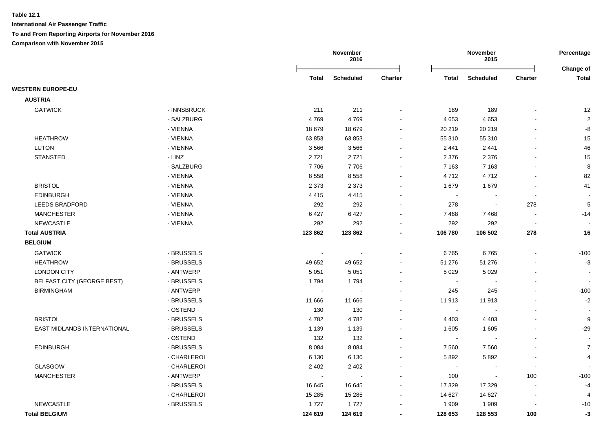|                                   |             |                | November<br>2016 |                |                          | November<br>2015 |                          | Percentage<br>Change of |
|-----------------------------------|-------------|----------------|------------------|----------------|--------------------------|------------------|--------------------------|-------------------------|
|                                   |             | Total          | <b>Scheduled</b> | <b>Charter</b> | Total                    | <b>Scheduled</b> | <b>Charter</b>           | Total                   |
| <b>WESTERN EUROPE-EU</b>          |             |                |                  |                |                          |                  |                          |                         |
| <b>AUSTRIA</b>                    |             |                |                  |                |                          |                  |                          |                         |
| <b>GATWICK</b>                    | - INNSBRUCK | 211            | 211              |                | 189                      | 189              |                          | 12                      |
|                                   | - SALZBURG  | 4769           | 4769             |                | 4 6 5 3                  | 4 6 5 3          |                          | $\overline{2}$          |
|                                   | - VIENNA    | 18 679         | 18 679           | $\sim$         | 20 219                   | 20 219           |                          | -8                      |
| <b>HEATHROW</b>                   | - VIENNA    | 63 853         | 63 853           |                | 55 310                   | 55 310           |                          | 15                      |
| <b>LUTON</b>                      | - VIENNA    | 3566           | 3566             |                | 2 4 4 1                  | 2 4 4 1          |                          | 46                      |
| <b>STANSTED</b>                   | - LINZ      | 2721           | 2721             |                | 2 3 7 6                  | 2 3 7 6          | $\sim$                   | 15                      |
|                                   | - SALZBURG  | 7706           | 7706             | $\sim$         | 7 1 6 3                  | 7 1 6 3          | $\blacksquare$           | $\bf 8$                 |
|                                   | - VIENNA    | 8558           | 8558             | $\blacksquare$ | 4712                     | 4712             | $\blacksquare$           | 82                      |
| <b>BRISTOL</b>                    | - VIENNA    | 2 3 7 3        | 2 3 7 3          | $\blacksquare$ | 1679                     | 1679             | $\blacksquare$           | 41                      |
| <b>EDINBURGH</b>                  | - VIENNA    | 4415           | 4 4 1 5          | $\sim$         | $\sim$                   | $\overline{a}$   | $\overline{\phantom{a}}$ |                         |
| <b>LEEDS BRADFORD</b>             | - VIENNA    | 292            | 292              |                | 278                      | $\sim$           | 278                      | $\sqrt{5}$              |
| <b>MANCHESTER</b>                 | - VIENNA    | 6427           | 6427             | $\blacksquare$ | 7468                     | 7468             | $\blacksquare$           | $-14$                   |
| <b>NEWCASTLE</b>                  | - VIENNA    | 292            | 292              |                | 292                      | 292              | $\sim$                   |                         |
| <b>Total AUSTRIA</b>              |             | 123 862        | 123 862          | $\blacksquare$ | 106 780                  | 106 502          | 278                      | 16                      |
| <b>BELGIUM</b>                    |             |                |                  |                |                          |                  |                          |                         |
| <b>GATWICK</b>                    | - BRUSSELS  | $\blacksquare$ |                  |                | 6765                     | 6765             | $\blacksquare$           | $-100$                  |
| <b>HEATHROW</b>                   | - BRUSSELS  | 49 652         | 49 652           | $\blacksquare$ | 51 276                   | 51 276           | $\overline{\phantom{a}}$ | $-3$                    |
| <b>LONDON CITY</b>                | - ANTWERP   | 5 0 5 1        | 5 0 5 1          |                | 5 0 2 9                  | 5 0 2 9          |                          |                         |
| <b>BELFAST CITY (GEORGE BEST)</b> | - BRUSSELS  | 1794           | 1794             |                | $\overline{\phantom{a}}$ |                  |                          |                         |
| <b>BIRMINGHAM</b>                 | - ANTWERP   |                |                  |                | 245                      | 245              |                          | $-100$                  |
|                                   | - BRUSSELS  | 11 666         | 11 666           |                | 11 913                   | 11 913           |                          | $-2$                    |
|                                   | - OSTEND    | 130            | 130              |                | $\sim$                   |                  | $\sim$                   |                         |
| <b>BRISTOL</b>                    | - BRUSSELS  | 4782           | 4782             |                | 4 4 0 3                  | 4 4 0 3          | $\blacksquare$           | 9                       |
| EAST MIDLANDS INTERNATIONAL       | - BRUSSELS  | 1 1 3 9        | 1 1 3 9          |                | 1 605                    | 1605             |                          | $-29$                   |
|                                   | - OSTEND    | 132            | 132              | $\sim$         | $\sim$                   | $\overline{a}$   | $\blacksquare$           |                         |
| <b>EDINBURGH</b>                  | - BRUSSELS  | 8 0 8 4        | 8 0 8 4          | $\sim$         | 7 5 6 0                  | 7560             |                          | $\overline{7}$          |
|                                   | - CHARLEROI | 6 1 3 0        | 6 1 3 0          |                | 5892                     | 5892             | $\overline{\phantom{a}}$ | 4                       |
| <b>GLASGOW</b>                    | - CHARLEROI | 2 4 0 2        | 2 4 0 2          |                | $\sim$                   | $\blacksquare$   | $\blacksquare$           |                         |
| <b>MANCHESTER</b>                 | - ANTWERP   |                |                  |                | 100                      | $\blacksquare$   | 100                      | $-100$                  |
|                                   | - BRUSSELS  | 16 645         | 16 645           |                | 17 329                   | 17 329           | $\blacksquare$           | $-4$                    |
|                                   | - CHARLEROI | 15 285         | 15 2 8 5         |                | 14 627                   | 14 627           | $\overline{\phantom{a}}$ | 4                       |
| <b>NEWCASTLE</b>                  | - BRUSSELS  | 1727           | 1727             |                | 1 9 0 9                  | 1 9 0 9          |                          | $-10$                   |
| <b>Total BELGIUM</b>              |             | 124 619        | 124 619          |                | 128 653                  | 128 553          | 100                      | -3                      |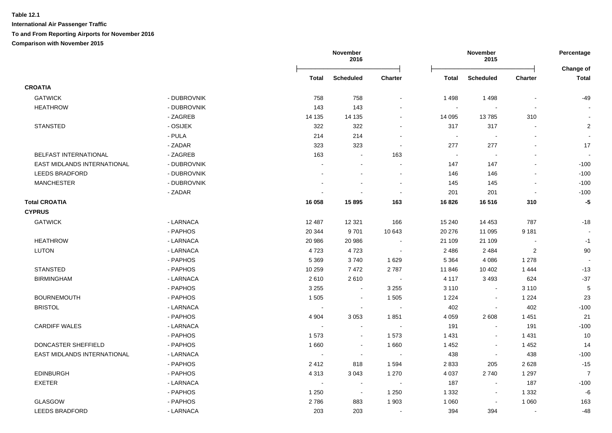|                             |             |              | November<br>2016         |                |              | November<br>2015         |                | Percentage                |
|-----------------------------|-------------|--------------|--------------------------|----------------|--------------|--------------------------|----------------|---------------------------|
|                             |             | <b>Total</b> | <b>Scheduled</b>         | <b>Charter</b> | <b>Total</b> | <b>Scheduled</b>         | <b>Charter</b> | Change of<br><b>Total</b> |
| <b>CROATIA</b>              |             |              |                          |                |              |                          |                |                           |
| <b>GATWICK</b>              | - DUBROVNIK | 758          | 758                      | $\sim$         | 1498         | 1498                     |                | $-49$                     |
| <b>HEATHROW</b>             | - DUBROVNIK | 143          | 143                      |                | $\sim$       | $\blacksquare$           | $\blacksquare$ |                           |
|                             | - ZAGREB    | 14 135       | 14 135                   | $\sim$         | 14 095       | 13785                    | 310            | $\sim$                    |
| <b>STANSTED</b>             | - OSIJEK    | 322          | 322                      |                | 317          | 317                      |                | $\overline{2}$            |
|                             | - PULA      | 214          | 214                      | $\sim$         | $\sim$       | $\sim$                   | $\sim$         | $\sim$                    |
|                             | - ZADAR     | 323          | 323                      | $\sim$         | 277          | 277                      | $\sim$         | 17                        |
| BELFAST INTERNATIONAL       | - ZAGREB    | 163          | $\blacksquare$           | 163            | $\sim$       | $\overline{\phantom{a}}$ |                |                           |
| EAST MIDLANDS INTERNATIONAL | - DUBROVNIK |              |                          |                | 147          | 147                      |                | $-100$                    |
| <b>LEEDS BRADFORD</b>       | - DUBROVNIK |              | $\blacksquare$           | $\blacksquare$ | 146          | 146                      |                | $-100$                    |
| <b>MANCHESTER</b>           | - DUBROVNIK |              | $\overline{a}$           | $\sim$         | 145          | 145                      |                | $-100$                    |
|                             | - ZADAR     |              |                          |                | 201          | 201                      |                | $-100$                    |
| <b>Total CROATIA</b>        |             | 16 058       | 15 895                   | 163            | 16826        | 16 516                   | 310            | $-5$                      |
| <b>CYPRUS</b>               |             |              |                          |                |              |                          |                |                           |
| <b>GATWICK</b>              | - LARNACA   | 12 487       | 12 3 21                  | 166            | 15 240       | 14 4 53                  | 787            | $-18$                     |
|                             | - PAPHOS    | 20 344       | 9701                     | 10 643         | 20 276       | 11 095                   | 9 1 8 1        |                           |
| <b>HEATHROW</b>             | - LARNACA   | 20 986       | 20 986                   |                | 21 109       | 21 109                   |                | $-1$                      |
| <b>LUTON</b>                | - LARNACA   | 4723         | 4723                     |                | 2 4 8 6      | 2 4 8 4                  | $\overline{2}$ | $90\,$                    |
|                             | - PAPHOS    | 5 3 6 9      | 3740                     | 1629           | 5 3 6 4      | 4 0 8 6                  | 1 2 7 8        |                           |
| <b>STANSTED</b>             | - PAPHOS    | 10 259       | 7472                     | 2787           | 11 846       | 10 402                   | 1444           | $-13$                     |
| <b>BIRMINGHAM</b>           | - LARNACA   | 2610         | 2610                     | $\sim$         | 4 1 1 7      | 3 4 9 3                  | 624            | $-37$                     |
|                             | - PAPHOS    | 3 2 5 5      | $\sim$                   | 3 2 5 5        | 3 1 1 0      | $\blacksquare$           | 3 1 1 0        | $\sqrt{5}$                |
| <b>BOURNEMOUTH</b>          | - PAPHOS    | 1 505        | $\sim$                   | 1 5 0 5        | 1 2 2 4      | $\blacksquare$           | 1 2 2 4        | 23                        |
| <b>BRISTOL</b>              | - LARNACA   |              | $\sim$                   | $\sim$         | 402          | $\blacksquare$           | 402            | $-100$                    |
|                             | - PAPHOS    | 4 9 0 4      | 3 0 5 3                  | 1851           | 4 0 5 9      | 2 6 0 8                  | 1 4 5 1        | 21                        |
| <b>CARDIFF WALES</b>        | - LARNACA   | $\sim$       | $\blacksquare$           |                | 191          | $\blacksquare$           | 191            | $-100$                    |
|                             | - PAPHOS    | 1573         | $\blacksquare$           | 1573           | 1 4 3 1      | $\blacksquare$           | 1431           | 10                        |
| DONCASTER SHEFFIELD         | - PAPHOS    | 1 6 6 0      | $\sim$                   | 1660           | 1 4 5 2      | $\blacksquare$           | 1 4 5 2        | 14                        |
| EAST MIDLANDS INTERNATIONAL | - LARNACA   |              | $\blacksquare$           |                | 438          | $\blacksquare$           | 438            | $-100$                    |
|                             | - PAPHOS    | 2412         | 818                      | 1 5 9 4        | 2833         | 205                      | 2628           | $-15$                     |
| <b>EDINBURGH</b>            | - PAPHOS    | 4 3 1 3      | 3 0 4 3                  | 1 2 7 0        | 4 0 3 7      | 2740                     | 1 2 9 7        | $\overline{7}$            |
| <b>EXETER</b>               | - LARNACA   | $\sim$       | $\sim$                   | $\blacksquare$ | 187          | $\blacksquare$           | 187            | $-100$                    |
|                             | - PAPHOS    | 1 2 5 0      | $\overline{\phantom{a}}$ | 1 2 5 0        | 1 3 3 2      | $\blacksquare$           | 1 3 3 2        | $-6$                      |
| GLASGOW                     | - PAPHOS    | 2786         | 883                      | 1 903          | 1 0 6 0      | $\sim$                   | 1 0 6 0        | 163                       |
| <b>LEEDS BRADFORD</b>       | - LARNACA   | 203          | 203                      |                | 394          | 394                      |                | $-48$                     |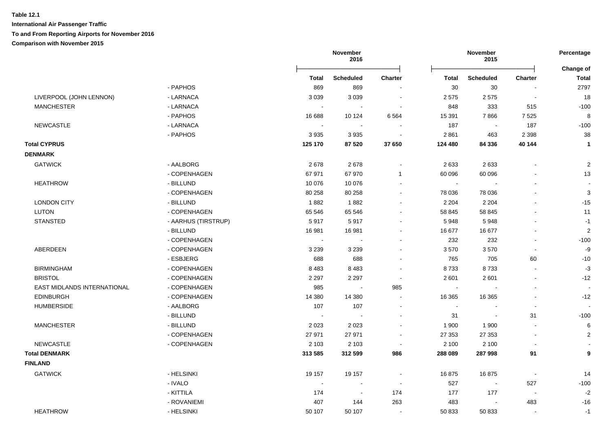|                             |                     |                          | November<br>2016 |                          |                | November<br>2015 |                          | Percentage                |
|-----------------------------|---------------------|--------------------------|------------------|--------------------------|----------------|------------------|--------------------------|---------------------------|
|                             |                     | Total                    | <b>Scheduled</b> | <b>Charter</b>           | Total          | <b>Scheduled</b> | <b>Charter</b>           | Change of<br><b>Total</b> |
|                             | - PAPHOS            | 869                      | 869              |                          | 30             | 30               |                          | 2797                      |
| LIVERPOOL (JOHN LENNON)     | - LARNACA           | 3 0 3 9                  | 3 0 3 9          | $\blacksquare$           | 2575           | 2575             | $\overline{\phantom{a}}$ | 18                        |
| <b>MANCHESTER</b>           | - LARNACA           |                          |                  |                          | 848            | 333              | 515                      | $-100$                    |
|                             | - PAPHOS            | 16 688                   | 10 124           | 6 5 64                   | 15 3 91        | 7866             | 7525                     | 8                         |
| <b>NEWCASTLE</b>            | - LARNACA           | $\overline{\phantom{a}}$ |                  |                          | 187            |                  | 187                      | $-100$                    |
|                             | - PAPHOS            | 3 9 3 5                  | 3 9 3 5          | $\sim$                   | 2861           | 463              | 2 3 9 8                  | 38                        |
| <b>Total CYPRUS</b>         |                     | 125 170                  | 87 520           | 37 650                   | 124 480        | 84 336           | 40 144                   | $\mathbf{1}$              |
| <b>DENMARK</b>              |                     |                          |                  |                          |                |                  |                          |                           |
| <b>GATWICK</b>              | - AALBORG           | 2678                     | 2678             | $\blacksquare$           | 2633           | 2633             | $\overline{\phantom{a}}$ | $\overline{c}$            |
|                             | - COPENHAGEN        | 67 971                   | 67 970           | $\mathbf{1}$             | 60 096         | 60 096           |                          | 13                        |
| <b>HEATHROW</b>             | - BILLUND           | 10 076                   | 10 076           | $\sim$                   | $\sim$         |                  | $\overline{a}$           |                           |
|                             | - COPENHAGEN        | 80 258                   | 80 258           |                          | 78 036         | 78 036           |                          | $\ensuremath{\mathsf{3}}$ |
| <b>LONDON CITY</b>          | - BILLUND           | 1882                     | 1882             |                          | 2 2 0 4        | 2 2 0 4          |                          | $-15$                     |
| <b>LUTON</b>                | - COPENHAGEN        | 65 546                   | 65 546           |                          | 58 845         | 58 845           | $\blacksquare$           | 11                        |
| <b>STANSTED</b>             | - AARHUS (TIRSTRUP) | 5917                     | 5917             |                          | 5948           | 5948             | ÷.                       | $-1$                      |
|                             | - BILLUND           | 16 981                   | 16 981           |                          | 16 677         | 16 677           | L,                       | $\mathbf 2$               |
|                             | - COPENHAGEN        | $\sim$                   | $\blacksquare$   |                          | 232            | 232              | $\blacksquare$           | $-100$                    |
| ABERDEEN                    | - COPENHAGEN        | 3 2 3 9                  | 3 2 3 9          |                          | 3570           | 3570             | $\blacksquare$           | -9                        |
|                             | - ESBJERG           | 688                      | 688              | $\sim$                   | 765            | 705              | 60                       | $-10$                     |
| <b>BIRMINGHAM</b>           | - COPENHAGEN        | 8 4 8 3                  | 8483             | $\overline{\phantom{a}}$ | 8733           | 8733             | $\sim$                   | $-3$                      |
| <b>BRISTOL</b>              | - COPENHAGEN        | 2 2 9 7                  | 2 2 9 7          | $\sim$                   | 2 601          | 2 601            | $\overline{a}$           | $-12$                     |
| EAST MIDLANDS INTERNATIONAL | - COPENHAGEN        | 985                      | $\overline{a}$   | 985                      | $\blacksquare$ |                  | $\blacksquare$           | $\overline{\phantom{a}}$  |
| <b>EDINBURGH</b>            | - COPENHAGEN        | 14 380                   | 14 380           | $\sim$                   | 16 365         | 16 3 65          | $\mathbf{r}$             | $-12$                     |
| <b>HUMBERSIDE</b>           | - AALBORG           | 107                      | 107              | $\overline{\phantom{a}}$ | $\sim$         | $\sim$           | $\blacksquare$           | $\blacksquare$            |
|                             | - BILLUND           | $\sim$                   | $\overline{a}$   | $\overline{\phantom{a}}$ | 31             | $\blacksquare$   | 31                       | $-100$                    |
| <b>MANCHESTER</b>           | - BILLUND           | 2 0 2 3                  | 2 0 2 3          |                          | 1 900          | 1 900            | $\overline{a}$           | 6                         |
|                             | - COPENHAGEN        | 27 971                   | 27 971           | $\overline{\phantom{a}}$ | 27 353         | 27 353           | $\sim$                   | $\overline{2}$            |
| NEWCASTLE                   | - COPENHAGEN        | 2 1 0 3                  | 2 1 0 3          | $\sim$                   | 2 100          | 2 100            | $\overline{\phantom{a}}$ |                           |
| <b>Total DENMARK</b>        |                     | 313 585                  | 312 599          | 986                      | 288 089        | 287 998          | 91                       | 9                         |
| <b>FINLAND</b>              |                     |                          |                  |                          |                |                  |                          |                           |
| <b>GATWICK</b>              | - HELSINKI          | 19 157                   | 19 157           |                          | 16875          | 16875            | $\blacksquare$           | 14                        |
|                             | - IVALO             |                          |                  |                          | 527            | $\sim$           | 527                      | $-100$                    |
|                             | - KITTILA           | 174                      | $\sim$           | 174                      | 177            | 177              | $\overline{\phantom{a}}$ | $-2$                      |
|                             | - ROVANIEMI         | 407                      | 144              | 263                      | 483            | $\sim$           | 483                      | $-16$                     |
| <b>HEATHROW</b>             | - HELSINKI          | 50 107                   | 50 107           | $\blacksquare$           | 50 833         | 50 833           | $\sim$                   | $-1$                      |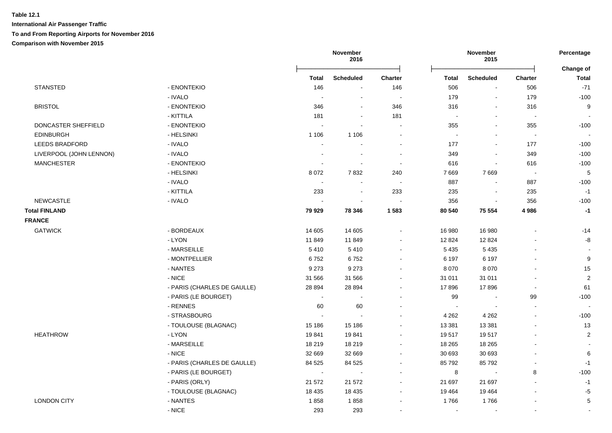|                         |                             |                          | November<br>2016 |                |              | November<br>2015 |                          | Percentage<br>Change of  |
|-------------------------|-----------------------------|--------------------------|------------------|----------------|--------------|------------------|--------------------------|--------------------------|
|                         |                             | <b>Total</b>             | <b>Scheduled</b> | <b>Charter</b> | <b>Total</b> | <b>Scheduled</b> | <b>Charter</b>           | <b>Total</b>             |
| <b>STANSTED</b>         | - ENONTEKIO                 | 146                      | $\blacksquare$   | 146            | 506          | $\blacksquare$   | 506                      | $-71$                    |
|                         | - IVALO                     | $\sim$                   | $\blacksquare$   | $\blacksquare$ | 179          | $\blacksquare$   | 179                      | $-100$                   |
| <b>BRISTOL</b>          | - ENONTEKIO                 | 346                      | $\blacksquare$   | 346            | 316          | $\blacksquare$   | 316                      | 9                        |
|                         | - KITTILA                   | 181                      | $\blacksquare$   | 181            | $\sim$       | $\blacksquare$   | $\sim$                   | $\sim$                   |
| DONCASTER SHEFFIELD     | - ENONTEKIO                 | $\sim$                   |                  | $\sim$         | 355          | $\blacksquare$   | 355                      | $-100$                   |
| <b>EDINBURGH</b>        | - HELSINKI                  | 1 1 0 6                  | 1 1 0 6          | $\sim$         | $\sim$       |                  | $\overline{\phantom{a}}$ | $\sim$                   |
| <b>LEEDS BRADFORD</b>   | - IVALO                     | $\sim$                   |                  |                | 177          |                  | 177                      | $-100$                   |
| LIVERPOOL (JOHN LENNON) | - IVALO                     | $\overline{\phantom{a}}$ |                  |                | 349          |                  | 349                      | $-100$                   |
| <b>MANCHESTER</b>       | - ENONTEKIO                 | $\sim$                   | $\sim$           | $\sim$         | 616          |                  | 616                      | $-100$                   |
|                         | - HELSINKI                  | 8 0 7 2                  | 7832             | 240            | 7669         | 7669             | $\sim$                   | $\overline{5}$           |
|                         | - IVALO                     | $\sim$                   | $\blacksquare$   | $\mathbf{r}$   | 887          | $\Delta$         | 887                      | $-100$                   |
|                         | - KITTILA                   | 233                      | $\blacksquare$   | 233            | 235          | $\blacksquare$   | 235                      | $-1$                     |
| <b>NEWCASTLE</b>        | - IVALO                     | $\sim$                   | $\blacksquare$   | $\blacksquare$ | 356          | $\blacksquare$   | 356                      | $-100$                   |
| <b>Total FINLAND</b>    |                             | 79 929                   | 78 346           | 1 5 8 3        | 80 540       | 75 554           | 4986                     | $-1$                     |
| <b>FRANCE</b>           |                             |                          |                  |                |              |                  |                          |                          |
| <b>GATWICK</b>          | - BORDEAUX                  | 14 605                   | 14 605           |                | 16 980       | 16 980           |                          | $-14$                    |
|                         | - LYON                      | 11849                    | 11849            |                | 12 8 24      | 12 8 24          |                          | -8                       |
|                         | - MARSEILLE                 | 5410                     | 5410             | $\sim$         | 5 4 3 5      | 5 4 3 5          | $\blacksquare$           | $\overline{\phantom{a}}$ |
|                         | - MONTPELLIER               | 6752                     | 6752             |                | 6 197        | 6 1 9 7          |                          | 9                        |
|                         | - NANTES                    | 9 2 7 3                  | 9 2 7 3          |                | 8 0 7 0      | 8 0 7 0          |                          | 15                       |
|                         | - NICE                      | 31 566                   | 31 566           |                | 31 011       | 31 011           | $\blacksquare$           | $\overline{2}$           |
|                         | - PARIS (CHARLES DE GAULLE) | 28 8 94                  | 28 8 94          |                | 17896        | 17896            | $\blacksquare$           | 61                       |
|                         | - PARIS (LE BOURGET)        | $\blacksquare$           | $\sim$           | $\sim$         | 99           |                  | 99                       | $-100$                   |
|                         | - RENNES                    | 60                       | 60               |                | $\sim$       |                  | $\sim$                   | $\sim$                   |
|                         | - STRASBOURG                | $\sim$                   | $\sim$           |                | 4 2 6 2      | 4 2 6 2          | $\sim$                   | $-100$                   |
|                         | - TOULOUSE (BLAGNAC)        | 15 186                   | 15 186           |                | 13 381       | 13 3 8 1         | $\blacksquare$           | 13                       |
| <b>HEATHROW</b>         | - LYON                      | 19841                    | 19841            |                | 19517        | 19517            |                          | $\boldsymbol{2}$         |
|                         | - MARSEILLE                 | 18 219                   | 18 219           | $\sim$         | 18 265       | 18 265           | $\overline{a}$           | $\overline{\phantom{a}}$ |
|                         | - NICE                      | 32 669                   | 32 669           | $\sim$         | 30 693       | 30 693           | $\blacksquare$           | 6                        |
|                         | - PARIS (CHARLES DE GAULLE) | 84 5 25                  | 84 525           | $\sim$         | 85 792       | 85792            | $\blacksquare$           | $-1$                     |
|                         | - PARIS (LE BOURGET)        | $\blacksquare$           | $\sim$           | $\sim$         | 8            | $\sim$           | 8                        | $-100$                   |
|                         | - PARIS (ORLY)              | 21 572                   | 21 572           |                | 21 697       | 21 697           | $\blacksquare$           | $-1$                     |
|                         | - TOULOUSE (BLAGNAC)        | 18 4 35                  | 18 4 35          | $\sim$         | 19 4 64      | 19 4 64          | $\blacksquare$           | $-5$                     |
|                         |                             |                          |                  |                |              |                  |                          |                          |
| <b>LONDON CITY</b>      | - NANTES                    | 1858                     | 1858             |                | 1766         | 1766             | $\overline{\phantom{a}}$ | $\,$ 5 $\,$              |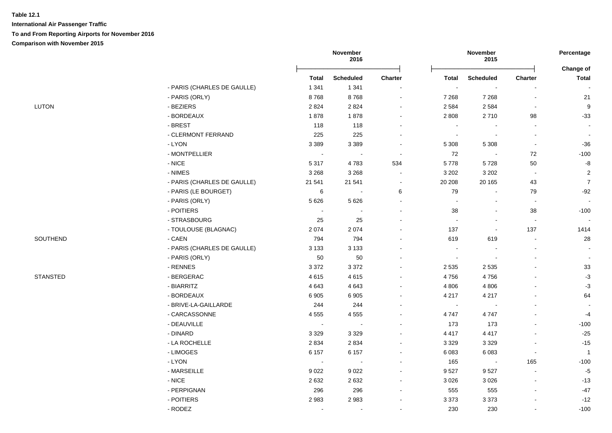|                 |                             |                | November<br>2016 |                |                | November<br>2015         |                          | Percentage                |
|-----------------|-----------------------------|----------------|------------------|----------------|----------------|--------------------------|--------------------------|---------------------------|
|                 |                             | <b>Total</b>   | <b>Scheduled</b> | <b>Charter</b> | <b>Total</b>   | <b>Scheduled</b>         | Charter                  | Change of<br><b>Total</b> |
|                 | - PARIS (CHARLES DE GAULLE) | 1 3 4 1        | 1 3 4 1          |                | $\sim$         |                          |                          |                           |
|                 | - PARIS (ORLY)              | 8768           | 8768             |                | 7 2 6 8        | 7 2 6 8                  | $\blacksquare$           | 21                        |
| <b>LUTON</b>    | - BEZIERS                   | 2824           | 2824             |                | 2 5 8 4        | 2 5 8 4                  | $\blacksquare$           | 9                         |
|                 | - BORDEAUX                  | 1878           | 1878             |                | 2 8 0 8        | 2710                     | 98                       | $-33$                     |
|                 | - BREST                     | 118            | 118              |                | $\sim$         |                          | $\blacksquare$           | $\sim$                    |
|                 | - CLERMONT FERRAND          | 225            | 225              |                | $\sim$         |                          | $\blacksquare$           |                           |
|                 | - LYON                      | 3 3 8 9        | 3 3 8 9          |                | 5 3 0 8        | 5 3 0 8                  | $\blacksquare$           | $-36$                     |
|                 | - MONTPELLIER               | $\blacksquare$ |                  | $\sim$         | 72             |                          | 72                       | $-100$                    |
|                 | $-NICE$                     | 5 3 1 7        | 4783             | 534            | 5778           | 5728                     | 50                       | $\mbox{-}8$               |
|                 | - NIMES                     | 3 2 6 8        | 3 2 6 8          | $\sim$         | 3 2 0 2        | 3 2 0 2                  | $\sim$                   | $\overline{2}$            |
|                 | - PARIS (CHARLES DE GAULLE) | 21 541         | 21 541           | $\sim$         | 20 20 8        | 20 165                   | 43                       | $\overline{7}$            |
|                 | - PARIS (LE BOURGET)        | $\,6\,$        | $\sim$           | 6              | 79             | $\sim$                   | 79                       | $-92$                     |
|                 | - PARIS (ORLY)              | 5 6 2 6        | 5 6 2 6          |                | $\sim$         | $\blacksquare$           | $\sim$                   | $\sim$                    |
|                 | - POITIERS                  | $\sim$         | $\blacksquare$   |                | 38             | $\blacksquare$           | $38\,$                   | $-100$                    |
|                 | - STRASBOURG                | 25             | 25               |                | $\sim$         | $\blacksquare$           | $\sim$                   | $\sim$                    |
|                 | - TOULOUSE (BLAGNAC)        | 2 0 7 4        | 2074             |                | 137            | $\overline{\phantom{a}}$ | 137                      | 1414                      |
| SOUTHEND        | - CAEN                      | 794            | 794              |                | 619            | 619                      | $\blacksquare$           | 28                        |
|                 | - PARIS (CHARLES DE GAULLE) | 3 1 3 3        | 3 1 3 3          |                | $\sim$         |                          |                          |                           |
|                 | - PARIS (ORLY)              | 50             | $50\,$           |                | $\blacksquare$ | $\overline{\phantom{a}}$ |                          | $\sim$                    |
|                 | - RENNES                    | 3 3 7 2        | 3 3 7 2          |                | 2 5 3 5        | 2 5 3 5                  |                          | 33                        |
| <b>STANSTED</b> | - BERGERAC                  | 4615           | 4615             |                | 4756           | 4756                     |                          | $-3$                      |
|                 | - BIARRITZ                  | 4 6 4 3        | 4643             |                | 4 8 0 6        | 4 8 0 6                  |                          | $-3$                      |
|                 | - BORDEAUX                  | 6905           | 6905             |                | 4 2 1 7        | 4 2 1 7                  |                          | 64                        |
|                 | - BRIVE-LA-GAILLARDE        | 244            | 244              |                | $\sim$         | $\overline{\phantom{a}}$ |                          | $\sim$                    |
|                 | - CARCASSONNE               | 4555           | 4555             |                | 4747           | 4747                     |                          | $-4$                      |
|                 | - DEAUVILLE                 | $\sim$         | $\sim$           |                | 173            | 173                      |                          | $-100$                    |
|                 | - DINARD                    | 3 3 2 9        | 3 3 2 9          |                | 4 4 1 7        | 4 4 1 7                  |                          | $-25$                     |
|                 | - LA ROCHELLE               | 2834           | 2 8 3 4          |                | 3 3 2 9        | 3 3 2 9                  |                          | $-15$                     |
|                 | - LIMOGES                   | 6 1 5 7        | 6 1 5 7          |                | 6 0 8 3        | 6083                     | $\blacksquare$           | $\overline{1}$            |
|                 | - LYON                      | $\sim$         | $\sim$           |                | 165            | $\sim$                   | 165                      | $-100$                    |
|                 | - MARSEILLE                 | 9 0 2 2        | 9 0 2 2          |                | 9527           | 9527                     | $\overline{\phantom{a}}$ | $-5$                      |
|                 | $-NICE$                     | 2632           | 2632             |                | 3 0 2 6        | 3 0 2 6                  | $\sim$                   | $-13$                     |
|                 | - PERPIGNAN                 | 296            | 296              |                | 555            | 555                      | $\blacksquare$           | $-47$                     |
|                 | - POITIERS                  | 2983           | 2983             |                | 3 3 7 3        | 3373                     |                          | $-12$                     |
|                 | - RODEZ                     | $\blacksquare$ | $\blacksquare$   |                | 230            | 230                      |                          | $-100$                    |
|                 |                             |                |                  |                |                |                          |                          |                           |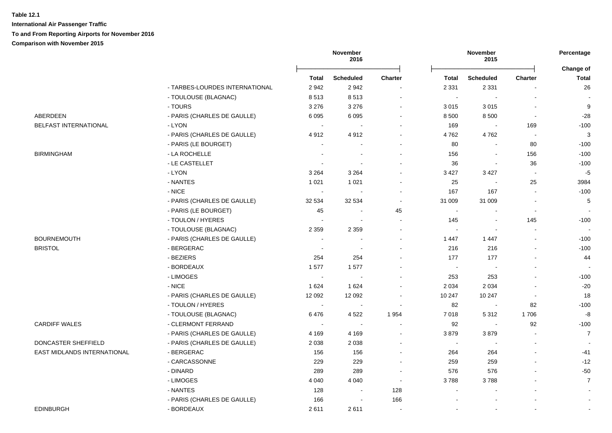|                             |                                |                | November<br>2016 |                |              | November<br>2015         |                | Percentage                |
|-----------------------------|--------------------------------|----------------|------------------|----------------|--------------|--------------------------|----------------|---------------------------|
|                             |                                | <b>Total</b>   | <b>Scheduled</b> | <b>Charter</b> | <b>Total</b> | <b>Scheduled</b>         | Charter        | Change of<br><b>Total</b> |
|                             | - TARBES-LOURDES INTERNATIONAL | 2942           | 2942             |                | 2 3 3 1      | 2 3 3 1                  |                | 26                        |
|                             | - TOULOUSE (BLAGNAC)           | 8513           | 8513             | $\blacksquare$ | $\sim$       | $\sim$                   | $\overline{a}$ | $\overline{\phantom{a}}$  |
|                             | - TOURS                        | 3 2 7 6        | 3 2 7 6          | $\blacksquare$ | 3 0 1 5      | 3015                     | $\blacksquare$ | 9                         |
| ABERDEEN                    | - PARIS (CHARLES DE GAULLE)    | 6095           | 6 0 9 5          | $\blacksquare$ | 8 500        | 8 5 0 0                  | $\sim$         | $-28$                     |
| BELFAST INTERNATIONAL       | - LYON                         | $\sim$         |                  | $\blacksquare$ | 169          | $\sim$                   | 169            | $-100$                    |
|                             | - PARIS (CHARLES DE GAULLE)    | 4912           | 4912             | $\blacksquare$ | 4762         | 4762                     | $\sim$         | $\sqrt{3}$                |
|                             | - PARIS (LE BOURGET)           |                |                  | $\blacksquare$ | 80           | $\sim$                   | 80             | $-100$                    |
| <b>BIRMINGHAM</b>           | - LA ROCHELLE                  |                |                  | $\blacksquare$ | 156          | $\blacksquare$           | 156            | $-100$                    |
|                             | - LE CASTELLET                 |                |                  |                | 36           | $\blacksquare$           | 36             | $-100$                    |
|                             | - LYON                         | 3 2 6 4        | 3 2 6 4          |                | 3 4 2 7      | 3 4 2 7                  |                | $-5$                      |
|                             | - NANTES                       | 1 0 2 1        | 1 0 2 1          |                | 25           |                          | 25             | 3984                      |
|                             | - NICE                         |                |                  | $\blacksquare$ | 167          | 167                      |                | $-100$                    |
|                             | - PARIS (CHARLES DE GAULLE)    | 32 534         | 32 534           | $\sim$         | 31 009       | 31 009                   | $\blacksquare$ | 5                         |
|                             | - PARIS (LE BOURGET)           | 45             |                  | 45             | $\sim$       | $\blacksquare$           | $\sim$         |                           |
|                             | - TOULON / HYERES              | $\sim$         |                  | $\overline{a}$ | 145          | $\overline{\phantom{a}}$ | 145            | $-100$                    |
|                             | - TOULOUSE (BLAGNAC)           | 2 3 5 9        | 2 3 5 9          | $\blacksquare$ | $\sim$       | $\blacksquare$           | $\mathbf{r}$   |                           |
| <b>BOURNEMOUTH</b>          | - PARIS (CHARLES DE GAULLE)    | $\sim$         |                  | $\blacksquare$ | 1 4 4 7      | 1447                     |                | $-100$                    |
| <b>BRISTOL</b>              | - BERGERAC                     | $\sim$         |                  | $\overline{a}$ | 216          | 216                      |                | $-100$                    |
|                             | - BEZIERS                      | 254            | 254              |                | 177          | 177                      |                | 44                        |
|                             | - BORDEAUX                     | 1577           | 1577             | $\blacksquare$ | $\sim$       | $\blacksquare$           |                | $\overline{\phantom{a}}$  |
|                             | - LIMOGES                      | $\blacksquare$ |                  |                | 253          | 253                      |                | $-100$                    |
|                             | $-$ NICE                       | 1624           | 1 6 2 4          |                | 2 0 3 4      | 2 0 3 4                  |                | $-20$                     |
|                             | - PARIS (CHARLES DE GAULLE)    | 12 092         | 12 092           | $\blacksquare$ | 10 247       | 10 247                   | $\sim$         | 18                        |
|                             | - TOULON / HYERES              |                |                  | $\sim$         | 82           | $\sim$                   | 82             | $-100$                    |
|                             | - TOULOUSE (BLAGNAC)           | 6476           | 4522             | 1 9 5 4        | 7 0 18       | 5 3 1 2                  | 1706           | -8                        |
| <b>CARDIFF WALES</b>        | - CLERMONT FERRAND             | $\sim$         |                  | $\blacksquare$ | 92           | $\blacksquare$           | 92             | $-100$                    |
|                             | - PARIS (CHARLES DE GAULLE)    | 4 1 6 9        | 4 1 6 9          | $\blacksquare$ | 3879         | 3879                     | $\sim$         | $\overline{7}$            |
| DONCASTER SHEFFIELD         | - PARIS (CHARLES DE GAULLE)    | 2 0 3 8        | 2 0 3 8          | $\blacksquare$ | $\sim$       | $\sim$                   | $\sim$         | $\overline{\phantom{a}}$  |
| EAST MIDLANDS INTERNATIONAL | - BERGERAC                     | 156            | 156              | $\blacksquare$ | 264          | 264                      | $\mathbf{r}$   | $-41$                     |
|                             | - CARCASSONNE                  | 229            | 229              | $\blacksquare$ | 259          | 259                      |                | $-12$                     |
|                             | - DINARD                       | 289            | 289              | $\blacksquare$ | 576          | 576                      |                | $-50$                     |
|                             | - LIMOGES                      | 4 0 4 0        | 4 0 4 0          | $\sim$         | 3788         | 3788                     |                | $\overline{7}$            |
|                             | - NANTES                       | 128            |                  | 128            |              |                          |                | $\blacksquare$            |
|                             | - PARIS (CHARLES DE GAULLE)    | 166            |                  | 166            |              |                          |                | $\overline{\phantom{a}}$  |
| <b>EDINBURGH</b>            | - BORDEAUX                     | 2611           | 2611             |                |              |                          |                |                           |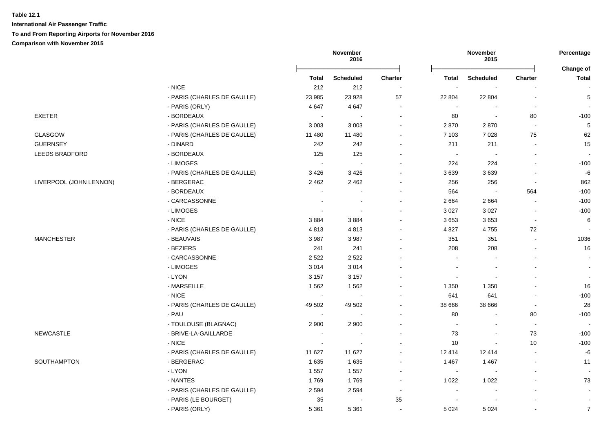|                         |                             |                          | November<br>2016         |                          |                          | November<br>2015         |                          | Percentage<br>Change of  |
|-------------------------|-----------------------------|--------------------------|--------------------------|--------------------------|--------------------------|--------------------------|--------------------------|--------------------------|
|                         |                             | <b>Total</b>             | <b>Scheduled</b>         | Charter                  | <b>Total</b>             | <b>Scheduled</b>         | Charter                  | <b>Total</b>             |
|                         | $-$ NICE                    | 212                      | 212                      | $\sim$                   |                          |                          |                          |                          |
|                         | - PARIS (CHARLES DE GAULLE) | 23 985                   | 23 9 28                  | 57                       | 22 804                   | 22 804                   | $\sim$                   | 5                        |
|                         | - PARIS (ORLY)              | 4647                     | 4647                     | $\blacksquare$           | $\sim$                   |                          | $\overline{\phantom{a}}$ |                          |
| <b>EXETER</b>           | - BORDEAUX                  | $\sim$                   |                          | $\blacksquare$           | 80                       | $\overline{\phantom{a}}$ | 80                       | $-100$                   |
|                         | - PARIS (CHARLES DE GAULLE) | 3 0 0 3                  | 3 0 0 3                  | $\blacksquare$           | 2870                     | 2870                     | $\sim$                   | $\sqrt{5}$               |
| <b>GLASGOW</b>          | - PARIS (CHARLES DE GAULLE) | 11 480                   | 11 480                   |                          | 7 1 0 3                  | 7028                     | 75                       | 62                       |
| <b>GUERNSEY</b>         | - DINARD                    | 242                      | 242                      |                          | 211                      | 211                      |                          | 15                       |
| LEEDS BRADFORD          | - BORDEAUX                  | 125                      | 125                      |                          | $\sim$                   | $\overline{\phantom{a}}$ |                          | $\overline{\phantom{a}}$ |
|                         | - LIMOGES                   | $\blacksquare$           | $\sim$                   |                          | 224                      | 224                      | $\overline{a}$           | $-100$                   |
|                         | - PARIS (CHARLES DE GAULLE) | 3426                     | 3426                     |                          | 3639                     | 3639                     | $\blacksquare$           | -6                       |
| LIVERPOOL (JOHN LENNON) | - BERGERAC                  | 2462                     | 2 4 6 2                  |                          | 256                      | 256                      | $\overline{\phantom{a}}$ | 862                      |
|                         | - BORDEAUX                  | $\sim$                   | $\overline{\phantom{a}}$ |                          | 564                      | $\overline{\phantom{a}}$ | 564                      | $-100$                   |
|                         | - CARCASSONNE               | $\sim$                   | $\overline{\phantom{a}}$ | $\sim$                   | 2664                     | 2664                     | $\blacksquare$           | $-100$                   |
|                         | - LIMOGES                   | $\blacksquare$           | $\sim$                   | $\overline{\phantom{a}}$ | 3 0 27                   | 3 0 27                   | $\blacksquare$           | $-100$                   |
|                         | $-$ NICE                    | 3884                     | 3884                     |                          | 3653                     | 3653                     | $\overline{\phantom{a}}$ | 6                        |
|                         | - PARIS (CHARLES DE GAULLE) | 4813                     | 4813                     | $\sim$                   | 4 8 27                   | 4755                     | 72                       |                          |
| <b>MANCHESTER</b>       | - BEAUVAIS                  | 3987                     | 3987                     |                          | 351                      | 351                      | $\overline{a}$           | 1036                     |
|                         | - BEZIERS                   | 241                      | 241                      |                          | 208                      | 208                      | $\overline{a}$           | 16                       |
|                         | - CARCASSONNE               | 2522                     | 2522                     |                          | $\sim$                   |                          | $\blacksquare$           |                          |
|                         | - LIMOGES                   | 3014                     | 3014                     | $\blacksquare$           |                          |                          |                          |                          |
|                         | - LYON                      | 3 1 5 7                  | 3 1 5 7                  |                          |                          |                          |                          |                          |
|                         | - MARSEILLE                 | 1 5 6 2                  | 1562                     |                          | 1 3 5 0                  | 1 3 5 0                  |                          | 16                       |
|                         | $-NICE$                     | $\blacksquare$           |                          |                          | 641                      | 641                      |                          | $-100$                   |
|                         | - PARIS (CHARLES DE GAULLE) | 49 502                   | 49 502                   |                          | 38 666                   | 38 666                   |                          | 28                       |
|                         | - PAU                       | $\overline{\phantom{a}}$ |                          |                          | 80                       |                          | 80                       | $-100$                   |
|                         | - TOULOUSE (BLAGNAC)        | 2 900                    | 2 9 0 0                  |                          | $\overline{\phantom{a}}$ |                          | $\blacksquare$           | $\overline{\phantom{a}}$ |
| <b>NEWCASTLE</b>        | - BRIVE-LA-GAILLARDE        | ÷                        | ÷                        | $\sim$                   | 73                       | $\sim$                   | 73                       | $-100$                   |
|                         | $-$ NICE                    | $\blacksquare$           | $\blacksquare$           |                          | 10                       | $\blacksquare$           | 10                       | $-100$                   |
|                         | - PARIS (CHARLES DE GAULLE) | 11 627                   | 11 627                   | $\blacksquare$           | 12 4 14                  | 12 4 14                  | $\overline{a}$           | -6                       |
| <b>SOUTHAMPTON</b>      | - BERGERAC                  | 1635                     | 1635                     | $\blacksquare$           | 1 4 6 7                  | 1 4 6 7                  | $\sim$                   | 11                       |
|                         | - LYON                      | 1 5 5 7                  | 1 5 5 7                  | $\blacksquare$           | $\overline{\phantom{a}}$ |                          |                          |                          |
|                         | - NANTES                    | 1769                     | 1769                     | $\blacksquare$           | 1 0 2 2                  | 1 0 2 2                  |                          | 73                       |
|                         | - PARIS (CHARLES DE GAULLE) | 2 5 9 4                  | 2 5 9 4                  | $\sim$                   | $\blacksquare$           |                          |                          | $\sim$                   |
|                         | - PARIS (LE BOURGET)        | 35                       |                          | 35                       |                          |                          |                          | $\blacksquare$           |
|                         | - PARIS (ORLY)              | 5 3 6 1                  | 5 3 6 1                  | $\sim$                   | 5 0 24                   | 5 0 24                   |                          | $\overline{7}$           |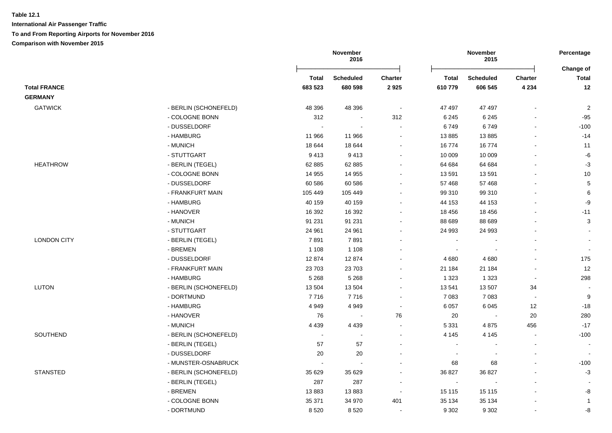|                     |                       |                          | November<br>2016     |                          |                          | November<br>2015         |                          | Percentage<br>Change of |
|---------------------|-----------------------|--------------------------|----------------------|--------------------------|--------------------------|--------------------------|--------------------------|-------------------------|
|                     |                       | <b>Total</b>             | <b>Scheduled</b>     | <b>Charter</b>           | <b>Total</b>             | <b>Scheduled</b>         | <b>Charter</b>           | <b>Total</b>            |
| <b>Total FRANCE</b> |                       | 683 523                  | 680 598              | 2925                     | 610779                   | 606 545                  | 4 2 3 4                  | 12                      |
| <b>GERMANY</b>      |                       |                          |                      |                          |                          |                          |                          |                         |
| <b>GATWICK</b>      | - BERLIN (SCHONEFELD) | 48 396                   | 48 396               | $\blacksquare$           | 47 497                   | 47 497                   |                          | $\overline{2}$          |
|                     | - COLOGNE BONN        | 312                      | $\blacksquare$       | 312                      | 6 2 4 5                  | 6 2 4 5                  |                          | $-95$                   |
|                     | - DUSSELDORF          | $\sim$                   |                      | $\blacksquare$           | 6749                     | 6749                     |                          | $-100$                  |
|                     | - HAMBURG             | 11 966                   | 11 966               | $\sim$                   | 13885                    | 13885                    | $\blacksquare$           | $-14$                   |
|                     | - MUNICH              | 18 644                   | 18 644               | $\blacksquare$           | 16774                    | 16774                    | $\overline{a}$           | 11                      |
|                     | - STUTTGART           | 9413                     | 9413                 | $\blacksquare$           | 10 009                   | 10 009                   | $\overline{a}$           | $-6$                    |
| <b>HEATHROW</b>     | - BERLIN (TEGEL)      | 62 885                   | 62 885               |                          | 64 684                   | 64 684                   |                          | $-3$                    |
|                     | - COLOGNE BONN        | 14 955                   | 14 955               |                          | 13 591                   | 13591                    |                          | 10                      |
|                     | - DUSSELDORF          | 60 586                   | 60 586               |                          | 57 468                   | 57 468                   |                          | $5\phantom{.0}$         |
|                     | - FRANKFURT MAIN      | 105 449                  | 105 449              |                          | 99 310                   | 99 310                   |                          | $\,6\,$                 |
|                     | - HAMBURG             | 40 159                   | 40 159               |                          | 44 153                   | 44 153                   |                          | -9                      |
|                     | - HANOVER             | 16 392                   | 16 392               |                          | 18 45 6                  | 18 4 56                  |                          | $-11$                   |
|                     | - MUNICH              | 91 231                   | 91 231               |                          | 88 689                   | 88 689                   |                          | 3                       |
|                     | - STUTTGART           | 24 961                   | 24 961               | $\blacksquare$           | 24 993                   | 24 993                   |                          |                         |
| <b>LONDON CITY</b>  | - BERLIN (TEGEL)      | 7891                     | 7891                 | $\sim$                   | $\overline{\phantom{a}}$ |                          |                          |                         |
|                     | - BREMEN              | 1 1 0 8                  | 1 1 0 8              |                          |                          |                          |                          |                         |
|                     | - DUSSELDORF          | 12874                    | 12874                |                          | 4 6 8 0                  | 4 6 8 0                  |                          | 175                     |
|                     | - FRANKFURT MAIN      | 23703                    | 23 703               |                          | 21 184                   | 21 184                   | $\blacksquare$           | 12                      |
|                     | - HAMBURG             | 5 2 6 8                  | 5 2 6 8              | $\overline{\phantom{a}}$ | 1 3 2 3                  | 1 3 2 3                  | $\overline{\phantom{a}}$ | 298                     |
| <b>LUTON</b>        | - BERLIN (SCHONEFELD) | 13 504                   | 13 504               | ÷,                       | 13 541                   | 13 507                   | 34                       |                         |
|                     | - DORTMUND            | 7716                     | 7716                 | $\blacksquare$           | 7 0 8 3                  | 7 0 8 3                  | $\overline{\phantom{a}}$ | 9                       |
|                     | - HAMBURG             | 4 9 4 9                  | 4949                 | $\blacksquare$           | 6 0 5 7                  | 6 0 4 5                  | 12                       | $-18$                   |
|                     | - HANOVER             | 76                       | $\sim$               | ${\bf 76}$               | $20\,$                   |                          | 20                       | 280                     |
|                     | - MUNICH              | 4 4 3 9                  | 4 4 3 9              |                          | 5 3 3 1                  | 4875                     | 456                      | $-17$                   |
| SOUTHEND            | - BERLIN (SCHONEFELD) | $\overline{\phantom{a}}$ | $\ddot{\phantom{a}}$ | $\blacksquare$           | 4 1 4 5                  | 4 1 4 5                  | $\sim$                   | $-100$                  |
|                     | - BERLIN (TEGEL)      | 57                       | 57                   |                          | $\sim$                   | $\overline{\phantom{a}}$ | $\sim$                   |                         |
|                     | - DUSSELDORF          | 20                       | 20                   |                          | $\overline{\phantom{a}}$ | $\blacksquare$           | $\blacksquare$           |                         |
|                     | - MUNSTER-OSNABRUCK   | $\ddot{\phantom{a}}$     | $\ddot{\phantom{a}}$ |                          | 68                       | 68                       | ä,                       | $-100$                  |
| <b>STANSTED</b>     | - BERLIN (SCHONEFELD) | 35 629                   | 35 629               | $\blacksquare$           | 36 827                   | 36 827                   | $\blacksquare$           | $-3$                    |
|                     | - BERLIN (TEGEL)      | 287                      | 287                  | $\overline{\phantom{a}}$ | $\blacksquare$           |                          | $\overline{a}$           |                         |
|                     | - BREMEN              | 13883                    | 13883                | $\sim$                   | 15 115                   | 15 115                   |                          | -8                      |
|                     | - COLOGNE BONN        | 35 371                   | 34 970               | 401                      | 35 134                   | 35 134                   |                          | $\overline{1}$          |
|                     | - DORTMUND            | 8520                     | 8520                 | $\blacksquare$           | 9 3 0 2                  | 9 3 0 2                  |                          | -8                      |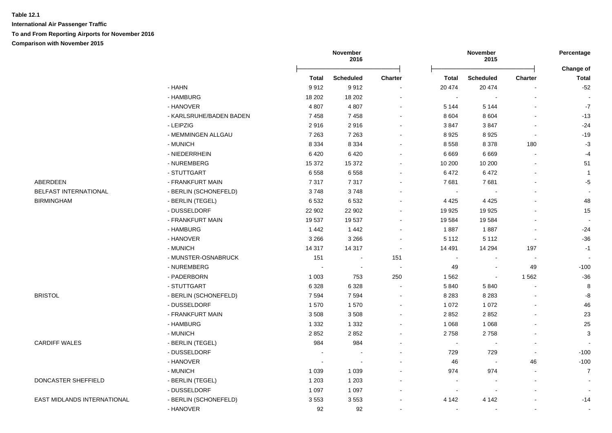**International Air Passenger Traffic To and From Reporting Airports for November 2016 Comparison with November 2015**

|                                            |                         |                          | November<br>2016         |                          |                 | November<br>2015 |                | Percentage           |
|--------------------------------------------|-------------------------|--------------------------|--------------------------|--------------------------|-----------------|------------------|----------------|----------------------|
|                                            |                         | Total                    |                          | Charter                  |                 | <b>Scheduled</b> | Charter        | Change of<br>Total   |
|                                            | - HAHN                  | 9912                     | <b>Scheduled</b><br>9912 | $\blacksquare$           | Total<br>20 474 | 20 474           |                | $-52$                |
|                                            | - HAMBURG               | 18 20 2                  | 18 20 2                  | $\blacksquare$           | $\blacksquare$  | $\blacksquare$   |                |                      |
|                                            | - HANOVER               | 4 8 0 7                  | 4 8 0 7                  |                          | 5 1 4 4         | 5 1 4 4          |                | $-7$                 |
|                                            | - KARLSRUHE/BADEN BADEN | 7458                     | 7458                     |                          | 8 6 0 4         | 8 6 0 4          |                | $-13$                |
|                                            | - LEIPZIG               | 2916                     | 2916                     |                          | 3847            | 3847             |                | $-24$                |
|                                            | - MEMMINGEN ALLGAU      | 7 2 6 3                  | 7 2 6 3                  |                          | 8 9 2 5         | 8925             | $\blacksquare$ | $-19$                |
|                                            | - MUNICH                | 8 3 3 4                  | 8 3 3 4                  |                          | 8558            | 8 3 7 8          | 180            | $-3$                 |
|                                            | - NIEDERRHEIN           | 6420                     | 6420                     |                          | 6 6 6 9         | 6669             |                | $-4$                 |
|                                            | - NUREMBERG             | 15 372                   | 15 372                   |                          | 10 200          | 10 200           |                |                      |
|                                            | - STUTTGART             | 6558                     | 6558                     |                          | 6472            | 6472             |                | 51<br>$\overline{1}$ |
| ABERDEEN                                   |                         |                          |                          |                          |                 |                  |                |                      |
|                                            | - FRANKFURT MAIN        | 7317                     | 7317                     |                          | 7681            | 7681             |                | $-5$                 |
| BELFAST INTERNATIONAL<br><b>BIRMINGHAM</b> | - BERLIN (SCHONEFELD)   | 3748<br>6532             | 3748                     |                          |                 |                  |                | 48                   |
|                                            | - BERLIN (TEGEL)        |                          | 6532                     |                          | 4 4 2 5         | 4 4 2 5          |                |                      |
|                                            | - DUSSELDORF            | 22 902                   | 22 902                   |                          | 19 9 25         | 19 9 25          |                | 15                   |
|                                            | - FRANKFURT MAIN        | 19537                    | 19537                    |                          | 19 5 84         | 19584            |                |                      |
|                                            | - HAMBURG               | 1442                     | 1442                     |                          | 1887            | 1887             |                | $-24$                |
|                                            | - HANOVER               | 3 2 6 6                  | 3 2 6 6                  | $\blacksquare$           | 5 1 1 2         | 5 1 1 2          | $\blacksquare$ | $-36$                |
|                                            | - MUNICH                | 14 3 17                  | 14 3 17                  | $\blacksquare$           | 14 4 91         | 14 294           | 197            | $-1$                 |
|                                            | - MUNSTER-OSNABRUCK     | 151                      | $\sim$                   | 151                      | $\sim$          |                  |                |                      |
|                                            | - NUREMBERG             | $\overline{\phantom{a}}$ | $\sim$                   | $\sim$                   | 49              | $\blacksquare$   | 49             | $-100$               |
|                                            | - PADERBORN             | 1 0 0 3                  | 753                      | 250                      | 1562            | $\blacksquare$   | 1 5 6 2        | $-36$                |
|                                            | - STUTTGART             | 6 3 28                   | 6 3 2 8                  |                          | 5 8 4 0         | 5 8 4 0          |                | $\bf 8$              |
| <b>BRISTOL</b>                             | - BERLIN (SCHONEFELD)   | 7 5 9 4                  | 7594                     |                          | 8 2 8 3         | 8 2 8 3          |                | -8                   |
|                                            | - DUSSELDORF            | 1570                     | 1570                     |                          | 1 0 7 2         | 1 0 7 2          |                | 46                   |
|                                            | - FRANKFURT MAIN        | 3508                     | 3508                     |                          | 2 8 5 2         | 2852             |                | 23                   |
|                                            | - HAMBURG               | 1 3 3 2                  | 1 3 3 2                  | $\overline{\phantom{a}}$ | 1 0 6 8         | 1 0 6 8          |                | 25                   |
|                                            | - MUNICH                | 2852                     | 2852                     |                          | 2758            | 2758             |                | 3                    |
| <b>CARDIFF WALES</b>                       | - BERLIN (TEGEL)        | 984                      | 984                      |                          | $\blacksquare$  |                  |                |                      |
|                                            | - DUSSELDORF            |                          |                          |                          | 729             | 729              |                | $-100$               |
|                                            | - HANOVER               |                          |                          |                          | 46              |                  | 46             | $-100$               |
|                                            | - MUNICH                | 1 0 3 9                  | 1 0 3 9                  |                          | 974             | 974              |                | $\overline{7}$       |
| DONCASTER SHEFFIELD                        | - BERLIN (TEGEL)        | 1 2 0 3                  | 1 2 0 3                  |                          | $\overline{a}$  |                  |                |                      |
|                                            | - DUSSELDORF            | 1 0 9 7                  | 1 0 9 7                  |                          |                 |                  |                |                      |
| EAST MIDLANDS INTERNATIONAL                | - BERLIN (SCHONEFELD)   | 3553                     | 3553                     |                          | 4 1 4 2         | 4 1 4 2          |                | $-14$                |
|                                            | - HANOVER               | 92                       | 92                       | $\blacksquare$           | $\sim$          | $\blacksquare$   |                | $\blacksquare$       |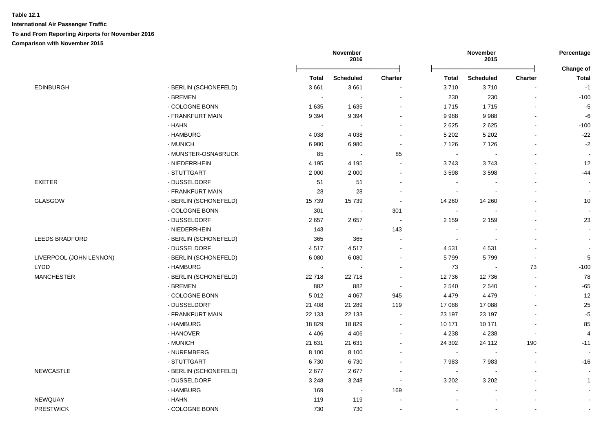|                         |                       |              | November<br>2016 |                          |                | November<br>2015 |                          | Percentage                |
|-------------------------|-----------------------|--------------|------------------|--------------------------|----------------|------------------|--------------------------|---------------------------|
|                         |                       | <b>Total</b> | Scheduled        | Charter                  | <b>Total</b>   | <b>Scheduled</b> | <b>Charter</b>           | Change of<br><b>Total</b> |
| <b>EDINBURGH</b>        | - BERLIN (SCHONEFELD) | 3661         | 3661             |                          | 3710           | 3710             |                          | $-1$                      |
|                         | - BREMEN              | $\sim$       | $\sim$           | $\sim$                   | 230            | 230              |                          | $-100$                    |
|                         | - COLOGNE BONN        | 1635         | 1635             | $\overline{\phantom{a}}$ | 1715           | 1715             |                          | $-5$                      |
|                         | - FRANKFURT MAIN      | 9 3 9 4      | 9 3 9 4          | $\sim$                   | 9988           | 9988             |                          | -6                        |
|                         | - HAHN                | $\sim$       |                  |                          | 2 6 2 5        | 2625             |                          | $-100$                    |
|                         | - HAMBURG             | 4 0 38       | 4 0 38           | $\overline{\phantom{a}}$ | 5 2 0 2        | 5 2 0 2          |                          | $-22$                     |
|                         | - MUNICH              | 6980         | 6980             | $\sim$                   | 7 1 2 6        | 7 1 2 6          |                          | $-2$                      |
|                         | - MUNSTER-OSNABRUCK   | 85           |                  | 85                       | $\sim$         |                  |                          |                           |
|                         | - NIEDERRHEIN         | 4 1 9 5      | 4 1 9 5          |                          | 3743           | 3743             |                          | 12                        |
|                         | - STUTTGART           | 2 0 0 0      | 2 0 0 0          | ÷                        | 3598           | 3598             |                          | $-44$                     |
| <b>EXETER</b>           | - DUSSELDORF          | 51           | 51               | $\sim$                   | $\overline{a}$ |                  |                          | $\sim$                    |
|                         | - FRANKFURT MAIN      | 28           | 28               | $\overline{\phantom{a}}$ | $\blacksquare$ |                  |                          | $\blacksquare$            |
| GLASGOW                 | - BERLIN (SCHONEFELD) | 15739        | 15739            | $\blacksquare$           | 14 260         | 14 260           |                          | 10                        |
|                         | - COLOGNE BONN        | 301          | $\sim$           | 301                      | $\sim$         |                  |                          | $\sim$                    |
|                         | - DUSSELDORF          | 2657         | 2657             | $\blacksquare$           | 2 1 5 9        | 2 1 5 9          |                          | 23                        |
|                         | - NIEDERRHEIN         | 143          | $\sim$           | 143                      | $\sim$         |                  |                          | $\blacksquare$            |
| <b>LEEDS BRADFORD</b>   | - BERLIN (SCHONEFELD) | 365          | 365              | $\overline{\phantom{a}}$ |                |                  |                          | $\blacksquare$            |
|                         | - DUSSELDORF          | 4517         | 4517             | $\sim$                   | 4531           | 4531             |                          | $\sim$                    |
| LIVERPOOL (JOHN LENNON) | - BERLIN (SCHONEFELD) | 6 0 8 0      | 6 0 8 0          |                          | 5799           | 5799             |                          | $\,$ 5 $\,$               |
| <b>LYDD</b>             | - HAMBURG             | $\sim$       |                  | $\overline{\phantom{a}}$ | 73             |                  | 73                       | $-100$                    |
| <b>MANCHESTER</b>       | - BERLIN (SCHONEFELD) | 22718        | 22718            |                          | 12 736         | 12736            |                          | 78                        |
|                         | - BREMEN              | 882          | 882              | $\sim$                   | 2 5 4 0        | 2 5 4 0          |                          | $-65$                     |
|                         | - COLOGNE BONN        | 5012         | 4 0 6 7          | 945                      | 4 4 7 9        | 4 4 7 9          |                          | 12                        |
|                         | - DUSSELDORF          | 21 408       | 21 289           | 119                      | 17 088         | 17 088           |                          | 25                        |
|                         | - FRANKFURT MAIN      | 22 133       | 22 133           |                          | 23 197         | 23 197           |                          | $-5$                      |
|                         | - HAMBURG             | 18829        | 18829            | ÷                        | 10 171         | 10 171           |                          | 85                        |
|                         | - HANOVER             | 4 4 0 6      | 4 4 0 6          | $\sim$                   | 4 2 3 8        | 4 2 3 8          | $\overline{\phantom{a}}$ | $\overline{4}$            |
|                         | - MUNICH              | 21 631       | 21 631           | $\sim$                   | 24 30 2        | 24 112           | 190                      | $-11$                     |
|                         | - NUREMBERG           | 8 1 0 0      | 8 1 0 0          | $\overline{\phantom{a}}$ | $\blacksquare$ | $\blacksquare$   |                          |                           |
|                         | - STUTTGART           | 6730         | 6730             | $\overline{\phantom{a}}$ | 7983           | 7983             |                          | $-16$                     |
| <b>NEWCASTLE</b>        | - BERLIN (SCHONEFELD) | 2677         | 2677             | $\overline{\phantom{a}}$ | $\blacksquare$ |                  |                          | $\blacksquare$            |
|                         | - DUSSELDORF          | 3 2 4 8      | 3 2 4 8          | $\overline{\phantom{a}}$ | 3 2 0 2        | 3 2 0 2          |                          | $\mathbf{1}$              |
|                         | - HAMBURG             | 169          | $\sim$           | 169                      |                |                  |                          |                           |
| <b>NEWQUAY</b>          | - HAHN                | 119          | 119              | $\blacksquare$           |                |                  |                          | $\blacksquare$            |
| <b>PRESTWICK</b>        | - COLOGNE BONN        | 730          | 730              |                          |                |                  |                          |                           |
|                         |                       |              |                  |                          |                |                  |                          |                           |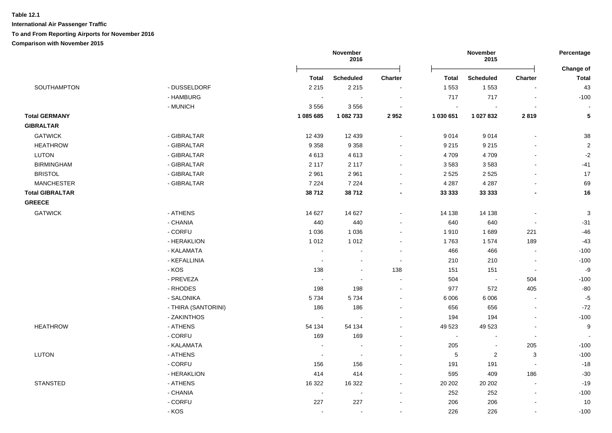|                        |                     |                | November<br>2016 |                          |                          | November<br>2015 |                          | Percentage                |
|------------------------|---------------------|----------------|------------------|--------------------------|--------------------------|------------------|--------------------------|---------------------------|
|                        |                     | <b>Total</b>   | <b>Scheduled</b> | Charter                  | <b>Total</b>             | <b>Scheduled</b> | <b>Charter</b>           | Change of<br><b>Total</b> |
| SOUTHAMPTON            | - DUSSELDORF        | 2 2 1 5        | 2 2 1 5          | $\blacksquare$           | 1 5 5 3                  | 1 5 5 3          |                          | 43                        |
|                        | - HAMBURG           | $\sim$         | $\sim$           | $\sim$                   | 717                      | 717              | $\sim$                   | $-100$                    |
|                        | - MUNICH            | 3556           | 3556             | $\blacksquare$           | $\overline{\phantom{a}}$ | $\sim$           |                          |                           |
| <b>Total GERMANY</b>   |                     | 1 085 685      | 1 082 733        | 2952                     | 1 030 651                | 1 027 832        | 2819                     | 5                         |
| <b>GIBRALTAR</b>       |                     |                |                  |                          |                          |                  |                          |                           |
| <b>GATWICK</b>         | - GIBRALTAR         | 12 4 39        | 12 4 39          | $\blacksquare$           | 9014                     | 9014             | $\overline{a}$           | 38                        |
| <b>HEATHROW</b>        | - GIBRALTAR         | 9 3 5 8        | 9 3 5 8          | $\blacksquare$           | 9 2 1 5                  | 9 2 1 5          | $\blacksquare$           | $\sqrt{2}$                |
| <b>LUTON</b>           | - GIBRALTAR         | 4613           | 4613             | $\overline{\phantom{a}}$ | 4 7 0 9                  | 4709             | $\blacksquare$           | $-2$                      |
| <b>BIRMINGHAM</b>      | - GIBRALTAR         | 2 1 1 7        | 2 1 1 7          | $\blacksquare$           | 3583                     | 3583             | $\overline{a}$           | $-41$                     |
| <b>BRISTOL</b>         | - GIBRALTAR         | 2 9 6 1        | 2961             | $\sim$                   | 2 5 2 5                  | 2 5 2 5          |                          | 17                        |
| <b>MANCHESTER</b>      | - GIBRALTAR         | 7 2 2 4        | 7 2 2 4          | $\blacksquare$           | 4 2 8 7                  | 4 2 8 7          |                          | 69                        |
| <b>Total GIBRALTAR</b> |                     | 38712          | 38712            | $\blacksquare$           | 33 333                   | 33 333           |                          | 16                        |
| <b>GREECE</b>          |                     |                |                  |                          |                          |                  |                          |                           |
| <b>GATWICK</b>         | - ATHENS            | 14 627         | 14 627           | $\blacksquare$           | 14 138                   | 14 138           | $\blacksquare$           | $\mathbf{3}$              |
|                        | - CHANIA            | 440            | 440              |                          | 640                      | 640              |                          | $-31$                     |
|                        | - CORFU             | 1 0 3 6        | 1 0 3 6          | $\blacksquare$           | 1910                     | 1689             | 221                      | $-46$                     |
|                        | - HERAKLION         | 1 0 1 2        | 1 0 1 2          | $\blacksquare$           | 1763                     | 1574             | 189                      | $-43$                     |
|                        | - KALAMATA          | $\sim$         | $\blacksquare$   | $\sim$                   | 466                      | 466              | $\overline{\phantom{a}}$ | $-100$                    |
|                        | - KEFALLINIA        | $\sim$         | $\blacksquare$   | $\sim$                   | 210                      | 210              | $\sim$                   | $-100$                    |
|                        | - KOS               | 138            | $\blacksquare$   | 138                      | 151                      | 151              | $\overline{\phantom{a}}$ | -9                        |
|                        | - PREVEZA           | $\sim$         | $\sim$           | $\sim$                   | 504                      | $\sim$           | 504                      | $-100$                    |
|                        | - RHODES            | 198            | 198              | $\blacksquare$           | 977                      | 572              | 405                      | $-80$                     |
|                        | - SALONIKA          | 5734           | 5734             | $\blacksquare$           | 6 0 0 6                  | 6 0 0 6          | $\sim$                   | $-5$                      |
|                        | - THIRA (SANTORINI) | 186            | 186              | $\blacksquare$           | 656                      | 656              | $\overline{\phantom{a}}$ | $-72$                     |
|                        | - ZAKINTHOS         | $\sim$         | $\sim$           | $\blacksquare$           | 194                      | 194              | $\overline{a}$           | $-100$                    |
| <b>HEATHROW</b>        | - ATHENS            | 54 134         | 54 134           | $\sim$                   | 49 5 23                  | 49 5 23          | $\overline{\phantom{a}}$ | 9                         |
|                        | - CORFU             | 169            | 169              | $\blacksquare$           | $\sim$                   | $\blacksquare$   | $\blacksquare$           | $\sim$                    |
|                        | - KALAMATA          | $\sim$         | $\blacksquare$   | $\blacksquare$           | 205                      | ÷,               | 205                      | $-100$                    |
| <b>LUTON</b>           | - ATHENS            | $\blacksquare$ | $\sim$           | $\overline{\phantom{a}}$ | 5                        | $\sqrt{2}$       | 3                        | $-100$                    |
|                        | - CORFU             | 156            | 156              |                          | 191                      | 191              | $\blacksquare$           | $-18$                     |
|                        | - HERAKLION         | 414            | 414              | $\sim$                   | 595                      | 409              | 186                      | $-30$                     |
| <b>STANSTED</b>        | - ATHENS            | 16 322         | 16 322           | $\sim$                   | 20 20 2                  | 20 20 2          | $\overline{\phantom{a}}$ | $-19$                     |
|                        | - CHANIA            | $\blacksquare$ | $\blacksquare$   | $\blacksquare$           | 252                      | 252              | $\sim$                   | $-100$                    |
|                        | - CORFU             | 227            | 227              |                          | 206                      | 206              | $\overline{a}$           | 10                        |
|                        | - KOS               | $\blacksquare$ | $\blacksquare$   | $\blacksquare$           | 226                      | 226              | $\blacksquare$           | $-100$                    |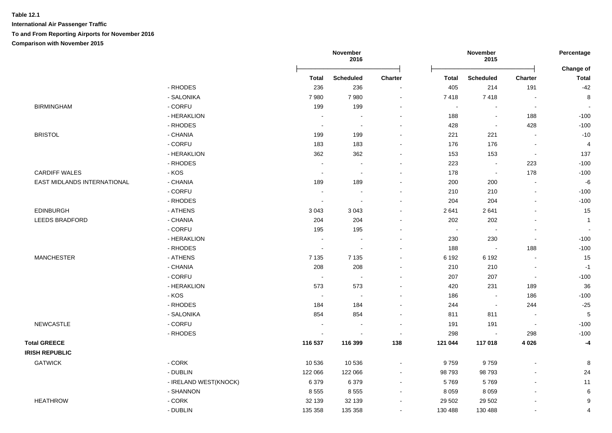| Change of<br><b>Charter</b><br><b>Total</b><br>$-42$<br>191<br>8<br>$\blacksquare$<br>$\blacksquare$<br>188<br>$-100$<br>428<br>$-100$<br>$-10$<br>$\sim$<br>$\overline{4}$<br>$\blacksquare$<br>137<br>$\blacksquare$<br>$-100$<br>223<br>178<br>$-100$<br>$-6$<br>$\sim$ |
|----------------------------------------------------------------------------------------------------------------------------------------------------------------------------------------------------------------------------------------------------------------------------|
|                                                                                                                                                                                                                                                                            |
|                                                                                                                                                                                                                                                                            |
|                                                                                                                                                                                                                                                                            |
|                                                                                                                                                                                                                                                                            |
|                                                                                                                                                                                                                                                                            |
|                                                                                                                                                                                                                                                                            |
|                                                                                                                                                                                                                                                                            |
|                                                                                                                                                                                                                                                                            |
|                                                                                                                                                                                                                                                                            |
|                                                                                                                                                                                                                                                                            |
|                                                                                                                                                                                                                                                                            |
|                                                                                                                                                                                                                                                                            |
| $-100$<br>L,                                                                                                                                                                                                                                                               |
| $-100$<br>$\overline{a}$                                                                                                                                                                                                                                                   |
| 15<br>$\overline{a}$                                                                                                                                                                                                                                                       |
| $\mathbf{1}$                                                                                                                                                                                                                                                               |
| $\overline{\phantom{a}}$                                                                                                                                                                                                                                                   |
| $-100$<br>$\overline{a}$                                                                                                                                                                                                                                                   |
| 188<br>$-100$                                                                                                                                                                                                                                                              |
| 15<br>L.                                                                                                                                                                                                                                                                   |
| $-1$<br>L,                                                                                                                                                                                                                                                                 |
| $-100$<br>$\sim$                                                                                                                                                                                                                                                           |
| 189<br>36                                                                                                                                                                                                                                                                  |
| $-100$<br>186                                                                                                                                                                                                                                                              |
| $-25$<br>244                                                                                                                                                                                                                                                               |
| 5<br>$\sim$                                                                                                                                                                                                                                                                |
| $-100$<br>$\sim$                                                                                                                                                                                                                                                           |
| $-100$<br>298                                                                                                                                                                                                                                                              |
| 4 0 26<br>$-4$                                                                                                                                                                                                                                                             |
|                                                                                                                                                                                                                                                                            |
| 8                                                                                                                                                                                                                                                                          |
| 24                                                                                                                                                                                                                                                                         |
| 11<br>$\overline{\phantom{a}}$                                                                                                                                                                                                                                             |
| 6<br>$\blacksquare$                                                                                                                                                                                                                                                        |
| 9                                                                                                                                                                                                                                                                          |
| 4<br>$\overline{a}$                                                                                                                                                                                                                                                        |
|                                                                                                                                                                                                                                                                            |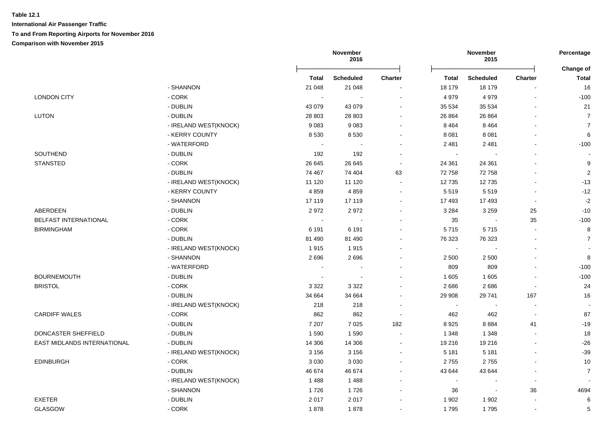|                             |                         |              | November<br>2016 |                          |              | November<br>2015         |                | Percentage<br>Change of  |
|-----------------------------|-------------------------|--------------|------------------|--------------------------|--------------|--------------------------|----------------|--------------------------|
|                             |                         | <b>Total</b> | <b>Scheduled</b> | <b>Charter</b>           | <b>Total</b> | <b>Scheduled</b>         | <b>Charter</b> | <b>Total</b>             |
|                             | - SHANNON               | 21 048       | 21 048           |                          | 18 179       | 18 179                   | $\blacksquare$ | 16                       |
| <b>LONDON CITY</b>          | - CORK                  | $\sim$       |                  | $\blacksquare$           | 4 9 7 9      | 4979                     | $\blacksquare$ | $-100$                   |
|                             | - DUBLIN                | 43 0 79      | 43 0 79          | $\sim$                   | 35 534       | 35 5 34                  |                | 21                       |
| LUTON                       | - DUBLIN                | 28 803       | 28 803           | $\sim$                   | 26 864       | 26 864                   | $\overline{a}$ | $\overline{7}$           |
|                             | - IRELAND WEST(KNOCK)   | 9083         | 9083             | $\sim$                   | 8 4 6 4      | 8 4 6 4                  | $\sim$         | $\overline{7}$           |
|                             | - KERRY COUNTY          | 8530         | 8530             | $\sim$                   | 8 0 8 1      | 8 0 8 1                  | $\sim$         | 6                        |
|                             | - WATERFORD             | $\sim$       |                  |                          | 2 4 8 1      | 2 4 8 1                  |                | $-100$                   |
| <b>SOUTHEND</b>             | - DUBLIN                | 192          | 192              | $\overline{\phantom{a}}$ | $\sim$       |                          | $\blacksquare$ |                          |
| <b>STANSTED</b>             | - CORK                  | 26 645       | 26 645           | $\sim$                   | 24 361       | 24 361                   | $\blacksquare$ | 9                        |
|                             | - DUBLIN                | 74 467       | 74 404           | 63                       | 72 758       | 72758                    |                | $\boldsymbol{2}$         |
|                             | - IRELAND WEST(KNOCK)   | 11 120       | 11 120           |                          | 12735        | 12735                    |                | $-13$                    |
|                             | - KERRY COUNTY          | 4859         | 4859             | $\sim$                   | 5519         | 5519                     | $\sim$         | $-12$                    |
|                             | - SHANNON               | 17 119       | 17 119           |                          | 17 493       | 17493                    | $\sim$         | $-2$                     |
| <b>ABERDEEN</b>             | - DUBLIN                | 2972         | 2972             |                          | 3 2 8 4      | 3 2 5 9                  | 25             | $-10$                    |
| BELFAST INTERNATIONAL       | - CORK                  | $\sim$       | $\sim$           |                          | 35           | $\sim$                   | 35             | $-100$                   |
| <b>BIRMINGHAM</b>           | - CORK                  | 6 1 9 1      | 6 1 9 1          |                          | 5715         | 5715                     | $\blacksquare$ | 8                        |
|                             | - DUBLIN                | 81 490       | 81 490           |                          | 76 323       | 76 323                   | $\sim$         | $\overline{7}$           |
|                             | - IRELAND WEST(KNOCK)   | 1915         | 1915             |                          | $\sim$       |                          |                |                          |
|                             | - SHANNON               | 2696         | 2696             | $\sim$                   | 2 500        | 2 500                    |                | 8                        |
|                             | - WATERFORD             | $\sim$       |                  |                          | 809          | 809                      | $\blacksquare$ | $-100$                   |
| <b>BOURNEMOUTH</b>          | - DUBLIN                | $\sim$       | $\sim$           | $\sim$                   | 1 605        | 1 605                    | $\blacksquare$ | $-100$                   |
| <b>BRISTOL</b>              | - CORK                  | 3 3 2 2      | 3 3 2 2          |                          | 2686         | 2686                     | $\sim$         | 24                       |
|                             | - DUBLIN                | 34 664       | 34 664           |                          | 29 908       | 29 741                   | 167            | 16                       |
|                             | - IRELAND WEST(KNOCK)   | 218          | 218              | $\overline{\phantom{a}}$ | $\sim$       | $\overline{\phantom{a}}$ | $\sim$         | $\overline{\phantom{a}}$ |
| <b>CARDIFF WALES</b>        | - CORK                  | 862          | 862              | $\blacksquare$           | 462          | 462                      | $\sim$         | 87                       |
|                             | - DUBLIN                | 7 207        | 7 0 2 5          | 182                      | 8925         | 8884                     | 41             | $-19$                    |
| DONCASTER SHEFFIELD         | - DUBLIN                | 1590         | 1590             |                          | 1 3 4 8      | 1 3 4 8                  |                | 18                       |
| EAST MIDLANDS INTERNATIONAL | - DUBLIN                | 14 30 6      | 14 30 6          | $\overline{\phantom{a}}$ | 19 216       | 19 216                   | $\sim$         | $-26$                    |
|                             | - IRELAND WEST(KNOCK)   | 3 1 5 6      | 3 1 5 6          | $\sim$                   | 5 1 8 1      | 5 1 8 1                  | $\sim$         | $-39$                    |
| <b>EDINBURGH</b>            | $\text{-}\mathsf{CORK}$ | 3 0 3 0      | 3 0 3 0          |                          | 2755         | 2755                     |                | 10                       |
|                             | - DUBLIN                | 46 674       | 46 674           |                          | 43 644       | 43 644                   | $\blacksquare$ | $\overline{7}$           |
|                             | - IRELAND WEST(KNOCK)   | 1488         | 1488             | $\sim$                   | $\sim$       | $\sim$                   | $\sim$         |                          |
|                             | - SHANNON               | 1726         | 1726             | $\blacksquare$           | 36           | $\blacksquare$           | 36             | 4694                     |
| <b>EXETER</b>               | - DUBLIN                | 2017         | 2017             |                          | 1 902        | 1 902                    | $\blacksquare$ | 6                        |
| <b>GLASGOW</b>              | - CORK                  | 1878         | 1878             | $\sim$                   | 1795         | 1795                     | $\blacksquare$ | 5                        |
|                             |                         |              |                  |                          |              |                          |                |                          |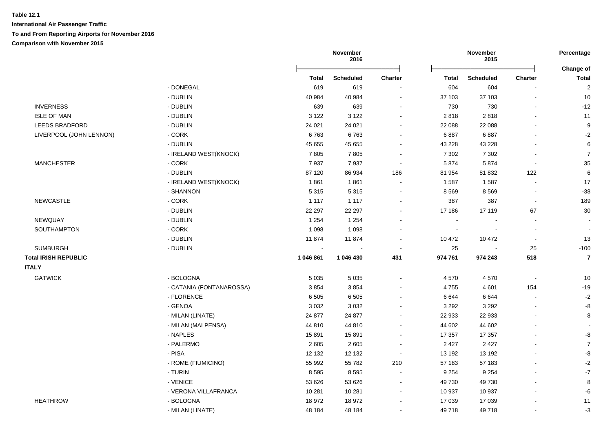|                             |                          |                | November<br>2016 |                |                | November<br>2015 |                          | Percentage                |
|-----------------------------|--------------------------|----------------|------------------|----------------|----------------|------------------|--------------------------|---------------------------|
|                             |                          | <b>Total</b>   | <b>Scheduled</b> | <b>Charter</b> | <b>Total</b>   | <b>Scheduled</b> | Charter                  | Change of<br><b>Total</b> |
|                             | - DONEGAL                | 619            | 619              |                | 604            | 604              |                          | $\overline{2}$            |
|                             | - DUBLIN                 | 40 984         | 40 984           | $\sim$         | 37 103         | 37 103           | $\blacksquare$           | 10                        |
| <b>INVERNESS</b>            | - DUBLIN                 | 639            | 639              |                | 730            | 730              |                          | $-12$                     |
| <b>ISLE OF MAN</b>          | - DUBLIN                 | 3 1 2 2        | 3 1 2 2          |                | 2818           | 2818             | $\blacksquare$           | 11                        |
| <b>LEEDS BRADFORD</b>       | - DUBLIN                 | 24 0 21        | 24 0 21          |                | 22 088         | 22 088           |                          | 9                         |
| LIVERPOOL (JOHN LENNON)     | - CORK                   | 6763           | 6763             |                | 6887           | 6887             |                          | $-2$                      |
|                             | - DUBLIN                 | 45 655         | 45 655           |                | 43 228         | 43 228           |                          | 6                         |
|                             | - IRELAND WEST(KNOCK)    | 7805           | 7805             | $\sim$         | 7 3 0 2        | 7 3 0 2          | ÷.                       | $\overline{7}$            |
| <b>MANCHESTER</b>           | $-CORK$                  | 7937           | 7937             | $\sim$         | 5874           | 5874             | $\blacksquare$           | 35                        |
|                             | - DUBLIN                 | 87 120         | 86 934           | 186            | 81 954         | 81 832           | 122                      | 6                         |
|                             | - IRELAND WEST(KNOCK)    | 1861           | 1861             | $\sim$         | 1587           | 1587             | $\blacksquare$           | 17                        |
|                             | - SHANNON                | 5 3 1 5        | 5 3 1 5          |                | 8569           | 8569             | $\overline{a}$           | $-38$                     |
| <b>NEWCASTLE</b>            | - CORK                   | 1 1 1 7        | 1 1 1 7          |                | 387            | 387              | $\blacksquare$           | 189                       |
|                             | - DUBLIN                 | 22 297         | 22 297           |                | 17 186         | 17 119           | 67                       | 30                        |
| NEWQUAY                     | - DUBLIN                 | 1 2 5 4        | 1 2 5 4          | $\sim$         | $\sim$         |                  | $\sim$                   |                           |
| SOUTHAMPTON                 | $-CORK$                  | 1 0 9 8        | 1 0 9 8          |                | $\blacksquare$ | $\blacksquare$   | $\blacksquare$           | $\blacksquare$            |
|                             | - DUBLIN                 | 11874          | 11874            |                | 10 472         | 10 472           | $\blacksquare$           | 13                        |
| <b>SUMBURGH</b>             | - DUBLIN                 | $\blacksquare$ |                  |                | 25             | $\blacksquare$   | 25                       | $-100$                    |
| <b>Total IRISH REPUBLIC</b> |                          | 1 046 861      | 1 046 430        | 431            | 974 761        | 974 243          | 518                      | $\overline{7}$            |
| <b>ITALY</b>                |                          |                |                  |                |                |                  |                          |                           |
| <b>GATWICK</b>              | - BOLOGNA                | 5 0 3 5        | 5 0 3 5          | $\sim$         | 4570           | 4570             | $\blacksquare$           | 10                        |
|                             | - CATANIA (FONTANAROSSA) | 3854           | 3854             |                | 4755           | 4 601            | 154                      | $-19$                     |
|                             | - FLORENCE               | 6 5 0 5        | 6505             |                | 6644           | 6644             |                          | $-2$                      |
|                             | - GENOA                  | 3 0 3 2        | 3 0 3 2          |                | 3 2 9 2        | 3 2 9 2          | $\overline{\phantom{a}}$ | -8                        |
|                             | - MILAN (LINATE)         | 24 877         | 24 877           | $\sim$         | 22 933         | 22 933           | $\blacksquare$           | 8                         |
|                             | - MILAN (MALPENSA)       | 44 810         | 44 810           | $\sim$         | 44 602         | 44 602           | $\overline{\phantom{a}}$ |                           |
|                             | - NAPLES                 | 15891          | 15 891           | $\sim$         | 17 357         | 17 357           | $\blacksquare$           | -8                        |
|                             | - PALERMO                | 2605           | 2605             | $\sim$         | 2 4 2 7        | 2 4 2 7          | $\blacksquare$           | $\overline{7}$            |
|                             | - PISA                   | 12 132         | 12 132           | $\sim$         | 13 192         | 13 192           | $\blacksquare$           | -8                        |
|                             | - ROME (FIUMICINO)       | 55 992         | 55 782           | 210            | 57 183         | 57 183           |                          | $-2$                      |
|                             | - TURIN                  | 8595           | 8595             | $\sim$         | 9 2 5 4        | 9 2 5 4          | $\overline{a}$           | $-7$                      |
|                             | - VENICE                 | 53 626         | 53 626           | $\sim$         | 49 730         | 49 730           | $\blacksquare$           | 8                         |
|                             | - VERONA VILLAFRANCA     | 10 281         | 10 281           | $\sim$         | 10 937         | 10 937           | $\blacksquare$           | -6                        |
| <b>HEATHROW</b>             | - BOLOGNA                | 18 972         | 18 972           |                | 17 039         | 17 039           | $\blacksquare$           | 11                        |
|                             | - MILAN (LINATE)         | 48 184         | 48 184           |                | 49 718         | 49718            |                          | $-3$                      |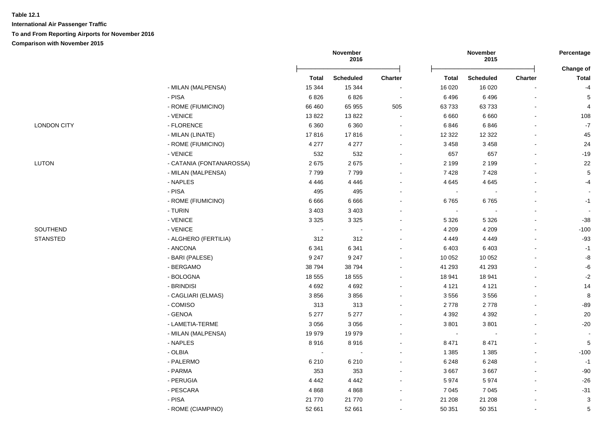**International Air Passenger Traffic To and From Reporting Airports for November 2016 Comparison with November 2015**

**November 2016 November 2015 Percentage** Ōņņņņņņņņņņņņņņņņņņņņņņņņō Ōņņņņņņņņņņņņņņņņņņņņņņņņō **Change of Total Scheduled Charter Total Scheduled Charter Total** 4- NILAN (MALPENSA) 15 344 15 344 - 16 020 16 020 - -4 HEATHROW - PISA 6 826 6 826 - 6 496 6 496 - 5 - ROME (FIUMICINO) 66 460 65 955 505 63 733 63 733 - 4 Heather - VENICE 108 - 13 822 - 13 822 - 13 822 - 13 822 - 13 822 - 13 822 - 13 822 - 108 - 108 - 108 LONDON CITY - FLORENCE 6 360 6 360 - 6 846 6 846 - -7 - MILAN (LINATE) 17 816 17 816 - 12 322 12 322 - 45 - ROME (FIUMICINO) 4 277 4 277 - 3 458 3 458 - 24 LONDON CITY - VENICE 532 532 - 657 657 - -19 LUTON - CATANIA (FONTANAROSSA) 2 675 2 675 - 2 199 2 199 - 22 - MILAN (MALPENSA) 7 799 7 799 - 7 428 7 428 - 5 LUTON - NAPLES 4 446 4 446 - 4 645 4 645 - -4 евично процента на 195 марта 1995 година на 1995 година, која се постајува на 1995 године на 1996 године на 19 - ROME (FIUMICINO) 6 666 6 666 - 6 765 6 765 -1 -1 С в процесс в страници по процесс в страници на неговорите за 1933 году в страници по страници по страници при<br>В 1932 году в 1933 году в 1934 году в 1938 году в 1938 году в 1938 году в 1939 году в 1939 году в 1939 году в لاح المساحة - VENICE بالتاب - التي تشكيل المساحة 3 325 - 3 325 - 3 325 - 3 326 - 3 - 387 - 388 - 389 - 38 SOUTHEND - VENICE - - - 4 209 4 209 - -100 STANSTED - ALGHERO (FERTILIA) 312 312 - 4 449 4 449 - -93 STANSTED - ANCONA 6 341 6 341 - 6 403 6 403 - -1 STANSTED - BARI (PALESE) 9 247 9 247 - 10 052 10 052 - -8 STANSTED - BERGAMO 38 794 38 794 - 41 293 41 293 - -6 STANSTED - BOLOGNA 18 555 18 555 - 18 941 18 941 - -2 STANSTED - BRINDISI 4 692 4 692 - 4 121 4 121 - 14 STANSTED - CAGLIARI (ELMAS) 3 856 3 856 - 3 556 3 556 - 8 STANSTED - COMISO 313 313 - 2 778 2 778 - -89 STANSTED - GENOA 5 277 5 277 - 4 392 4 392 - 20 STANSTED - LAMETIA-TERME 3 056 3 056 - 3 801 3 801 - -20 STANSTED - MILAN (MALPENSA) 19 979 19 979 - - - - - STAND - NAPLES 2 1 2 3 471 8 471 8 471 3 471 3 471 3 471 3 471 3 471 3 471 3 471 4 5 471 3 471 4 5 471 4 5 471 STANSTED - OLBIA - - - 1 385 1 385 - -100 STANSTED - PALERMO 6 210 6 210 - 6 248 6 248 - -1 STANSTED - PARMA 353 353 - 3 667 3 667 - -90 STANSTED - PERUGIA 4 442 4 442 - 5 974 5 974 - -26 STANSTED - PESCARA 4 868 4 868 - 7 045 7 045 - -31

 STANSTED - PISA 21 770 21 770 - 21 208 21 208 - 3 - ROME (CIAMPINO) 52 661 52 661 - 50 351 50 351 - 5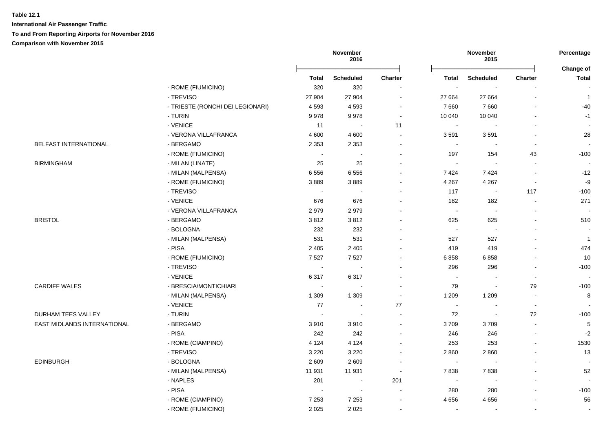**International Air Passenger Traffic**

**To and From Reporting Airports for November 2016**

**Comparison with November 2015**

|                              |                                  |                       | November<br>2016 |                          |                             | November<br>2015         |                          | Percentage                |
|------------------------------|----------------------------------|-----------------------|------------------|--------------------------|-----------------------------|--------------------------|--------------------------|---------------------------|
|                              |                                  | <b>Total</b>          | <b>Scheduled</b> | <b>Charter</b>           | <b>Total</b>                | <b>Scheduled</b>         | <b>Charter</b>           | Change of<br><b>Total</b> |
|                              | - ROME (FIUMICINO)               | 320                   | 320              | $\overline{\phantom{a}}$ | $\overline{\phantom{a}}$    |                          |                          |                           |
|                              | - TREVISO                        | 27 904                | 27 904           | $\sim$                   | 27 664                      | 27 664                   | $\overline{a}$           | $\mathbf{1}$              |
|                              | - TRIESTE (RONCHI DEI LEGIONARI) | 4 5 9 3               | 4593             | $\blacksquare$           | 7 6 6 0                     | 7660                     |                          | $-40$                     |
|                              | - TURIN                          | 9978                  | 9978             | $\blacksquare$           | 10 040                      | 10 040                   | $\blacksquare$           | $-1$                      |
|                              | - VENICE                         | 11                    | $\blacksquare$   | 11                       | $\blacksquare$              |                          | $\overline{\phantom{a}}$ |                           |
|                              | - VERONA VILLAFRANCA             | 4 600                 | 4600             | $\sim$                   | 3591                        | 3591                     | $\sim$                   | 28                        |
| <b>BELFAST INTERNATIONAL</b> | - BERGAMO                        | 2 3 5 3               | 2 3 5 3          | $\blacksquare$           | $\sim$                      | $\overline{\phantom{a}}$ | $\overline{\phantom{a}}$ |                           |
|                              | - ROME (FIUMICINO)               | $\sim$                |                  | $\overline{\phantom{a}}$ | 197                         | 154                      | 43                       | $-100$                    |
| <b>BIRMINGHAM</b>            | - MILAN (LINATE)                 | 25                    | 25               | $\overline{a}$           | $\sim$                      |                          | $\overline{\phantom{0}}$ |                           |
|                              | - MILAN (MALPENSA)               | 6556                  | 6556             |                          | 7424                        | 7424                     |                          | $-12$                     |
|                              | - ROME (FIUMICINO)               | 3889                  | 3889             |                          | 4 2 6 7                     | 4 2 6 7                  | $\blacksquare$           | $-9$                      |
|                              | - TREVISO                        | $\sim$                | $\sim$           | ÷                        | 117                         | $\overline{\phantom{a}}$ | 117                      | $-100$                    |
|                              | - VENICE                         | 676                   | 676              |                          | 182                         | 182                      | $\sim$                   | 271                       |
|                              | - VERONA VILLAFRANCA             | 2979                  | 2979             |                          | $\mathcal{L}_{\mathbf{r}}$  | $\sim$                   | $\sim$                   |                           |
| <b>BRISTOL</b>               | - BERGAMO                        | 3812                  | 3812             |                          | 625                         | 625                      | $\blacksquare$           | 510                       |
|                              | - BOLOGNA                        | 232                   | 232              | $\overline{\phantom{a}}$ | $\sim$                      | $\overline{\phantom{a}}$ | $\mathbf{r}$             |                           |
|                              | - MILAN (MALPENSA)               | 531                   | 531              |                          | 527                         | 527                      |                          | $\mathbf{1}$              |
|                              | - PISA                           | 2 4 0 5               | 2 4 0 5          |                          | 419                         | 419                      | L,                       | 474                       |
|                              | - ROME (FIUMICINO)               | 7527                  | 7527             |                          | 6858                        | 6858                     | $\overline{\phantom{a}}$ | 10                        |
|                              | - TREVISO                        | $\tilde{\phantom{a}}$ |                  |                          | 296                         | 296                      | $\blacksquare$           | $-100$                    |
|                              | - VENICE                         | 6317                  | 6317             |                          | $\mathcal{L}_{\mathcal{A}}$ |                          | $\blacksquare$           | $\sim$                    |
| <b>CARDIFF WALES</b>         | - BRESCIA/MONTICHIARI            | $\sim$                | ÷,               | $\overline{a}$           | 79                          | $\overline{\phantom{a}}$ | 79                       | $-100$                    |
|                              | - MILAN (MALPENSA)               | 1 3 0 9               | 1 3 0 9          | $\sim$                   | 1 2 0 9                     | 1 2 0 9                  | $\overline{\phantom{a}}$ | 8                         |
|                              | - VENICE                         | 77                    | $\sim$           | 77                       | $\sim$                      |                          | $\overline{\phantom{a}}$ |                           |
| DURHAM TEES VALLEY           | - TURIN                          | $\sim$                | $\overline{a}$   |                          | 72                          | $\overline{\phantom{a}}$ | 72                       | $-100$                    |
| EAST MIDLANDS INTERNATIONAL  | - BERGAMO                        | 3910                  | 3910             | $\overline{a}$           | 3709                        | 3709                     | L,                       | $5\phantom{.0}$           |
|                              | - PISA                           | 242                   | 242              | ÷                        | 246                         | 246                      | $\mathbf{r}$             | $-2$                      |
|                              | - ROME (CIAMPINO)                | 4 1 2 4               | 4 1 2 4          | $\sim$                   | 253                         | 253                      | $\mathbf{r}$             | 1530                      |
|                              | - TREVISO                        | 3 2 2 0               | 3 2 2 0          | $\blacksquare$           | 2860                        | 2860                     | $\blacksquare$           | 13                        |
| <b>EDINBURGH</b>             | - BOLOGNA                        | 2 6 0 9               | 2609             | $\blacksquare$           | $\sim$                      | $\overline{\phantom{a}}$ | $\sim$                   |                           |
|                              | - MILAN (MALPENSA)               | 11 931                | 11 931           | $\blacksquare$           | 7838                        | 7838                     | $\blacksquare$           | 52                        |
|                              | - NAPLES                         | 201                   | $\blacksquare$   | 201                      | $\sim$                      | $\overline{\phantom{a}}$ | $\blacksquare$           | $\blacksquare$            |
|                              | - PISA                           |                       | $\blacksquare$   | $\overline{\phantom{a}}$ | 280                         | 280                      | $\overline{a}$           | $-100$                    |
|                              | - ROME (CIAMPINO)                | 7 2 5 3               | 7 2 5 3          | $\overline{\phantom{a}}$ | 4656                        | 4 6 5 6                  | $\blacksquare$           | 56                        |
|                              |                                  |                       |                  |                          |                             |                          |                          |                           |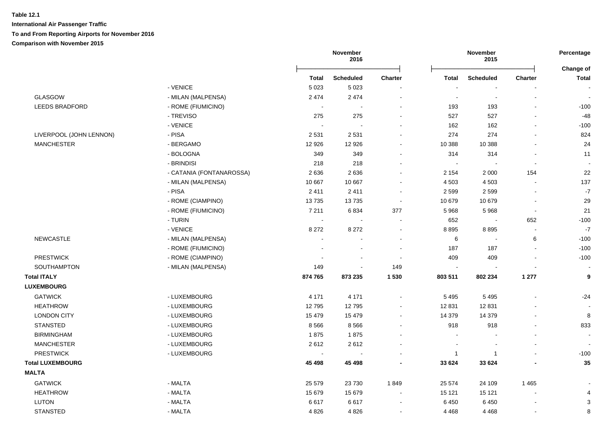|                         |                          |              | November<br>2016 |                |                          | November<br>2015 |         | Percentage                |
|-------------------------|--------------------------|--------------|------------------|----------------|--------------------------|------------------|---------|---------------------------|
|                         |                          | <b>Total</b> | <b>Scheduled</b> | <b>Charter</b> | <b>Total</b>             | <b>Scheduled</b> | Charter | Change of<br><b>Total</b> |
|                         | - VENICE                 | 5 0 23       | 5 0 2 3          |                |                          |                  |         |                           |
| <b>GLASGOW</b>          | - MILAN (MALPENSA)       | 2474         | 2 4 7 4          |                | $\overline{\phantom{a}}$ | $\blacksquare$   |         |                           |
| <b>LEEDS BRADFORD</b>   | - ROME (FIUMICINO)       |              | $\blacksquare$   |                | 193                      | 193              |         | $-100$                    |
|                         | - TREVISO                | 275          | 275              |                | 527                      | 527              |         | $-48$                     |
|                         | - VENICE                 | $\sim$       |                  |                | 162                      | 162              |         | $-100$                    |
| LIVERPOOL (JOHN LENNON) | - PISA                   | 2 5 3 1      | 2531             |                | 274                      | 274              |         | 824                       |
| <b>MANCHESTER</b>       | - BERGAMO                | 12 9 26      | 12 9 26          |                | 10 388                   | 10 388           |         | 24                        |
|                         | - BOLOGNA                | 349          | 349              |                | 314                      | 314              |         | 11                        |
|                         | - BRINDISI               | 218          | 218              |                |                          |                  |         |                           |
|                         | - CATANIA (FONTANAROSSA) | 2636         | 2636             |                | 2 1 5 4                  | 2 0 0 0          | 154     | 22                        |
|                         | - MILAN (MALPENSA)       | 10 667       | 10 667           |                | 4 5 0 3                  | 4 5 0 3          |         | 137                       |
|                         | - PISA                   | 2411         | 2411             |                | 2 5 9 9                  | 2599             |         | $\mathbf{-7}$             |
|                         | - ROME (CIAMPINO)        | 13735        | 13735            | $\blacksquare$ | 10 679                   | 10 679           |         | 29                        |
|                         | - ROME (FIUMICINO)       | 7 2 1 1      | 6834             | 377            | 5968                     | 5 9 6 8          | $\sim$  | 21                        |
|                         | - TURIN                  | $\sim$       | $\blacksquare$   | $\blacksquare$ | 652                      | $\blacksquare$   | 652     | $-100$                    |
|                         | - VENICE                 | 8 2 7 2      | 8 2 7 2          | $\blacksquare$ | 8895                     | 8895             | $\sim$  | $\mathbf{-7}$             |
| <b>NEWCASTLE</b>        | - MILAN (MALPENSA)       | $\sim$       |                  |                | 6                        | $\blacksquare$   | 6       | $-100$                    |
|                         | - ROME (FIUMICINO)       |              |                  |                | 187                      | 187              |         | $-100$                    |
| <b>PRESTWICK</b>        | - ROME (CIAMPINO)        |              | $\blacksquare$   | $\sim$         | 409                      | 409              |         | $-100$                    |
| SOUTHAMPTON             | - MILAN (MALPENSA)       | 149          |                  | 149            | $\sim$                   |                  |         | $\sim$                    |
| <b>Total ITALY</b>      |                          | 874 765      | 873 235          | 1 5 3 0        | 803 511                  | 802 234          | 1 277   | 9                         |
| <b>LUXEMBOURG</b>       |                          |              |                  |                |                          |                  |         |                           |
| <b>GATWICK</b>          | - LUXEMBOURG             | 4 1 7 1      | 4 1 7 1          |                | 5 4 9 5                  | 5 4 9 5          |         | $-24$                     |
| <b>HEATHROW</b>         | - LUXEMBOURG             | 12795        | 12795            |                | 12 831                   | 12 8 31          |         |                           |
| <b>LONDON CITY</b>      | - LUXEMBOURG             | 15 4 79      | 15 4 79          | $\sim$         | 14 379                   | 14 3 79          |         | 8                         |
| <b>STANSTED</b>         | - LUXEMBOURG             | 8566         | 8566             |                | 918                      | 918              |         | 833                       |
| <b>BIRMINGHAM</b>       | - LUXEMBOURG             | 1875         | 1875             |                | $\blacksquare$           |                  |         |                           |
| <b>MANCHESTER</b>       | - LUXEMBOURG             | 2612         | 2612             |                |                          |                  |         |                           |
| <b>PRESTWICK</b>        | - LUXEMBOURG             |              |                  |                | $\mathbf{1}$             | $\overline{1}$   |         | $-100$                    |
| <b>Total LUXEMBOURG</b> |                          | 45 4 98      | 45 4 98          |                | 33 624                   | 33 624           |         | 35                        |
| <b>MALTA</b>            |                          |              |                  |                |                          |                  |         |                           |
| <b>GATWICK</b>          | - MALTA                  | 25 5 79      | 23 7 30          | 1849           | 25 574                   | 24 109           | 1465    |                           |
| <b>HEATHROW</b>         | - MALTA                  | 15 679       | 15 679           |                | 15 121                   | 15 121           |         | $\overline{4}$            |
| <b>LUTON</b>            | - MALTA                  | 6617         | 6617             |                | 6 4 5 0                  | 6450             |         | 3                         |
| <b>STANSTED</b>         | - MALTA                  | 4826         | 4 8 2 6          |                | 4 4 6 8                  | 4 4 6 8          |         | 8                         |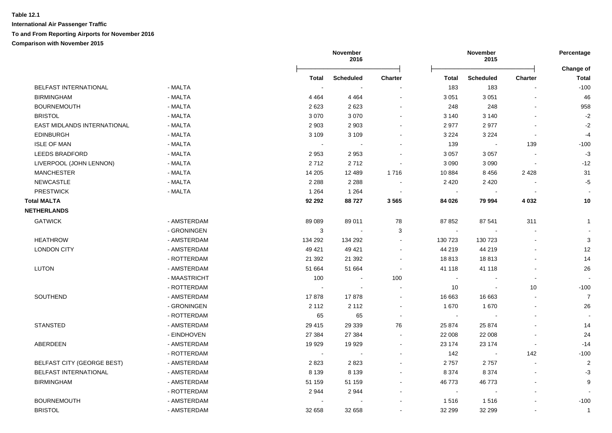|                                   |              |         | November<br>2016 |                          |                | November<br>2015 |                          |                           |
|-----------------------------------|--------------|---------|------------------|--------------------------|----------------|------------------|--------------------------|---------------------------|
|                                   |              | Total   | <b>Scheduled</b> | <b>Charter</b>           | Total          | <b>Scheduled</b> | <b>Charter</b>           | Change of<br><b>Total</b> |
| BELFAST INTERNATIONAL             | - MALTA      |         |                  |                          | 183            | 183              |                          | $-100$                    |
| <b>BIRMINGHAM</b>                 | - MALTA      | 4 4 6 4 | 4 4 6 4          | $\blacksquare$           | 3 0 5 1        | 3 0 5 1          | $\overline{\phantom{a}}$ | 46                        |
| <b>BOURNEMOUTH</b>                | - MALTA      | 2623    | 2623             |                          | 248            | 248              |                          | 958                       |
| <b>BRISTOL</b>                    | - MALTA      | 3 0 7 0 | 3 0 7 0          | $\blacksquare$           | 3 140          | 3 1 4 0          | $\blacksquare$           | $-2$                      |
| EAST MIDLANDS INTERNATIONAL       | - MALTA      | 2 9 0 3 | 2 9 0 3          |                          | 2977           | 2977             |                          | $-2$                      |
| <b>EDINBURGH</b>                  | - MALTA      | 3 1 0 9 | 3 1 0 9          |                          | 3 2 2 4        | 3 2 2 4          |                          | $-4$                      |
| <b>ISLE OF MAN</b>                | - MALTA      |         |                  |                          | 139            |                  | 139                      | $-100$                    |
| <b>LEEDS BRADFORD</b>             | - MALTA      | 2953    | 2953             |                          | 3 0 5 7        | 3 0 5 7          |                          | $-3$                      |
| LIVERPOOL (JOHN LENNON)           | - MALTA      | 2712    | 2712             |                          | 3 0 9 0        | 3 0 9 0          |                          | $-12$                     |
| <b>MANCHESTER</b>                 | - MALTA      | 14 205  | 12 489           | 1716                     | 10 884         | 8 4 5 6          | 2 4 2 8                  | 31                        |
| NEWCASTLE                         | - MALTA      | 2 2 8 8 | 2 2 8 8          |                          | 2 4 2 0        | 2 4 2 0          |                          | $-5$                      |
| <b>PRESTWICK</b>                  | - MALTA      | 1 2 6 4 | 1 2 6 4          |                          | $\blacksquare$ |                  |                          |                           |
| <b>Total MALTA</b>                |              | 92 292  | 88727            | 3565                     | 84 026         | 79 994           | 4 0 3 2                  | 10                        |
| <b>NETHERLANDS</b>                |              |         |                  |                          |                |                  |                          |                           |
| <b>GATWICK</b>                    | - AMSTERDAM  | 89 089  | 89 011           | 78                       | 87 852         | 87 541           | 311                      | $\mathbf{1}$              |
|                                   | - GRONINGEN  | 3       |                  | 3                        | $\blacksquare$ |                  |                          |                           |
| <b>HEATHROW</b>                   | - AMSTERDAM  | 134 292 | 134 292          | $\sim$                   | 130 723        | 130 723          |                          | $\sqrt{3}$                |
| <b>LONDON CITY</b>                | - AMSTERDAM  | 49 4 21 | 49 4 21          | $\blacksquare$           | 44 219         | 44 219           |                          | 12                        |
|                                   | - ROTTERDAM  | 21 392  | 21 392           | $\blacksquare$           | 18813          | 18813            |                          | 14                        |
| LUTON                             | - AMSTERDAM  | 51 664  | 51 664           | $\sim$                   | 41 118         | 41 118           |                          | 26                        |
|                                   | - MAASTRICHT | 100     |                  | 100                      | $\sim$         |                  | $\overline{\phantom{a}}$ |                           |
|                                   | - ROTTERDAM  |         |                  | $\blacksquare$           | 10             | $\blacksquare$   | 10                       | $-100$                    |
| SOUTHEND                          | - AMSTERDAM  | 17878   | 17878            | $\overline{\phantom{a}}$ | 16 663         | 16 663           | $\sim$                   | $\overline{7}$            |
|                                   | - GRONINGEN  | 2 1 1 2 | 2 1 1 2          | $\blacksquare$           | 1670           | 1670             | $\overline{\phantom{a}}$ | 26                        |
|                                   | - ROTTERDAM  | 65      | 65               | $\sim$                   | $\sim$         |                  |                          |                           |
| <b>STANSTED</b>                   | - AMSTERDAM  | 29 4 15 | 29 339           | 76                       | 25 874         | 25 874           |                          | 14                        |
|                                   | - EINDHOVEN  | 27 384  | 27 384           | $\blacksquare$           | 22 008         | 22 008           |                          | 24                        |
| ABERDEEN                          | - AMSTERDAM  | 19 929  | 19 929           | $\blacksquare$           | 23 174         | 23 174           |                          | $-14$                     |
|                                   | - ROTTERDAM  |         |                  |                          | 142            |                  | 142                      | $-100$                    |
| <b>BELFAST CITY (GEORGE BEST)</b> | - AMSTERDAM  | 2823    | 2823             |                          | 2757           | 2757             | $\overline{a}$           | $\overline{c}$            |
| BELFAST INTERNATIONAL             | - AMSTERDAM  | 8 1 3 9 | 8 1 3 9          |                          | 8 3 7 4        | 8 3 7 4          | $\blacksquare$           | $-3$                      |
| <b>BIRMINGHAM</b>                 | - AMSTERDAM  | 51 159  | 51 159           | $\blacksquare$           | 46773          | 46773            | $\blacksquare$           | 9                         |
|                                   | - ROTTERDAM  | 2944    | 2944             |                          | $\sim$         | $\blacksquare$   |                          |                           |
| <b>BOURNEMOUTH</b>                | - AMSTERDAM  |         |                  |                          | 1516           | 1516             |                          | $-100$                    |
| <b>BRISTOL</b>                    | - AMSTERDAM  | 32 658  | 32 658           |                          | 32 299         | 32 299           |                          | $\mathbf{1}$              |
|                                   |              |         |                  |                          |                |                  |                          |                           |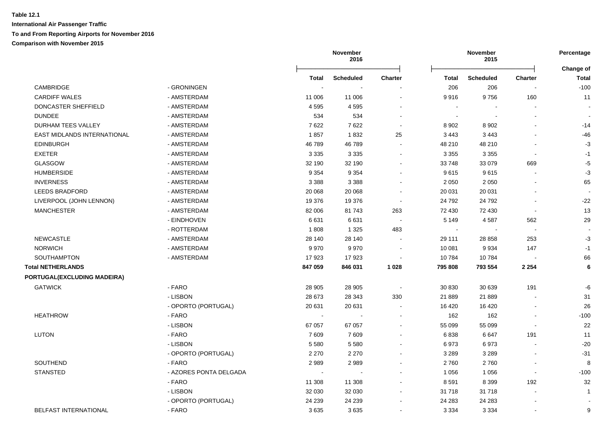|                             |                        |         | November<br>2016 |                |              | November<br>2015 |                          | Percentage<br>Change of |
|-----------------------------|------------------------|---------|------------------|----------------|--------------|------------------|--------------------------|-------------------------|
|                             |                        | Total   | <b>Scheduled</b> | <b>Charter</b> | Total        | <b>Scheduled</b> | <b>Charter</b>           | Total                   |
| CAMBRIDGE                   | - GRONINGEN            |         |                  |                | 206          | 206              |                          | $-100$                  |
| <b>CARDIFF WALES</b>        | - AMSTERDAM            | 11 006  | 11 006           | $\blacksquare$ | 9916         | 9756             | 160                      | 11                      |
| DONCASTER SHEFFIELD         | - AMSTERDAM            | 4595    | 4595             |                | $\sim$       |                  |                          |                         |
| <b>DUNDEE</b>               | - AMSTERDAM            | 534     | 534              |                | $\sim$       |                  |                          | $\blacksquare$          |
| DURHAM TEES VALLEY          | - AMSTERDAM            | 7622    | 7622             |                | 8 9 0 2      | 8 9 0 2          |                          | $-14$                   |
| EAST MIDLANDS INTERNATIONAL | - AMSTERDAM            | 1857    | 1832             | 25             | 3 4 4 3      | 3 4 4 3          |                          | $-46$                   |
| <b>EDINBURGH</b>            | - AMSTERDAM            | 46789   | 46789            |                | 48 210       | 48 210           |                          | $-3$                    |
| <b>EXETER</b>               | - AMSTERDAM            | 3 3 3 5 | 3 3 3 5          |                | 3 3 5 5      | 3 3 5 5          |                          | $-1$                    |
| <b>GLASGOW</b>              | - AMSTERDAM            | 32 190  | 32 190           |                | 33 748       | 33 079           | 669                      | $-5$                    |
| <b>HUMBERSIDE</b>           | - AMSTERDAM            | 9 3 5 4 | 9 3 5 4          |                | 9615         | 9615             |                          | $-3$                    |
| <b>INVERNESS</b>            | - AMSTERDAM            | 3 3 8 8 | 3 3 8 8          |                | 2 0 5 0      | 2 0 5 0          |                          | 65                      |
| <b>LEEDS BRADFORD</b>       | - AMSTERDAM            | 20 068  | 20 068           |                | 20 031       | 20 031           |                          |                         |
| LIVERPOOL (JOHN LENNON)     | - AMSTERDAM            | 19 376  | 19 376           | $\blacksquare$ | 24 792       | 24 792           |                          | $-22$                   |
| <b>MANCHESTER</b>           | - AMSTERDAM            | 82 006  | 81 743           | 263            | 72 430       | 72 430           | $\blacksquare$           | 13                      |
|                             | - EINDHOVEN            | 6631    | 6631             | $\sim$         | 5 1 4 9      | 4587             | 562                      | 29                      |
|                             | - ROTTERDAM            | 1808    | 1 3 2 5          | 483            | $\mathbf{r}$ |                  | $\sim$                   |                         |
| <b>NEWCASTLE</b>            | - AMSTERDAM            | 28 140  | 28 140           |                | 29 111       | 28 858           | 253                      | $-3$                    |
| <b>NORWICH</b>              | - AMSTERDAM            | 9970    | 9970             |                | 10 081       | 9934             | 147                      | $-1$                    |
| SOUTHAMPTON                 | - AMSTERDAM            | 17923   | 17923            |                | 10784        | 10784            |                          | 66                      |
| <b>Total NETHERLANDS</b>    |                        | 847 059 | 846 031          | 1 0 28         | 795 808      | 793 554          | 2 2 5 4                  | $\bf 6$                 |
| PORTUGAL(EXCLUDING MADEIRA) |                        |         |                  |                |              |                  |                          |                         |
| <b>GATWICK</b>              | - FARO                 | 28 905  | 28 905           | $\sim$         | 30 830       | 30 639           | 191                      | -6                      |
|                             | - LISBON               | 28 673  | 28 343           | 330            | 21 889       | 21 889           |                          | 31                      |
|                             | - OPORTO (PORTUGAL)    | 20 631  | 20 631           |                | 16 4 20      | 16 4 20          |                          | 26                      |
| <b>HEATHROW</b>             | - FARO                 |         |                  |                | 162          | 162              |                          | $-100$                  |
|                             | - LISBON               | 67 057  | 67 057           | $\blacksquare$ | 55 099       | 55 099           |                          | 22                      |
| LUTON                       | - FARO                 | 7609    | 7609             |                | 6838         | 6647             | 191                      | 11                      |
|                             | - LISBON               | 5 5 8 0 | 5 5 8 0          |                | 6973         | 6973             |                          | $-20$                   |
|                             | - OPORTO (PORTUGAL)    | 2 2 7 0 | 2 2 7 0          |                | 3 2 8 9      | 3 2 8 9          |                          | $-31$                   |
| SOUTHEND                    | - FARO                 | 2989    | 2989             |                | 2760         | 2760             |                          | 8                       |
| <b>STANSTED</b>             | - AZORES PONTA DELGADA | $\sim$  | $\sim$           |                | 1 0 5 6      | 1 0 5 6          | $\overline{\phantom{a}}$ | $-100$                  |
|                             | - FARO                 | 11 308  | 11 308           |                | 8591         | 8 3 9 9          | 192                      | 32                      |
|                             | - LISBON               | 32 030  | 32 030           |                | 31 718       | 31718            |                          | $\mathbf{1}$            |
|                             | - OPORTO (PORTUGAL)    | 24 239  | 24 239           | $\blacksquare$ | 24 283       | 24 283           |                          |                         |
| BELFAST INTERNATIONAL       | - FARO                 | 3635    | 3635             | $\sim$         | 3 3 3 4      | 3 3 3 4          |                          | 9                       |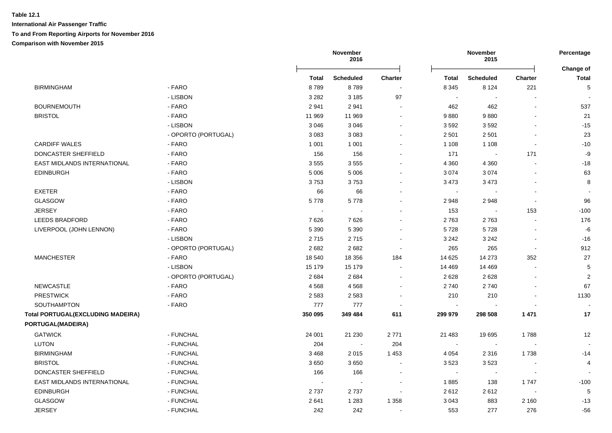**International Air Passenger Traffic To and From Reporting Airports for November 2016 Comparison with November 2015**

|                                          |                     |         | November<br>2016 |                |                          | <b>November</b><br>2015  |                          | Percentage                |
|------------------------------------------|---------------------|---------|------------------|----------------|--------------------------|--------------------------|--------------------------|---------------------------|
|                                          |                     | Total   | <b>Scheduled</b> | <b>Charter</b> | <b>Total</b>             | <b>Scheduled</b>         | <b>Charter</b>           | <b>Change of</b><br>Total |
| <b>BIRMINGHAM</b>                        | - FARO              | 8789    | 8789             |                | 8 3 4 5                  | 8 1 2 4                  | 221                      | 5                         |
|                                          | - LISBON            | 3 2 8 2 | 3 1 8 5          | 97             | $\blacksquare$           |                          |                          |                           |
| <b>BOURNEMOUTH</b>                       | - FARO              | 2941    | 2941             |                | 462                      | 462                      |                          | 537                       |
| <b>BRISTOL</b>                           | - FARO              | 11 969  | 11 969           |                | 9880                     | 9880                     |                          | 21                        |
|                                          | - LISBON            | 3 0 4 6 | 3 0 4 6          |                | 3592                     | 3592                     |                          | $-15$                     |
|                                          | - OPORTO (PORTUGAL) | 3 0 8 3 | 3 0 8 3          |                | 2 5 0 1                  | 2 5 0 1                  |                          | 23                        |
| <b>CARDIFF WALES</b>                     | - FARO              | 1 0 0 1 | 1 0 0 1          |                | 1 1 0 8                  | 1 1 0 8                  |                          | $-10$                     |
| DONCASTER SHEFFIELD                      | - FARO              | 156     | 156              | $\sim$         | 171                      | $\sim$                   | 171                      | -9                        |
| EAST MIDLANDS INTERNATIONAL              | - FARO              | 3555    | 3555             | $\sim$         | 4 3 6 0                  | 4 3 6 0                  |                          | $-18$                     |
| <b>EDINBURGH</b>                         | - FARO              | 5 0 0 6 | 5 0 0 6          | $\sim$         | 3 0 7 4                  | 3074                     |                          | 63                        |
|                                          | - LISBON            | 3753    | 3753             | $\sim$         | 3 4 7 3                  | 3 4 7 3                  |                          | 8                         |
| <b>EXETER</b>                            | - FARO              | 66      | 66               | $\blacksquare$ | $\overline{\phantom{a}}$ | $\overline{\phantom{a}}$ | $\overline{\phantom{a}}$ |                           |
| <b>GLASGOW</b>                           | - FARO              | 5778    | 5778             | $\blacksquare$ | 2948                     | 2948                     | ÷,                       | 96                        |
| <b>JERSEY</b>                            | - FARO              | $\sim$  | $\sim$           | $\blacksquare$ | 153                      | $\sim$                   | 153                      | $-100$                    |
| LEEDS BRADFORD                           | - FARO              | 7626    | 7626             | $\sim$         | 2763                     | 2763                     |                          | 176                       |
| LIVERPOOL (JOHN LENNON)                  | - FARO              | 5 3 9 0 | 5 3 9 0          | $\sim$         | 5728                     | 5728                     | $\sim$                   | -6                        |
|                                          | - LISBON            | 2715    | 2715             | $\blacksquare$ | 3 2 4 2                  | 3 2 4 2                  | $\blacksquare$           | $-16$                     |
|                                          | - OPORTO (PORTUGAL) | 2682    | 2682             | $\sim$         | 265                      | 265                      | $\overline{\phantom{a}}$ | 912                       |
| <b>MANCHESTER</b>                        | - FARO              | 18 540  | 18 35 6          | 184            | 14 625                   | 14 273                   | 352                      | 27                        |
|                                          | - LISBON            | 15 179  | 15 179           | $\sim$         | 14 4 69                  | 14 4 69                  |                          | 5                         |
|                                          | - OPORTO (PORTUGAL) | 2684    | 2684             | $\blacksquare$ | 2628                     | 2628                     |                          | $\overline{2}$            |
| <b>NEWCASTLE</b>                         | - FARO              | 4568    | 4568             | $\sim$         | 2740                     | 2740                     |                          | 67                        |
| <b>PRESTWICK</b>                         | - FARO              | 2 5 8 3 | 2583             | $\blacksquare$ | 210                      | 210                      |                          | 1130                      |
| SOUTHAMPTON                              | - FARO              | 777     | 777              |                | $\sim$                   |                          |                          |                           |
| <b>Total PORTUGAL(EXCLUDING MADEIRA)</b> |                     | 350 095 | 349 484          | 611            | 299 979                  | 298 508                  | 1 4 7 1                  | 17                        |
| PORTUGAL(MADEIRA)                        |                     |         |                  |                |                          |                          |                          |                           |
| <b>GATWICK</b>                           | - FUNCHAL           | 24 001  | 21 230           | 2771           | 21 483                   | 19695                    | 1788                     | 12                        |
| <b>LUTON</b>                             | - FUNCHAL           | 204     | $\sim$           | 204            | $\blacksquare$           |                          |                          |                           |
| <b>BIRMINGHAM</b>                        | - FUNCHAL           | 3468    | 2015             | 1453           | 4 0 5 4                  | 2 3 1 6                  | 1738                     | $-14$                     |
| <b>BRISTOL</b>                           | - FUNCHAL           | 3650    | 3650             | $\sim$         | 3523                     | 3523                     |                          | 4                         |
| DONCASTER SHEFFIELD                      | - FUNCHAL           | 166     | 166              |                | $\blacksquare$           | $\overline{\phantom{a}}$ |                          |                           |
| EAST MIDLANDS INTERNATIONAL              | - FUNCHAL           |         | $\sim$           | $\blacksquare$ | 1885                     | 138                      | 1747                     | $-100$                    |
| <b>EDINBURGH</b>                         | - FUNCHAL           | 2737    | 2737             |                | 2612                     | 2612                     |                          | 5                         |
| <b>GLASGOW</b>                           | - FUNCHAL           | 2641    | 1 2 8 3          | 1 3 5 8        | 3 0 4 3                  | 883                      | 2 1 6 0                  | $-13$                     |
|                                          |                     |         |                  |                |                          |                          |                          |                           |

JERSEY - FUNCHAL 242 242 - 553 277 276 -56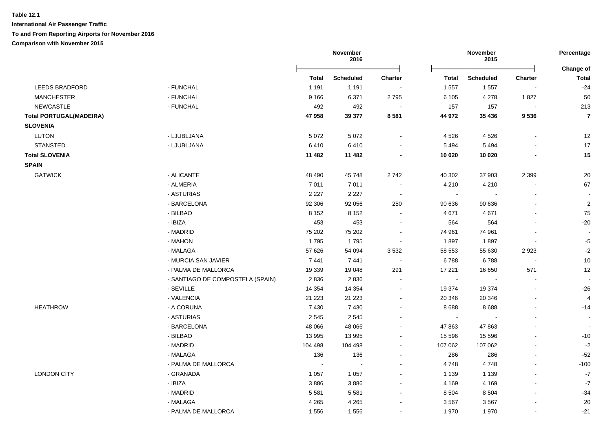|                                |                                  |              | November<br>2016     |                          |              | November<br>2015 |                          |                           |
|--------------------------------|----------------------------------|--------------|----------------------|--------------------------|--------------|------------------|--------------------------|---------------------------|
|                                |                                  | <b>Total</b> | <b>Scheduled</b>     | <b>Charter</b>           | <b>Total</b> | <b>Scheduled</b> | <b>Charter</b>           | Change of<br><b>Total</b> |
| <b>LEEDS BRADFORD</b>          | - FUNCHAL                        | 1 1 9 1      | 1 1 9 1              |                          | 1 5 5 7      | 1557             |                          | $-24$                     |
| <b>MANCHESTER</b>              | - FUNCHAL                        | 9 1 6 6      | 6 3 7 1              | 2795                     | 6 1 0 5      | 4 2 7 8          | 1827                     | 50                        |
| <b>NEWCASTLE</b>               | - FUNCHAL                        | 492          | 492                  | $\overline{\phantom{a}}$ | 157          | 157              |                          | 213                       |
| <b>Total PORTUGAL(MADEIRA)</b> |                                  | 47 958       | 39 377               | 8581                     | 44 972       | 35 4 36          | 9536                     | $\overline{7}$            |
| <b>SLOVENIA</b>                |                                  |              |                      |                          |              |                  |                          |                           |
| <b>LUTON</b>                   | - LJUBLJANA                      | 5 0 7 2      | 5 0 7 2              | $\blacksquare$           | 4526         | 4526             | $\overline{\phantom{a}}$ | 12                        |
| <b>STANSTED</b>                | - LJUBLJANA                      | 6410         | 6410                 |                          | 5 4 9 4      | 5 4 9 4          |                          | 17                        |
| <b>Total SLOVENIA</b>          |                                  | 11 482       | 11 482               |                          | 10 0 20      | 10 0 20          |                          | 15                        |
| <b>SPAIN</b>                   |                                  |              |                      |                          |              |                  |                          |                           |
| <b>GATWICK</b>                 | - ALICANTE                       | 48 490       | 45 748               | 2742                     | 40 30 2      | 37 903           | 2 3 9 9                  | 20                        |
|                                | - ALMERIA                        | 7011         | 7011                 | $\ddot{\phantom{a}}$     | 4 2 1 0      | 4 2 1 0          |                          | 67                        |
|                                | - ASTURIAS                       | 2 2 2 7      | 2 2 2 7              | $\sim$                   | $\sim$       |                  |                          |                           |
|                                | - BARCELONA                      | 92 306       | 92 056               | 250                      | 90 636       | 90 636           |                          | $\overline{2}$            |
|                                | - BILBAO                         | 8 1 5 2      | 8 1 5 2              | $\sim$                   | 4671         | 4 6 7 1          |                          | 75                        |
|                                | - IBIZA                          | 453          | 453                  | $\blacksquare$           | 564          | 564              |                          | -20                       |
|                                | - MADRID                         | 75 202       | 75 202               | $\blacksquare$           | 74 961       | 74 961           |                          |                           |
|                                | - MAHON                          | 1795         | 1795                 | $\blacksquare$           | 1897         | 1897             |                          | $-5$                      |
|                                | - MALAGA                         | 57 626       | 54 094               | 3 5 3 2                  | 58 553       | 55 630           | 2923                     | $-2$                      |
|                                | - MURCIA SAN JAVIER              | 7441         | 7441                 | $\sim$                   | 6788         | 6788             | $\sim$                   | $10\,$                    |
|                                | - PALMA DE MALLORCA              | 19 339       | 19 048               | 291                      | 17 221       | 16 650           | 571                      | 12                        |
|                                | - SANTIAGO DE COMPOSTELA (SPAIN) | 2836         | 2836                 | $\blacksquare$           | $\sim$       |                  | $\overline{\phantom{a}}$ | $\sim$                    |
|                                | - SEVILLE                        | 14 3 54      | 14 3 54              | $\blacksquare$           | 19 374       | 19 374           | $\sim$                   | $-26$                     |
|                                | - VALENCIA                       | 21 2 23      | 21 2 23              | $\blacksquare$           | 20 346       | 20 346           |                          | 4                         |
| <b>HEATHROW</b>                | - A CORUNA                       | 7430         | 7 4 3 0              | $\blacksquare$           | 8688         | 8688             |                          | $-14$                     |
|                                | - ASTURIAS                       | 2545         | 2545                 | ۰                        | $\sim$       |                  |                          | $\sim$                    |
|                                | - BARCELONA                      | 48 066       | 48 066               | $\blacksquare$           | 47 863       | 47 863           |                          |                           |
|                                | - BILBAO                         | 13 995       | 13 995               | $\blacksquare$           | 15 5 96      | 15 5 96          | $\blacksquare$           | $-10$                     |
|                                | - MADRID                         | 104 498      | 104 498              | $\blacksquare$           | 107 062      | 107 062          |                          | $-2$                      |
|                                | - MALAGA                         | 136          | 136                  | $\blacksquare$           | 286          | 286              | $\sim$                   | $-52$                     |
|                                | - PALMA DE MALLORCA              | $\sim$       | $\ddot{\phantom{a}}$ | $\overline{a}$           | 4748         | 4748             | $\blacksquare$           | $-100$                    |
| <b>LONDON CITY</b>             | - GRANADA                        | 1 0 5 7      | 1 0 5 7              | $\blacksquare$           | 1 1 3 9      | 1 1 3 9          |                          | $-7$                      |
|                                | - IBIZA                          | 3886         | 3886                 | $\blacksquare$           | 4 1 6 9      | 4 1 6 9          | $\overline{\phantom{a}}$ | $-7$                      |
|                                | - MADRID                         | 5581         | 5581                 | $\blacksquare$           | 8 5 0 4      | 8504             |                          | $-34$                     |
|                                | - MALAGA                         | 4 2 6 5      | 4 2 6 5              |                          | 3567         | 3567             |                          | 20                        |
|                                | - PALMA DE MALLORCA              | 1556         | 1556                 |                          | 1970         | 1970             |                          | $-21$                     |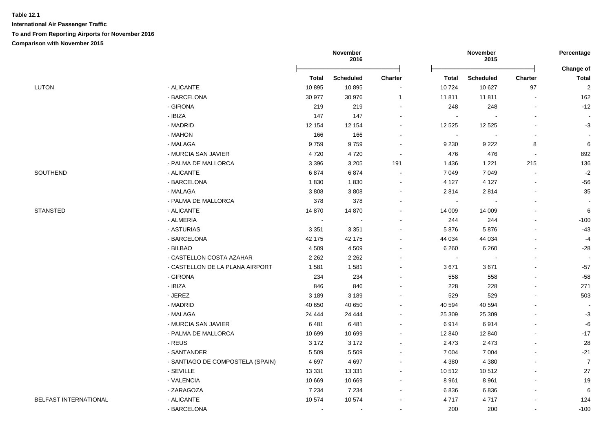| <b>Total</b><br><b>Scheduled</b><br>Charter<br><b>Total</b><br><b>Scheduled</b><br><b>LUTON</b><br>- ALICANTE<br>10724<br>10895<br>10895<br>10 627<br>- BARCELONA<br>30 977<br>30 976<br>11811<br>11811<br>$\overline{\mathbf{1}}$<br>- GIRONA<br>219<br>219<br>248<br>$\sim$<br>- IBIZA<br>147<br>147<br>$\sim$<br>- MADRID<br>12 154<br>12 154<br>12 5 25<br>12 5 25 | Change of<br><b>Charter</b><br><b>Total</b><br>97<br>$\sqrt{2}$<br>162<br>$\sim$<br>$-12$<br>248<br>$\blacksquare$ |
|------------------------------------------------------------------------------------------------------------------------------------------------------------------------------------------------------------------------------------------------------------------------------------------------------------------------------------------------------------------------|--------------------------------------------------------------------------------------------------------------------|
|                                                                                                                                                                                                                                                                                                                                                                        |                                                                                                                    |
|                                                                                                                                                                                                                                                                                                                                                                        |                                                                                                                    |
|                                                                                                                                                                                                                                                                                                                                                                        |                                                                                                                    |
|                                                                                                                                                                                                                                                                                                                                                                        |                                                                                                                    |
|                                                                                                                                                                                                                                                                                                                                                                        |                                                                                                                    |
|                                                                                                                                                                                                                                                                                                                                                                        | $-3$                                                                                                               |
| - MAHON<br>166<br>166<br>$\blacksquare$                                                                                                                                                                                                                                                                                                                                |                                                                                                                    |
| 9759<br>- MALAGA<br>9759<br>9 2 3 0<br>9 2 2 2                                                                                                                                                                                                                                                                                                                         | 6<br>8                                                                                                             |
| - MURCIA SAN JAVIER<br>4720<br>4720<br>476<br>$\sim$                                                                                                                                                                                                                                                                                                                   | 476<br>892<br>$\sim$                                                                                               |
| - PALMA DE MALLORCA<br>3 2 0 5<br>1 2 2 1<br>3 3 9 6<br>191<br>1436                                                                                                                                                                                                                                                                                                    | 136<br>215                                                                                                         |
| SOUTHEND<br>- ALICANTE<br>6874<br>7 0 4 9<br>6874<br>7 0 4 9                                                                                                                                                                                                                                                                                                           | $-2$<br>$\overline{\phantom{a}}$                                                                                   |
| - BARCELONA<br>1830<br>1830<br>4 1 2 7<br>4 1 2 7                                                                                                                                                                                                                                                                                                                      | $-56$<br>$\sim$                                                                                                    |
| - MALAGA<br>3808<br>3808<br>2814<br>2814                                                                                                                                                                                                                                                                                                                               | 35<br>$\blacksquare$                                                                                               |
| - PALMA DE MALLORCA<br>378<br>378<br>$\blacksquare$                                                                                                                                                                                                                                                                                                                    |                                                                                                                    |
| <b>STANSTED</b><br>- ALICANTE<br>14 870<br>14 870<br>14 009<br>14 009                                                                                                                                                                                                                                                                                                  | 6<br>$\blacksquare$                                                                                                |
| - ALMERIA<br>244<br>$\sim$                                                                                                                                                                                                                                                                                                                                             | 244<br>$-100$<br>$\overline{a}$                                                                                    |
| - ASTURIAS<br>3 3 5 1<br>5876<br>5876<br>3 3 5 1                                                                                                                                                                                                                                                                                                                       | $-43$<br>$\blacksquare$                                                                                            |
| - BARCELONA<br>44 0 34<br>42 175<br>42 175<br>44 0 34                                                                                                                                                                                                                                                                                                                  | $-4$<br>$\blacksquare$                                                                                             |
| - BILBAO<br>4 5 0 9<br>4509<br>6 2 6 0<br>6 2 6 0                                                                                                                                                                                                                                                                                                                      | $-28$<br>$\blacksquare$                                                                                            |
| - CASTELLON COSTA AZAHAR<br>2 2 6 2<br>2 2 6 2<br>$\sim$                                                                                                                                                                                                                                                                                                               | $\overline{a}$                                                                                                     |
| 3671<br>- CASTELLON DE LA PLANA AIRPORT<br>1581<br>1581<br>3671                                                                                                                                                                                                                                                                                                        | $-57$<br>$\blacksquare$                                                                                            |
| - GIRONA<br>234<br>234<br>558                                                                                                                                                                                                                                                                                                                                          | $-58$<br>558<br>$\overline{a}$                                                                                     |
| - IBIZA<br>846<br>228<br>846                                                                                                                                                                                                                                                                                                                                           | 228<br>271                                                                                                         |
| - JEREZ<br>3 1 8 9<br>529<br>3 1 8 9                                                                                                                                                                                                                                                                                                                                   | 503<br>529<br>$\overline{a}$                                                                                       |
| - MADRID<br>40 650<br>40 650<br>40 594<br>40 594                                                                                                                                                                                                                                                                                                                       | $\blacksquare$                                                                                                     |
| - MALAGA<br>24 4 4 4<br>24 4 4 4<br>25 309<br>25 309                                                                                                                                                                                                                                                                                                                   | $-3$<br>ä,                                                                                                         |
| - MURCIA SAN JAVIER<br>6481<br>6914<br>6914<br>6481                                                                                                                                                                                                                                                                                                                    | -6<br>$\overline{a}$                                                                                               |
| - PALMA DE MALLORCA<br>10 699<br>10 699<br>12 840<br>12 840                                                                                                                                                                                                                                                                                                            | $-17$                                                                                                              |
| - REUS<br>3 1 7 2<br>3 1 7 2<br>2 4 7 3<br>2 4 7 3                                                                                                                                                                                                                                                                                                                     | 28                                                                                                                 |
| - SANTANDER<br>5 5 0 9<br>5 5 0 9<br>7 0 0 4<br>7 0 0 4                                                                                                                                                                                                                                                                                                                | $-21$                                                                                                              |
| 4697<br>4697<br>4 3 8 0<br>- SANTIAGO DE COMPOSTELA (SPAIN)<br>4 3 8 0                                                                                                                                                                                                                                                                                                 | $\overline{7}$<br>$\overline{a}$                                                                                   |
| - SEVILLE<br>13 3 3 1<br>13 3 3 1<br>10 512<br>10512                                                                                                                                                                                                                                                                                                                   | 27<br>$\blacksquare$                                                                                               |
| - VALENCIA<br>10 669<br>8 9 6 1<br>10 669<br>8 9 6 1<br>$\sim$                                                                                                                                                                                                                                                                                                         | 19<br>$\blacksquare$                                                                                               |
| - ZARAGOZA<br>7 2 3 4<br>6836<br>7 2 3 4<br>6836<br>$\sim$                                                                                                                                                                                                                                                                                                             | 6<br>$\sim$                                                                                                        |
| <b>BELFAST INTERNATIONAL</b><br>10 574<br>- ALICANTE<br>10574<br>4717<br>4717                                                                                                                                                                                                                                                                                          | 124<br>$\blacksquare$                                                                                              |
| - BARCELONA<br>200<br>$\blacksquare$<br>$\blacksquare$                                                                                                                                                                                                                                                                                                                 | 200<br>$-100$<br>$\blacksquare$                                                                                    |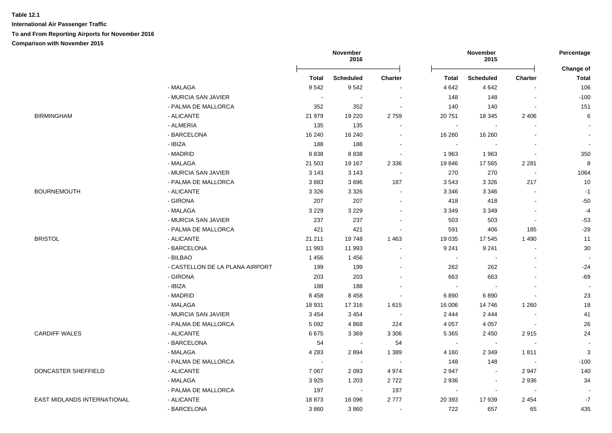|                                    |                                 |                          | November<br>2016 |                |                | November<br>2015 |                          | Percentage<br>Change of |
|------------------------------------|---------------------------------|--------------------------|------------------|----------------|----------------|------------------|--------------------------|-------------------------|
|                                    |                                 | <b>Total</b>             | <b>Scheduled</b> | <b>Charter</b> | Total          | Scheduled        | <b>Charter</b>           | <b>Total</b>            |
|                                    | - MALAGA                        | 9542                     | 9542             |                | 4 6 4 2        | 4 6 4 2          |                          | 106                     |
|                                    | - MURCIA SAN JAVIER             | $\overline{\phantom{a}}$ |                  |                | 148            | 148              | $\blacksquare$           | $-100$                  |
|                                    | - PALMA DE MALLORCA             | 352                      | 352              |                | 140            | 140              | $\sim$                   | 151                     |
| <b>BIRMINGHAM</b>                  | - ALICANTE                      | 21 979                   | 19 2 20          | 2759           | 20 751         | 18 345           | 2 4 0 6                  | 6                       |
|                                    | - ALMERIA                       | 135                      | 135              |                | $\blacksquare$ |                  |                          | $\mathbf{r}$            |
|                                    | - BARCELONA                     | 16 240                   | 16 240           |                | 16 260         | 16 260           |                          |                         |
|                                    | - IBIZA                         | 188                      | 188              |                | $\blacksquare$ |                  |                          |                         |
|                                    | - MADRID                        | 8838                     | 8838             |                | 1963           | 1963             |                          | 350                     |
|                                    | - MALAGA                        | 21 503                   | 19 167           | 2 3 3 6        | 19846          | 17 565           | 2 2 8 1                  | 8                       |
|                                    | - MURCIA SAN JAVIER             | 3 1 4 3                  | 3 1 4 3          |                | 270            | 270              | $\sim$                   | 1064                    |
|                                    | - PALMA DE MALLORCA             | 3883                     | 3696             | 187            | 3543           | 3 3 2 6          | 217                      | 10                      |
| <b>BOURNEMOUTH</b>                 | - ALICANTE                      | 3 3 2 6                  | 3 3 2 6          |                | 3 3 4 6        | 3 3 4 6          | $\sim$                   | $-1$                    |
|                                    | - GIRONA                        | 207                      | 207              |                | 418            | 418              | $\blacksquare$           | $-50$                   |
|                                    | - MALAGA                        | 3 2 2 9                  | 3 2 2 9          |                | 3 3 4 9        | 3 3 4 9          | $\overline{\phantom{a}}$ | $-4$                    |
|                                    | - MURCIA SAN JAVIER             | 237                      | 237              |                | 503            | 503              | $\blacksquare$           | $-53$                   |
|                                    | - PALMA DE MALLORCA             | 421                      | 421              |                | 591            | 406              | 185                      | $-29$                   |
| <b>BRISTOL</b>                     | - ALICANTE                      | 21 211                   | 19748            | 1 4 6 3        | 19 0 35        | 17 545           | 1 4 9 0                  | 11                      |
|                                    | - BARCELONA                     | 11 993                   | 11 993           |                | 9 2 4 1        | 9 2 4 1          | $\overline{\phantom{a}}$ | 30                      |
|                                    | - BILBAO                        | 1456                     | 1456             |                | $\mathbf{r}$   |                  | $\sim$                   | $\sim$                  |
|                                    | - CASTELLON DE LA PLANA AIRPORT | 199                      | 199              |                | 262            | 262              | $\blacksquare$           | $-24$                   |
|                                    | - GIRONA                        | 203                      | 203              |                | 663            | 663              | $\overline{a}$           | $-69$                   |
|                                    | - IBIZA                         | 188                      | 188              |                | $\blacksquare$ |                  |                          | $\sim$                  |
|                                    | - MADRID                        | 8 4 5 8                  | 8 4 5 8          |                | 6890           | 6890             |                          | 23                      |
|                                    | - MALAGA                        | 18 931                   | 17316            | 1615           | 16 006         | 14746            | 1 2 6 0                  | 18                      |
|                                    | - MURCIA SAN JAVIER             | 3 4 5 4                  | 3 4 5 4          |                | 2 4 4 4        | 2 4 4 4          |                          | 41                      |
|                                    | - PALMA DE MALLORCA             | 5 0 9 2                  | 4868             | 224            | 4 0 5 7        | 4 0 5 7          | $\blacksquare$           | 26                      |
| <b>CARDIFF WALES</b>               | - ALICANTE                      | 6675                     | 3 3 6 9          | 3 3 0 6        | 5 3 6 5        | 2 4 5 0          | 2915                     | 24                      |
|                                    | - BARCELONA                     | 54                       | $\sim$           | 54             | $\mathbf{r}$   | $\sim$           | $\sim$                   | $\sim$                  |
|                                    | - MALAGA                        | 4 2 8 3                  | 2894             | 1 3 8 9        | 4 160          | 2 3 4 9          | 1811                     | 3                       |
|                                    | - PALMA DE MALLORCA             | $\sim$                   | $\sim$           | $\sim$         | 148            | 148              | $\sim$                   | $-100$                  |
| DONCASTER SHEFFIELD                | - ALICANTE                      | 7 0 6 7                  | 2093             | 4 9 7 4        | 2 9 4 7        |                  | 2947                     | 140                     |
|                                    | - MALAGA                        | 3925                     | 1 2 0 3          | 2722           | 2 9 3 6        |                  | 2936                     | 34                      |
|                                    | - PALMA DE MALLORCA             | 197                      | $\sim$           | 197            | $\sim$         |                  | $\sim$                   |                         |
| <b>EAST MIDLANDS INTERNATIONAL</b> |                                 |                          |                  |                |                |                  |                          |                         |
|                                    | - ALICANTE                      | 18873                    | 16 096           | 2777           | 20 39 3        | 17939            | 2 4 5 4                  | $-7$                    |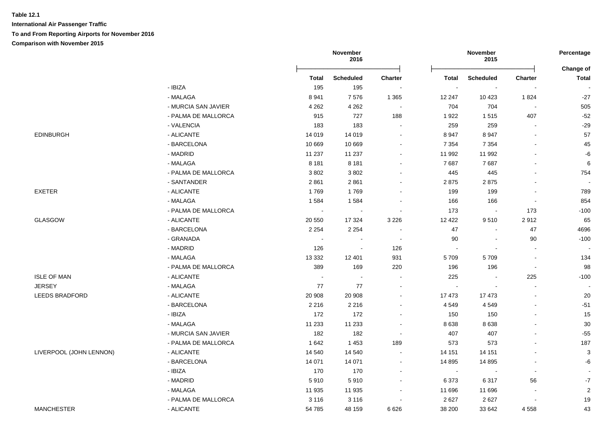|                         |                     |              | November<br>2016 |                |              | November<br>2015 |                          | Percentage<br>Change of   |
|-------------------------|---------------------|--------------|------------------|----------------|--------------|------------------|--------------------------|---------------------------|
|                         |                     | <b>Total</b> | <b>Scheduled</b> | <b>Charter</b> | <b>Total</b> | <b>Scheduled</b> | Charter                  | <b>Total</b>              |
|                         | - IBIZA             | 195          | 195              |                |              | $\blacksquare$   |                          | $\blacksquare$            |
|                         | - MALAGA            | 8941         | 7576             | 1 3 6 5        | 12 247       | 10 4 23          | 1824                     | $-27$                     |
|                         | - MURCIA SAN JAVIER | 4 2 6 2      | 4 2 6 2          |                | 704          | 704              | $\overline{\phantom{a}}$ | 505                       |
|                         | - PALMA DE MALLORCA | 915          | 727              | 188            | 1922         | 1515             | 407                      | $-52$                     |
|                         | - VALENCIA          | 183          | 183              |                | 259          | 259              |                          | $-29$                     |
| <b>EDINBURGH</b>        | - ALICANTE          | 14 019       | 14 0 19          |                | 8 9 4 7      | 8947             |                          | 57                        |
|                         | - BARCELONA         | 10 669       | 10 669           |                | 7 3 5 4      | 7 3 5 4          | $\sim$                   | 45                        |
|                         | - MADRID            | 11 237       | 11 237           |                | 11 992       | 11 992           | $\overline{a}$           | -6                        |
|                         | - MALAGA            | 8 1 8 1      | 8 1 8 1          |                | 7687         | 7687             | $\blacksquare$           | $\,6\,$                   |
|                         | - PALMA DE MALLORCA | 3802         | 3 8 0 2          |                | 445          | 445              | $\blacksquare$           | 754                       |
|                         | - SANTANDER         | 2861         | 2861             |                | 2875         | 2875             |                          | $\sim$                    |
| <b>EXETER</b>           | - ALICANTE          | 1769         | 1769             | $\blacksquare$ | 199          | 199              | $\blacksquare$           | 789                       |
|                         | - MALAGA            | 1584         | 1584             | $\sim$         | 166          | 166              | $\sim$                   | 854                       |
|                         | - PALMA DE MALLORCA | $\sim$       | $\sim$           | $\sim$         | 173          | $\blacksquare$   | 173                      | $-100$                    |
| GLASGOW                 | - ALICANTE          | 20 550       | 17 3 24          | 3 2 2 6        | 12 4 22      | 9510             | 2912                     | 65                        |
|                         | - BARCELONA         | 2 2 5 4      | 2 2 5 4          | $\sim$         | 47           | $\blacksquare$   | 47                       | 4696                      |
|                         | - GRANADA           | $\sim$       |                  | $\sim$         | 90           | $\sim$           | 90                       | $-100$                    |
|                         | - MADRID            | 126          | $\blacksquare$   | 126            | $\sim$       | $\blacksquare$   | $\blacksquare$           | $\overline{\phantom{a}}$  |
|                         | - MALAGA            | 13 3 3 2     | 12 401           | 931            | 5709         | 5709             | $\overline{\phantom{a}}$ | 134                       |
|                         | - PALMA DE MALLORCA | 389          | 169              | 220            | 196          | 196              | $\blacksquare$           | 98                        |
| <b>ISLE OF MAN</b>      | - ALICANTE          | $\sim$       |                  |                | 225          | $\blacksquare$   | 225                      | $-100$                    |
| <b>JERSEY</b>           | - MALAGA            | 77           | $77$             |                | $\sim$       |                  |                          | $\overline{\phantom{a}}$  |
| LEEDS BRADFORD          | - ALICANTE          | 20 908       | 20 908           |                | 17 473       | 17 473           |                          | $20\,$                    |
|                         | - BARCELONA         | 2 2 1 6      | 2 2 1 6          |                | 4549         | 4549             | $\sim$                   | $-51$                     |
|                         | - IBIZA             | 172          | 172              | $\overline{a}$ | 150          | 150              | $\sim$                   | 15                        |
|                         | - MALAGA            | 11 233       | 11 233           | $\sim$         | 8 6 3 8      | 8638             | $\sim$                   | $30\,$                    |
|                         | - MURCIA SAN JAVIER | 182          | 182              | $\sim$         | 407          | 407              | $\blacksquare$           | $-55$                     |
|                         | - PALMA DE MALLORCA | 1 6 4 2      | 1 4 5 3          | 189            | 573          | 573              | $\sim$                   | 187                       |
| LIVERPOOL (JOHN LENNON) | - ALICANTE          | 14 540       | 14 540           | $\sim$         | 14 151       | 14 151           |                          | $\ensuremath{\mathsf{3}}$ |
|                         | - BARCELONA         | 14 071       | 14 071           | $\sim$         | 14 8 95      | 14 8 95          | $\blacksquare$           | $-6$                      |
|                         | - IBIZA             | 170          | 170              |                | $\sim$       | $\blacksquare$   | $\blacksquare$           | $\overline{\phantom{a}}$  |
|                         | - MADRID            | 5910         | 5910             | ٠              | 6 3 7 3      | 6317             | 56                       | $\mathbf{-7}$             |
|                         | - MALAGA            | 11 935       | 11 935           | $\blacksquare$ | 11 696       | 11 696           | $\blacksquare$           | $\sqrt{2}$                |
|                         | - PALMA DE MALLORCA | 3 1 1 6      | 3 1 1 6          |                | 2627         | 2627             | $\overline{\phantom{a}}$ | 19                        |
| <b>MANCHESTER</b>       | - ALICANTE          | 54 785       | 48 159           | 6 6 2 6        | 38 200       | 33 642           | 4558                     | 43                        |
|                         |                     |              |                  |                |              |                  |                          |                           |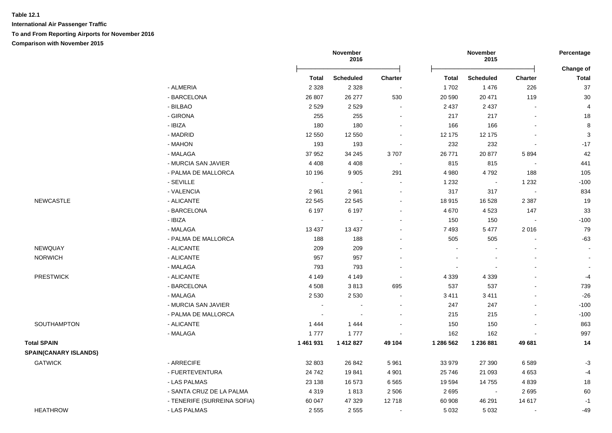**International Air Passenger Traffic To and From Reporting Airports for November 2016 Comparison with November 2015**

|                              |                             |                | November<br>2016 |                          |           | November<br>2015 |                          | Percentage                |
|------------------------------|-----------------------------|----------------|------------------|--------------------------|-----------|------------------|--------------------------|---------------------------|
|                              |                             | <b>Total</b>   | <b>Scheduled</b> | Charter                  | Total     | <b>Scheduled</b> | <b>Charter</b>           | Change of<br><b>Total</b> |
|                              | - ALMERIA                   | 2 3 2 8        | 2 3 2 8          | $\sim$                   | 1702      | 1476             | 226                      | $37\,$                    |
|                              | - BARCELONA                 | 26 807         | 26 277           | 530                      | 20 590    | 20 471           | 119                      | 30                        |
|                              | - BILBAO                    | 2529           | 2529             | $\blacksquare$           | 2 4 3 7   | 2 4 3 7          | $\overline{a}$           | $\overline{4}$            |
|                              | - GIRONA                    | 255            | 255              | $\sim$                   | 217       | 217              | $\overline{\phantom{a}}$ | 18                        |
|                              | - IBIZA                     | 180            | 180              | $\blacksquare$           | 166       | 166              |                          | $\,8\,$                   |
|                              | - MADRID                    | 12 550         | 12 550           | $\blacksquare$           | 12 175    | 12 175           |                          | $\sqrt{3}$                |
|                              | - MAHON                     | 193            | 193              |                          | 232       | 232              | $\overline{\phantom{a}}$ | $-17$                     |
|                              | - MALAGA                    | 37 952         | 34 245           | 3707                     | 26 771    | 20 877           | 5894                     | 42                        |
|                              | - MURCIA SAN JAVIER         | 4 4 0 8        | 4 4 0 8          |                          | 815       | 815              |                          | 441                       |
|                              | - PALMA DE MALLORCA         | 10 196         | 9 9 0 5          | 291                      | 4 9 8 0   | 4792             | 188                      | 105                       |
|                              | - SEVILLE                   |                |                  |                          | 1 2 3 2   |                  | 1 2 3 2                  | $-100$                    |
|                              | - VALENCIA                  | 2 9 6 1        | 2 9 6 1          |                          | 317       | 317              |                          | 834                       |
| <b>NEWCASTLE</b>             | - ALICANTE                  | 22 5 45        | 22 5 45          |                          | 18 915    | 16 5 28          | 2 3 8 7                  | 19                        |
|                              | - BARCELONA                 | 6 1 9 7        | 6 1 9 7          | $\blacksquare$           | 4 6 7 0   | 4523             | 147                      | 33                        |
|                              | - IBIZA                     | $\blacksquare$ |                  |                          | 150       | 150              |                          | $-100$                    |
|                              | - MALAGA                    | 13 4 37        | 13 4 37          |                          | 7 4 9 3   | 5 4 7 7          | 2016                     | 79                        |
|                              | - PALMA DE MALLORCA         | 188            | 188              |                          | 505       | 505              |                          | $-63$                     |
| NEWQUAY                      | - ALICANTE                  | 209            | 209              |                          |           |                  |                          | $\sim$                    |
| <b>NORWICH</b>               | - ALICANTE                  | 957            | 957              |                          |           |                  |                          |                           |
|                              | - MALAGA                    | 793            | 793              |                          |           |                  |                          | $\blacksquare$            |
| <b>PRESTWICK</b>             | - ALICANTE                  | 4 1 4 9        | 4 1 4 9          |                          | 4 3 3 9   | 4 3 3 9          |                          | $-4$                      |
|                              | - BARCELONA                 | 4508           | 3813             | 695                      | 537       | 537              |                          | 739                       |
|                              | - MALAGA                    | 2 5 3 0        | 2 5 3 0          |                          | 3 4 1 1   | 3411             |                          | $-26$                     |
|                              | - MURCIA SAN JAVIER         |                |                  |                          | 247       | 247              |                          | $-100$                    |
|                              | - PALMA DE MALLORCA         |                |                  |                          | 215       | 215              |                          | $-100$                    |
| SOUTHAMPTON                  | - ALICANTE                  | 1444           | 1 4 4 4          |                          | 150       | 150              |                          | 863                       |
|                              | - MALAGA                    | 1777           | 1777             |                          | 162       | 162              |                          | 997                       |
| <b>Total SPAIN</b>           |                             | 1 461 931      | 1 412 827        | 49 104                   | 1 286 562 | 1 236 881        | 49 681                   | 14                        |
| <b>SPAIN(CANARY ISLANDS)</b> |                             |                |                  |                          |           |                  |                          |                           |
| <b>GATWICK</b>               | - ARRECIFE                  | 32 803         | 26 842           | 5 9 6 1                  | 33 979    | 27 390           | 6589                     | $-3$                      |
|                              | - FUERTEVENTURA             | 24 742         | 19841            | 4 9 0 1                  | 25 746    | 21 093           | 4653                     | $-4$                      |
|                              | - LAS PALMAS                | 23 138         | 16 573           | 6 5 6 5                  | 19 594    | 14 755           | 4839                     | 18                        |
|                              | - SANTA CRUZ DE LA PALMA    | 4 3 1 9        | 1813             | 2 5 0 6                  | 2695      | $\blacksquare$   | 2695                     | 60                        |
|                              | - TENERIFE (SURREINA SOFIA) | 60 047         | 47 329           | 12718                    | 60 908    | 46 291           | 14 617                   | $-1$                      |
| <b>HEATHROW</b>              | - LAS PALMAS                | 2 5 5 5        | 2555             | $\overline{\phantom{a}}$ | 5 0 3 2   | 5 0 3 2          |                          | $-49$                     |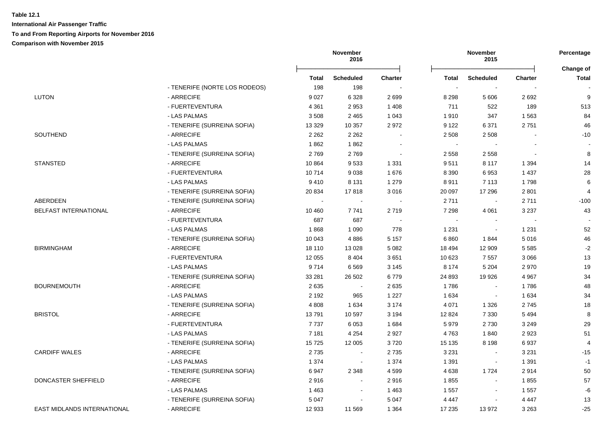|                             |                               | November<br>2016 |                  |                | November<br>2015 |                |                |                    |
|-----------------------------|-------------------------------|------------------|------------------|----------------|------------------|----------------|----------------|--------------------|
|                             |                               | Total            | <b>Scheduled</b> | <b>Charter</b> | Total            | Scheduled      | <b>Charter</b> | Change of<br>Total |
|                             | - TENERIFE (NORTE LOS RODEOS) | 198              | 198              |                | $\sim$           |                |                |                    |
| <b>LUTON</b>                | - ARRECIFE                    | 9 0 27           | 6 3 28           | 2699           | 8 2 9 8          | 5 6 0 6        | 2692           | 9                  |
|                             | - FUERTEVENTURA               | 4 3 6 1          | 2953             | 1 4 0 8        | 711              | 522            | 189            | 513                |
|                             | - LAS PALMAS                  | 3508             | 2 4 6 5          | 1 0 4 3        | 1910             | 347            | 1563           | 84                 |
|                             | - TENERIFE (SURREINA SOFIA)   | 13 3 29          | 10 357           | 2972           | 9 1 2 2          | 6 3 7 1        | 2751           | 46                 |
| SOUTHEND                    | - ARRECIFE                    | 2 2 6 2          | 2 2 6 2          |                | 2 5 0 8          | 2 5 0 8        |                | $-10$              |
|                             | - LAS PALMAS                  | 1862             | 1862             |                |                  |                |                |                    |
|                             | - TENERIFE (SURREINA SOFIA)   | 2769             | 2769             |                | 2 5 5 8          | 2 5 5 8        |                | 8                  |
| <b>STANSTED</b>             | - ARRECIFE                    | 10864            | 9533             | 1 3 3 1        | 9511             | 8 1 1 7        | 1 3 9 4        | 14                 |
|                             | - FUERTEVENTURA               | 10714            | 9038             | 1676           | 8 3 9 0          | 6953           | 1 4 3 7        | 28                 |
|                             | - LAS PALMAS                  | 9410             | 8 1 3 1          | 1 2 7 9        | 8911             | 7 1 1 3        | 1798           | 6                  |
|                             | - TENERIFE (SURREINA SOFIA)   | 20 834           | 17818            | 3016           | 20 097           | 17 29 6        | 2 8 0 1        | 4                  |
| ABERDEEN                    | - TENERIFE (SURREINA SOFIA)   | $\sim$           | $\blacksquare$   | $\sim$         | 2711             | $\sim$         | 2711           | $-100$             |
| BELFAST INTERNATIONAL       | - ARRECIFE                    | 10 460           | 7741             | 2719           | 7 2 9 8          | 4 0 61         | 3 2 3 7        | 43                 |
|                             | - FUERTEVENTURA               | 687              | 687              |                | $\bullet$        | $\sim$         |                |                    |
|                             | - LAS PALMAS                  | 1868             | 1 0 9 0          | 778            | 1 2 3 1          |                | 1 2 3 1        | 52                 |
|                             | - TENERIFE (SURREINA SOFIA)   | 10 043           | 4886             | 5 1 5 7        | 6860             | 1844           | 5016           | 46                 |
| <b>BIRMINGHAM</b>           | - ARRECIFE                    | 18 110           | 13 0 28          | 5 0 8 2        | 18 4 94          | 12 909         | 5 5 8 5        | $-2$               |
|                             | - FUERTEVENTURA               | 12 0 55          | 8 4 0 4          | 3651           | 10 623           | 7557           | 3 0 6 6        | 13                 |
|                             | - LAS PALMAS                  | 9714             | 6569             | 3 1 4 5        | 8 1 7 4          | 5 2 0 4        | 2970           | 19                 |
|                             | - TENERIFE (SURREINA SOFIA)   | 33 281           | 26 502           | 6779           | 24 893           | 19 9 26        | 4 9 6 7        | 34                 |
| <b>BOURNEMOUTH</b>          | - ARRECIFE                    | 2635             | $\sim$           | 2635           | 1786             |                | 1786           | 48                 |
|                             | - LAS PALMAS                  | 2 1 9 2          | 965              | 1 2 2 7        | 1 6 3 4          |                | 1 6 3 4        | 34                 |
|                             | - TENERIFE (SURREINA SOFIA)   | 4 8 0 8          | 1 6 3 4          | 3 174          | 4 0 7 1          | 1 3 2 6        | 2745           | 18                 |
| <b>BRISTOL</b>              | - ARRECIFE                    | 13791            | 10 597           | 3 1 9 4        | 12 8 24          | 7 3 3 0        | 5 4 9 4        | 8                  |
|                             | - FUERTEVENTURA               | 7737             | 6053             | 1 6 8 4        | 5979             | 2730           | 3 2 4 9        | 29                 |
|                             | - LAS PALMAS                  | 7 1 8 1          | 4 2 5 4          | 2 9 2 7        | 4763             | 1840           | 2923           | 51                 |
|                             | - TENERIFE (SURREINA SOFIA)   | 15725            | 12 005           | 3720           | 15 135           | 8 1 9 8        | 6937           | 4                  |
| <b>CARDIFF WALES</b>        | - ARRECIFE                    | 2735             | $\blacksquare$   | 2735           | 3 2 3 1          | $\blacksquare$ | 3 2 3 1        | $-15$              |
|                             | - LAS PALMAS                  | 1 3 7 4          | $\sim$           | 1 3 7 4        | 1 3 9 1          | $\sim$         | 1 3 9 1        | $-1$               |
|                             | - TENERIFE (SURREINA SOFIA)   | 6947             | 2 3 4 8          | 4599           | 4 6 3 8          | 1724           | 2914           | 50                 |
| DONCASTER SHEFFIELD         | - ARRECIFE                    | 2916             | $\blacksquare$   | 2916           | 1855             | $\blacksquare$ | 1855           | 57                 |
|                             | - LAS PALMAS                  | 1 4 6 3          | $\blacksquare$   | 1463           | 1 5 5 7          | $\blacksquare$ | 1557           | -6                 |
|                             | - TENERIFE (SURREINA SOFIA)   | 5 0 4 7          | $\blacksquare$   | 5 0 4 7        | 4 4 4 7          |                | 4 4 4 7        | 13                 |
| EAST MIDLANDS INTERNATIONAL | - ARRECIFE                    | 12 933           | 11 569           | 1 3 6 4        | 17 235           | 13 972         | 3 2 6 3        | $-25$              |
|                             |                               |                  |                  |                |                  |                |                |                    |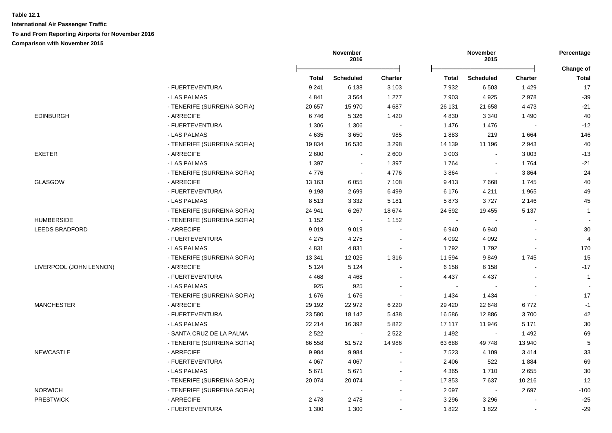**International Air Passenger Traffic**

#### **To and From Reporting Airports for November 2016**

**Comparison with November 2015**

|                         |                             | November<br>2016 |                  |                          |              | November<br>2015         |                |                           |
|-------------------------|-----------------------------|------------------|------------------|--------------------------|--------------|--------------------------|----------------|---------------------------|
|                         |                             | <b>Total</b>     | <b>Scheduled</b> | <b>Charter</b>           | <b>Total</b> | <b>Scheduled</b>         | <b>Charter</b> | Change of<br><b>Total</b> |
|                         | - FUERTEVENTURA             | 9 2 4 1          | 6 1 3 8          | 3 1 0 3                  | 7932         | 6 5 0 3                  | 1429           | 17                        |
|                         | - LAS PALMAS                | 4 8 4 1          | 3564             | 1 277                    | 7 9 0 3      | 4 9 2 5                  | 2978           | $-39$                     |
|                         | - TENERIFE (SURREINA SOFIA) | 20 657           | 15 970           | 4 6 8 7                  | 26 131       | 21 658                   | 4 4 7 3        | $-21$                     |
| <b>EDINBURGH</b>        | - ARRECIFE                  | 6746             | 5 3 2 6          | 1 4 2 0                  | 4 8 3 0      | 3 3 4 0                  | 1 4 9 0        | 40                        |
|                         | - FUERTEVENTURA             | 1 3 0 6          | 1 3 0 6          |                          | 1476         | 1476                     |                | $-12$                     |
|                         | - LAS PALMAS                | 4 6 3 5          | 3650             | 985                      | 1883         | 219                      | 1 6 6 4        | 146                       |
|                         | - TENERIFE (SURREINA SOFIA) | 19834            | 16 536           | 3 2 9 8                  | 14 139       | 11 196                   | 2943           | 40                        |
| <b>EXETER</b>           | - ARRECIFE                  | 2600             | $\sim$           | 2 600                    | 3 0 0 3      | $\mathbf{r}$             | 3 0 0 3        | $-13$                     |
|                         | - LAS PALMAS                | 1 3 9 7          | $\blacksquare$   | 1 3 9 7                  | 1764         | $\blacksquare$           | 1764           | $-21$                     |
|                         | - TENERIFE (SURREINA SOFIA) | 4776             | $\blacksquare$   | 4776                     | 3864         | $\blacksquare$           | 3864           | 24                        |
| <b>GLASGOW</b>          | - ARRECIFE                  | 13 163           | 6 0 5 5          | 7 1 0 8                  | 9413         | 7668                     | 1745           | 40                        |
|                         | - FUERTEVENTURA             | 9 1 9 8          | 2699             | 6499                     | 6 176        | 4 2 1 1                  | 1965           | 49                        |
|                         | - LAS PALMAS                | 8513             | 3 3 3 2          | 5 1 8 1                  | 5873         | 3727                     | 2 1 4 6        | 45                        |
|                         | - TENERIFE (SURREINA SOFIA) | 24 941           | 6 2 6 7          | 18674                    | 24 592       | 19 455                   | 5 1 3 7        | $\mathbf{1}$              |
| <b>HUMBERSIDE</b>       | - TENERIFE (SURREINA SOFIA) | 1 1 5 2          | $\sim$           | 1 1 5 2                  | $\sim$       | $\sim$                   |                |                           |
| <b>LEEDS BRADFORD</b>   | - ARRECIFE                  | 9019             | 9019             | $\sim$                   | 6 9 4 0      | 6940                     |                | 30                        |
|                         | - FUERTEVENTURA             | 4 2 7 5          | 4 2 7 5          | $\overline{\phantom{a}}$ | 4 0 9 2      | 4 0 9 2                  |                | 4                         |
|                         | - LAS PALMAS                | 4831             | 4831             | $\sim$                   | 1792         | 1792                     |                | 170                       |
|                         | - TENERIFE (SURREINA SOFIA) | 13 341           | 12 0 25          | 1 3 1 6                  | 11 594       | 9849                     | 1745           | 15                        |
| LIVERPOOL (JOHN LENNON) | - ARRECIFE                  | 5 1 2 4          | 5 1 2 4          | $\blacksquare$           | 6 1 5 8      | 6 1 5 8                  |                | $-17$                     |
|                         | - FUERTEVENTURA             | 4 4 6 8          | 4 4 6 8          |                          | 4 4 3 7      | 4 4 3 7                  |                | $\mathbf{1}$              |
|                         | - LAS PALMAS                | 925              | 925              |                          | $\sim$       |                          |                |                           |
|                         | - TENERIFE (SURREINA SOFIA) | 1676             | 1676             |                          | 1 4 3 4      | 1 4 3 4                  |                | 17                        |
| <b>MANCHESTER</b>       | - ARRECIFE                  | 29 192           | 22 972           | 6 2 2 0                  | 29 4 20      | 22 648                   | 6772           | $-1$                      |
|                         | - FUERTEVENTURA             | 23 580           | 18 142           | 5 4 3 8                  | 16 586       | 12 8 86                  | 3700           | 42                        |
|                         | - LAS PALMAS                | 22 214           | 16 392           | 5 8 2 2                  | 17 117       | 11 946                   | 5 1 7 1        | 30                        |
|                         | - SANTA CRUZ DE LA PALMA    | 2 5 2 2          | $\sim$           | 2 5 2 2                  | 1 4 9 2      | $\overline{\phantom{a}}$ | 1 4 9 2        | 69                        |
|                         | - TENERIFE (SURREINA SOFIA) | 66 558           | 51 572           | 14 986                   | 63 688       | 49748                    | 13 940         | 5                         |
| <b>NEWCASTLE</b>        | - ARRECIFE                  | 9984             | 9984             | $\sim$                   | 7 5 23       | 4 1 0 9                  | 3414           | 33                        |
|                         | - FUERTEVENTURA             | 4 0 6 7          | 4 0 6 7          | $\sim$                   | 2 4 0 6      | 522                      | 1884           | 69                        |
|                         | - LAS PALMAS                | 5671             | 5671             | $\blacksquare$           | 4 3 6 5      | 1710                     | 2655           | 30                        |
|                         | - TENERIFE (SURREINA SOFIA) | 20 074           | 20 074           | $\sim$                   | 17853        | 7637                     | 10 216         | 12                        |
| <b>NORWICH</b>          | - TENERIFE (SURREINA SOFIA) | $\sim$           | $\sim$           | $\blacksquare$           | 2697         | $\sim$                   | 2697           | $-100$                    |
| <b>PRESTWICK</b>        | - ARRECIFE                  | 2 4 7 8          | 2 4 7 8          |                          | 3 2 9 6      | 3 2 9 6                  |                | $-25$                     |
|                         | - FUERTEVENTURA             | 1 300            | 1 300            | $\blacksquare$           | 1822         | 1822                     |                | $-29$                     |
|                         |                             |                  |                  |                          |              |                          |                |                           |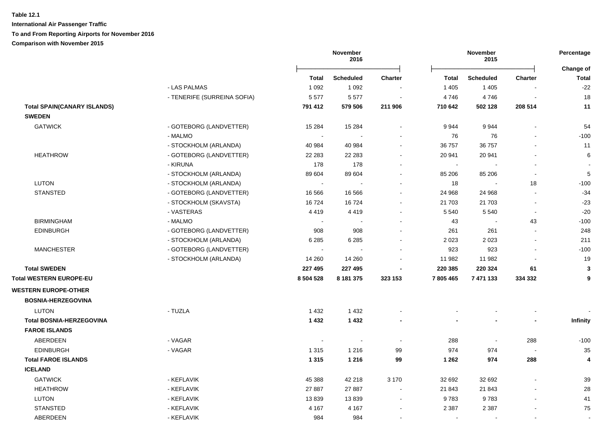|                                    |                             |              | November<br>2016 |                |              | November<br>2015         |                | Percentage<br>Change of |
|------------------------------------|-----------------------------|--------------|------------------|----------------|--------------|--------------------------|----------------|-------------------------|
|                                    |                             | <b>Total</b> | <b>Scheduled</b> | <b>Charter</b> | <b>Total</b> | <b>Scheduled</b>         | <b>Charter</b> | <b>Total</b>            |
|                                    | - LAS PALMAS                | 1 0 9 2      | 1 0 9 2          |                | 1 4 0 5      | 1 4 0 5                  |                | $-22$                   |
|                                    | - TENERIFE (SURREINA SOFIA) | 5577         | 5577             |                | 4746         | 4746                     |                | 18                      |
| <b>Total SPAIN(CANARY ISLANDS)</b> |                             | 791 412      | 579 506          | 211 906        | 710 642      | 502 128                  | 208 514        | 11                      |
| <b>SWEDEN</b>                      |                             |              |                  |                |              |                          |                |                         |
| <b>GATWICK</b>                     | - GOTEBORG (LANDVETTER)     | 15 2 84      | 15 2 84          |                | 9944         | 9944                     |                | 54                      |
|                                    | - MALMO                     |              |                  |                | 76           | 76                       |                | $-100$                  |
|                                    | - STOCKHOLM (ARLANDA)       | 40 984       | 40 984           |                | 36 757       | 36 757                   |                | 11                      |
| <b>HEATHROW</b>                    | - GOTEBORG (LANDVETTER)     | 22 283       | 22 2 8 3         |                | 20 941       | 20 941                   |                | 6                       |
|                                    | - KIRUNA                    | 178          | 178              |                | $\sim$       |                          |                |                         |
|                                    | - STOCKHOLM (ARLANDA)       | 89 604       | 89 604           |                | 85 206       | 85 206                   |                | $\overline{5}$          |
| <b>LUTON</b>                       | - STOCKHOLM (ARLANDA)       | $\sim$       | $\blacksquare$   |                | 18           | $\blacksquare$           | 18             | $-100$                  |
| <b>STANSTED</b>                    | - GOTEBORG (LANDVETTER)     | 16 566       | 16 566           |                | 24 968       | 24 968                   |                | $-34$                   |
|                                    | - STOCKHOLM (SKAVSTA)       | 16724        | 16724            |                | 21 703       | 21 703                   |                | $-23$                   |
|                                    | - VASTERAS                  | 4419         | 4419             |                | 5 5 4 0      | 5 5 4 0                  | $\sim$         | $-20$                   |
| <b>BIRMINGHAM</b>                  | - MALMO                     |              |                  |                | 43           | $\overline{\phantom{a}}$ | 43             | $-100$                  |
| <b>EDINBURGH</b>                   | - GOTEBORG (LANDVETTER)     | 908          | 908              |                | 261          | 261                      |                | 248                     |
|                                    | - STOCKHOLM (ARLANDA)       | 6 2 8 5      | 6 2 8 5          |                | 2 0 2 3      | 2023                     |                | 211                     |
| <b>MANCHESTER</b>                  | - GOTEBORG (LANDVETTER)     |              |                  |                | 923          | 923                      |                | $-100$                  |
|                                    | - STOCKHOLM (ARLANDA)       | 14 260       | 14 260           |                | 11 982       | 11 982                   |                | 19                      |
| <b>Total SWEDEN</b>                |                             | 227 495      | 227 495          |                | 220 385      | 220 324                  | 61             | 3                       |
| Total WESTERN EUROPE-EU            |                             | 8 504 528    | 8 181 375        | 323 153        | 7805465      | 7 471 133                | 334 332        | 9                       |
| <b>WESTERN EUROPE-OTHER</b>        |                             |              |                  |                |              |                          |                |                         |
| <b>BOSNIA-HERZEGOVINA</b>          |                             |              |                  |                |              |                          |                |                         |
| <b>LUTON</b>                       | - TUZLA                     | 1 4 3 2      | 1 4 3 2          |                |              |                          |                |                         |
| <b>Total BOSNIA-HERZEGOVINA</b>    |                             | 1 4 3 2      | 1432             |                |              |                          |                | Infinity                |
| <b>FAROE ISLANDS</b>               |                             |              |                  |                |              |                          |                |                         |
| <b>ABERDEEN</b>                    | - VAGAR                     |              |                  |                | 288          | $\blacksquare$           | 288            | $-100$                  |
| <b>EDINBURGH</b>                   | - VAGAR                     | 1 3 1 5      | 1 2 1 6          | 99             | 974          | 974                      |                | 35                      |
| <b>Total FAROE ISLANDS</b>         |                             | 1 3 1 5      | 1 2 1 6          | 99             | 1 2 6 2      | 974                      | 288            | 4                       |
| <b>ICELAND</b>                     |                             |              |                  |                |              |                          |                |                         |
| <b>GATWICK</b>                     | - KEFLAVIK                  | 45 388       | 42 218           | 3 1 7 0        | 32 692       | 32 692                   |                | 39                      |
| <b>HEATHROW</b>                    | - KEFLAVIK                  | 27 887       | 27 887           |                | 21 843       | 21 843                   |                | 28                      |
| LUTON                              | - KEFLAVIK                  | 13839        | 13839            |                | 9783         | 9783                     |                | 41                      |
| <b>STANSTED</b>                    | - KEFLAVIK                  | 4 1 6 7      | 4 1 6 7          |                | 2 3 8 7      | 2 3 8 7                  |                | 75                      |
| ABERDEEN                           | - KEFLAVIK                  | 984          | 984              |                |              |                          |                |                         |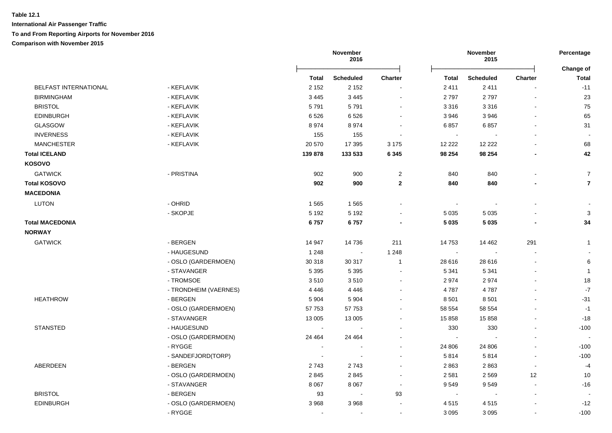|                        |                       | November<br>2016 |                  |                          | November<br>2015         |                  |                          |                           |
|------------------------|-----------------------|------------------|------------------|--------------------------|--------------------------|------------------|--------------------------|---------------------------|
|                        |                       | Total            | <b>Scheduled</b> | <b>Charter</b>           | <b>Total</b>             | <b>Scheduled</b> | Charter                  | Change of<br><b>Total</b> |
| BELFAST INTERNATIONAL  | - KEFLAVIK            | 2 1 5 2          | 2 1 5 2          |                          | 2 4 1 1                  | 2411             |                          | $-11$                     |
| <b>BIRMINGHAM</b>      | - KEFLAVIK            | 3 4 4 5          | 3 4 4 5          | $\blacksquare$           | 2797                     | 2797             |                          | 23                        |
| <b>BRISTOL</b>         | - KEFLAVIK            | 5791             | 5791             | $\blacksquare$           | 3 3 1 6                  | 3 3 1 6          |                          | 75                        |
| <b>EDINBURGH</b>       | - KEFLAVIK            | 6526             | 6526             | $\blacksquare$           | 3 9 4 6                  | 3 9 4 6          | $\overline{\phantom{a}}$ | 65                        |
| <b>GLASGOW</b>         | - KEFLAVIK            | 8974             | 8974             |                          | 6857                     | 6857             |                          | 31                        |
| <b>INVERNESS</b>       | - KEFLAVIK            | 155              | 155              |                          | $\sim$                   |                  |                          |                           |
| <b>MANCHESTER</b>      | - KEFLAVIK            | 20 570           | 17 395           | 3 1 7 5                  | 12 2 2 2                 | 12 222           |                          | 68                        |
| <b>Total ICELAND</b>   |                       | 139 878          | 133 533          | 6 3 4 5                  | 98 254                   | 98 254           |                          | 42                        |
| <b>KOSOVO</b>          |                       |                  |                  |                          |                          |                  |                          |                           |
| <b>GATWICK</b>         | - PRISTINA            | 902              | 900              | $\overline{c}$           | 840                      | 840              |                          | $\overline{7}$            |
| <b>Total KOSOVO</b>    |                       | 902              | 900              | $\mathbf{2}$             | 840                      | 840              |                          | $\overline{7}$            |
| <b>MACEDONIA</b>       |                       |                  |                  |                          |                          |                  |                          |                           |
| <b>LUTON</b>           | - OHRID               | 1565             | 1565             | $\blacksquare$           | $\blacksquare$           |                  |                          |                           |
|                        | - SKOPJE              | 5 1 9 2          | 5 1 9 2          |                          | 5 0 3 5                  | 5 0 3 5          |                          | 3                         |
| <b>Total MACEDONIA</b> |                       | 6757             | 6757             |                          | 5 0 3 5                  | 5 0 3 5          |                          | 34                        |
| <b>NORWAY</b>          |                       |                  |                  |                          |                          |                  |                          |                           |
| <b>GATWICK</b>         | - BERGEN              | 14 947           | 14 736           | 211                      | 14 753                   | 14 4 62          | 291                      | $\mathbf{1}$              |
|                        | - HAUGESUND           | 1 2 4 8          | $\sim$           | 1 2 4 8                  | $\overline{\phantom{a}}$ |                  |                          |                           |
|                        | - OSLO (GARDERMOEN)   | 30 318           | 30 317           | $\overline{1}$           | 28 616                   | 28 616           |                          | 6                         |
|                        | - STAVANGER           | 5 3 9 5          | 5 3 9 5          | ÷.                       | 5 3 4 1                  | 5 3 4 1          |                          | $\mathbf{1}$              |
|                        | - TROMSOE             | 3510             | 3510             | $\overline{a}$           | 2974                     | 2974             |                          | 18                        |
|                        | - TRONDHEIM (VAERNES) | 4 4 4 6          | 4 4 4 6          | $\blacksquare$           | 4787                     | 4787             |                          | $\mathbf{-7}$             |
| <b>HEATHROW</b>        | - BERGEN              | 5 9 0 4          | 5 9 0 4          |                          | 8 5 0 1                  | 8501             |                          | $-31$                     |
|                        | - OSLO (GARDERMOEN)   | 57753            | 57 753           |                          | 58 554                   | 58 554           |                          | $-1$                      |
|                        | - STAVANGER           | 13 005           | 13 005           | $\blacksquare$           | 15 858                   | 15 858           |                          | $-18$                     |
| <b>STANSTED</b>        | - HAUGESUND           | $\sim$           |                  |                          | 330                      | 330              |                          | $-100$                    |
|                        | - OSLO (GARDERMOEN)   | 24 4 64          | 24 4 64          |                          | $\sim$                   |                  | $\overline{\phantom{a}}$ |                           |
|                        | - RYGGE               |                  | $\sim$           |                          | 24 806                   | 24 806           |                          | $-100$                    |
|                        | - SANDEFJORD(TORP)    |                  |                  |                          | 5814                     | 5814             |                          | $-100$                    |
| ABERDEEN               | - BERGEN              | 2743             | 2743             |                          | 2863                     | 2863             |                          | $-4$                      |
|                        | - OSLO (GARDERMOEN)   | 2845             | 2845             | $\overline{a}$           | 2 5 8 1                  | 2 5 6 9          | 12                       | 10                        |
|                        | - STAVANGER           | 8 0 67           | 8 0 6 7          | $\overline{\phantom{a}}$ | 9549                     | 9549             | $\overline{\phantom{a}}$ | $-16$                     |
| <b>BRISTOL</b>         | - BERGEN              | 93               | $\sim$           | 93                       | $\sim$                   | $\blacksquare$   | $\overline{\phantom{a}}$ |                           |
| <b>EDINBURGH</b>       | - OSLO (GARDERMOEN)   | 3 9 6 8          | 3 9 6 8          |                          | 4515                     | 4515             |                          | $-12$                     |
|                        | - RYGGE               |                  | $\blacksquare$   | $\blacksquare$           | 3 0 9 5                  | 3 0 9 5          |                          | $-100$                    |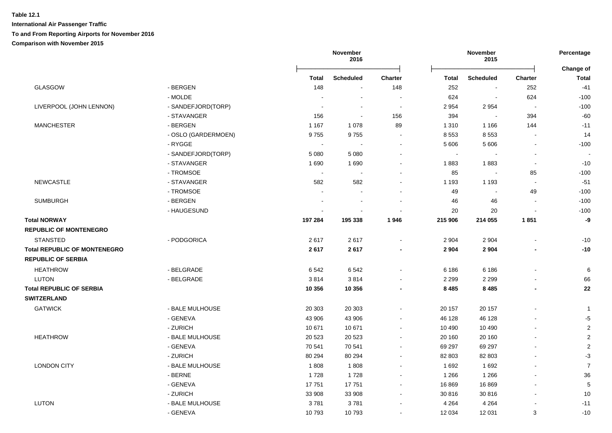|                                     |                     | November<br>2016      |                  |                          | November<br>2015            |                  |                          |                           |
|-------------------------------------|---------------------|-----------------------|------------------|--------------------------|-----------------------------|------------------|--------------------------|---------------------------|
|                                     |                     | Total                 | <b>Scheduled</b> | <b>Charter</b>           | Total                       | <b>Scheduled</b> | Charter                  | Change of<br><b>Total</b> |
| GLASGOW                             | - BERGEN            | 148                   | $\sim$           | 148                      | 252                         | $\blacksquare$   | 252                      | $-41$                     |
|                                     | - MOLDE             |                       | $\sim$           |                          | 624                         | $\sim$           | 624                      | $-100$                    |
| LIVERPOOL (JOHN LENNON)             | - SANDEFJORD(TORP)  |                       | $\blacksquare$   | $\sim$                   | 2 9 5 4                     | 2954             | $\overline{\phantom{a}}$ | $-100$                    |
|                                     | - STAVANGER         | 156                   | $\sim$           | 156                      | 394                         | $\blacksquare$   | 394                      | $-60$                     |
| <b>MANCHESTER</b>                   | - BERGEN            | 1 1 6 7               | 1078             | 89                       | 1 3 1 0                     | 1 1 6 6          | 144                      | $-11$                     |
|                                     | - OSLO (GARDERMOEN) | 9755                  | 9755             | $\sim$                   | 8 5 5 3                     | 8 5 5 3          |                          | 14                        |
|                                     | - RYGGE             | $\tilde{\phantom{a}}$ | $\sim$           | $\sim$                   | 5 606                       | 5 6 0 6          | $\blacksquare$           | $-100$                    |
|                                     | - SANDEFJORD(TORP)  | 5 0 8 0               | 5 0 8 0          |                          | $\mathcal{L}_{\mathcal{A}}$ |                  | $\blacksquare$           |                           |
|                                     | - STAVANGER         | 1690                  | 1690             |                          | 1883                        | 1883             | $\blacksquare$           | $-10$                     |
|                                     | - TROMSOE           | $\tilde{\phantom{a}}$ |                  |                          | 85                          | $\sim$           | 85                       | $-100$                    |
| <b>NEWCASTLE</b>                    | - STAVANGER         | 582                   | 582              |                          | 1 1 9 3                     | 1 1 9 3          | $\sim$                   | $-51$                     |
|                                     | - TROMSOE           | $\overline{a}$        | $\overline{a}$   |                          | 49                          | $\sim$           | 49                       | $-100$                    |
| <b>SUMBURGH</b>                     | - BERGEN            |                       |                  |                          | 46                          | 46               | $\overline{a}$           | $-100$                    |
|                                     | - HAUGESUND         | $\blacksquare$        | $\blacksquare$   |                          | 20                          | 20               | $\sim$                   | $-100$                    |
| <b>Total NORWAY</b>                 |                     | 197 284               | 195 338          | 1946                     | 215 906                     | 214 055          | 1851                     | -9                        |
| <b>REPUBLIC OF MONTENEGRO</b>       |                     |                       |                  |                          |                             |                  |                          |                           |
| <b>STANSTED</b>                     | - PODGORICA         | 2617                  | 2617             | $\sim$                   | 2 9 0 4                     | 2 9 0 4          | $\blacksquare$           | $-10$                     |
| <b>Total REPUBLIC OF MONTENEGRO</b> |                     | 2617                  | 2617             |                          | 2 9 0 4                     | 2 9 0 4          |                          | $-10$                     |
| <b>REPUBLIC OF SERBIA</b>           |                     |                       |                  |                          |                             |                  |                          |                           |
| <b>HEATHROW</b>                     | - BELGRADE          | 6542                  | 6542             |                          | 6 18 6                      | 6 18 6           |                          | 6                         |
| <b>LUTON</b>                        | - BELGRADE          | 3814                  | 3814             |                          | 2 2 9 9                     | 2 2 9 9          |                          | 66                        |
| <b>Total REPUBLIC OF SERBIA</b>     |                     | 10 356                | 10 356           |                          | 8 4 8 5                     | 8 4 8 5          | $\blacksquare$           | 22                        |
| <b>SWITZERLAND</b>                  |                     |                       |                  |                          |                             |                  |                          |                           |
| <b>GATWICK</b>                      | - BALE MULHOUSE     | 20 30 3               | 20 30 3          |                          | 20 157                      | 20 157           |                          | $\mathbf{1}$              |
|                                     | - GENEVA            | 43 906                | 43 906           |                          | 46 128                      | 46 128           |                          | $-5$                      |
|                                     | - ZURICH            | 10 671                | 10 671           |                          | 10 490                      | 10 490           |                          | $\overline{2}$            |
| <b>HEATHROW</b>                     | - BALE MULHOUSE     | 20 5 23               | 20 5 23          | $\overline{\phantom{a}}$ | 20 160                      | 20 160           | $\blacksquare$           | $\overline{2}$            |
|                                     | - GENEVA            | 70 541                | 70 541           | $\sim$                   | 69 297                      | 69 297           |                          | $\overline{2}$            |
|                                     | - ZURICH            | 80 294                | 80 294           | $\sim$                   | 82 803                      | 82 803           |                          | $-3$                      |
| <b>LONDON CITY</b>                  | - BALE MULHOUSE     | 1808                  | 1808             |                          | 1692                        | 1692             | $\blacksquare$           | $\overline{7}$            |
|                                     | - BERNE             | 1728                  | 1728             |                          | 1 2 6 6                     | 1 2 6 6          | $\overline{a}$           | 36                        |
|                                     | - GENEVA            | 17751                 | 17751            |                          | 16 869                      | 16869            |                          | 5                         |
|                                     | - ZURICH            | 33 908                | 33 908           | $\sim$                   | 30 816                      | 30 816           | $\blacksquare$           | 10                        |
| <b>LUTON</b>                        | - BALE MULHOUSE     | 3781                  | 3781             |                          | 4 2 6 4                     | 4 2 6 4          |                          | $-11$                     |
|                                     | - GENEVA            | 10793                 | 10793            |                          | 12 034                      | 12 031           | $\mathsf 3$              | $-10$                     |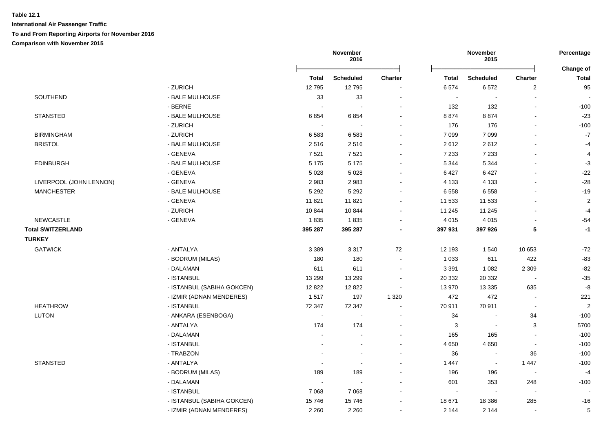|                          |                            | November<br>2016         |                  |                          |              | November<br>2015         |                              |                           |
|--------------------------|----------------------------|--------------------------|------------------|--------------------------|--------------|--------------------------|------------------------------|---------------------------|
|                          |                            | <b>Total</b>             | <b>Scheduled</b> | <b>Charter</b>           | <b>Total</b> | <b>Scheduled</b>         | <b>Charter</b>               | Change of<br><b>Total</b> |
|                          | - ZURICH                   | 12795                    | 12795            | $\overline{\phantom{a}}$ | 6574         | 6572                     | $\overline{c}$               | 95                        |
| SOUTHEND                 | - BALE MULHOUSE            | 33                       | 33               |                          |              | $\overline{\phantom{a}}$ |                              |                           |
|                          | - BERNE                    | $\overline{\phantom{a}}$ |                  |                          | 132          | 132                      | $\qquad \qquad \blacksquare$ | $-100$                    |
| <b>STANSTED</b>          | - BALE MULHOUSE            | 6854                     | 6854             |                          | 8874         | 8874                     | $\blacksquare$               | $-23$                     |
|                          | - ZURICH                   | $\sim$                   |                  | $\blacksquare$           | 176          | 176                      | $\blacksquare$               | $-100$                    |
| <b>BIRMINGHAM</b>        | - ZURICH                   | 6583                     | 6583             |                          | 7 0 9 9      | 7 0 9 9                  | $\blacksquare$               | $\mathbf{-7}$             |
| <b>BRISTOL</b>           | - BALE MULHOUSE            | 2516                     | 2516             |                          | 2612         | 2612                     |                              | $-4$                      |
|                          | - GENEVA                   | 7521                     | 7521             |                          | 7 2 3 3      | 7 2 3 3                  |                              | 4                         |
| <b>EDINBURGH</b>         | - BALE MULHOUSE            | 5 1 7 5                  | 5 1 7 5          |                          | 5 3 4 4      | 5 3 4 4                  |                              | $-3$                      |
|                          | - GENEVA                   | 5 0 28                   | 5 0 28           |                          | 6427         | 6427                     | $\sim$                       | $-22$                     |
| LIVERPOOL (JOHN LENNON)  | - GENEVA                   | 2983                     | 2983             |                          | 4 1 3 3      | 4 1 3 3                  | $\blacksquare$               | $-28$                     |
| <b>MANCHESTER</b>        | - BALE MULHOUSE            | 5 2 9 2                  | 5 2 9 2          | $\overline{a}$           | 6 5 5 8      | 6558                     |                              | $-19$                     |
|                          | - GENEVA                   | 11821                    | 11821            | $\blacksquare$           | 11 533       | 11 533                   | $\blacksquare$               | $\overline{2}$            |
|                          | - ZURICH                   | 10844                    | 10844            | $\blacksquare$           | 11 245       | 11 245                   |                              | $-4$                      |
| <b>NEWCASTLE</b>         | - GENEVA                   | 1835                     | 1835             | $\blacksquare$           | 4 0 1 5      | 4 0 1 5                  | $\blacksquare$               | $-54$                     |
| <b>Total SWITZERLAND</b> |                            | 395 287                  | 395 287          | $\blacksquare$           | 397 931      | 397 926                  | $\sqrt{5}$                   | $-1$                      |
| <b>TURKEY</b>            |                            |                          |                  |                          |              |                          |                              |                           |
| <b>GATWICK</b>           | - ANTALYA                  | 3 3 8 9                  | 3 3 1 7          | 72                       | 12 193       | 1 540                    | 10 653                       | -72                       |
|                          | - BODRUM (MILAS)           | 180                      | 180              | $\sim$                   | 1 0 3 3      | 611                      | 422                          | $-83$                     |
|                          | - DALAMAN                  | 611                      | 611              | $\blacksquare$           | 3 3 9 1      | 1 0 8 2                  | 2 3 0 9                      | $-82$                     |
|                          | - ISTANBUL                 | 13 299                   | 13 299           |                          | 20 332       | 20 332                   | $\overline{\phantom{a}}$     | $-35$                     |
|                          | - ISTANBUL (SABIHA GOKCEN) | 12 8 22                  | 12 8 22          | $\blacksquare$           | 13 970       | 13 3 35                  | 635                          | -8                        |
|                          | - IZMIR (ADNAN MENDERES)   | 1517                     | 197              | 1 3 2 0                  | 472          | 472                      | $\overline{\phantom{a}}$     | 221                       |
| <b>HEATHROW</b>          | - ISTANBUL                 | 72 347                   | 72 347           |                          | 70 911       | 70 911                   | $\overline{\phantom{a}}$     | $\overline{2}$            |
| LUTON                    | - ANKARA (ESENBOGA)        | $\sim$                   |                  |                          | 34           |                          | 34                           | $-100$                    |
|                          | - ANTALYA                  | 174                      | 174              |                          | 3            | $\overline{\phantom{a}}$ | 3                            | 5700                      |
|                          | - DALAMAN                  | ÷                        | ÷                | ÷                        | 165          | 165                      | $\blacksquare$               | $-100$                    |
|                          | - ISTANBUL                 | $\blacksquare$           | $\blacksquare$   | $\blacksquare$           | 4 6 5 0      | 4 6 5 0                  | $\sim$                       | $-100$                    |
|                          | - TRABZON                  |                          | $\blacksquare$   |                          | 36           | $\overline{\phantom{a}}$ | 36                           | $-100$                    |
| <b>STANSTED</b>          | - ANTALYA                  | $\blacksquare$           | $\blacksquare$   | $\blacksquare$           | 1 4 4 7      | $\overline{\phantom{a}}$ | 1 4 4 7                      | $-100$                    |
|                          | - BODRUM (MILAS)           | 189                      | 189              | $\blacksquare$           | 196          | 196                      | $\overline{\phantom{a}}$     | $-4$                      |
|                          | - DALAMAN                  | $\sim$                   |                  |                          | 601          | 353                      | 248                          | $-100$                    |
|                          | - ISTANBUL                 | 7 0 6 8                  | 7068             |                          |              | $\overline{\phantom{a}}$ | $\overline{\phantom{a}}$     |                           |
|                          | - ISTANBUL (SABIHA GOKCEN) | 15746                    | 15746            | $\blacksquare$           | 18 671       | 18 3 86                  | 285                          | -16                       |
|                          |                            |                          |                  |                          |              |                          |                              |                           |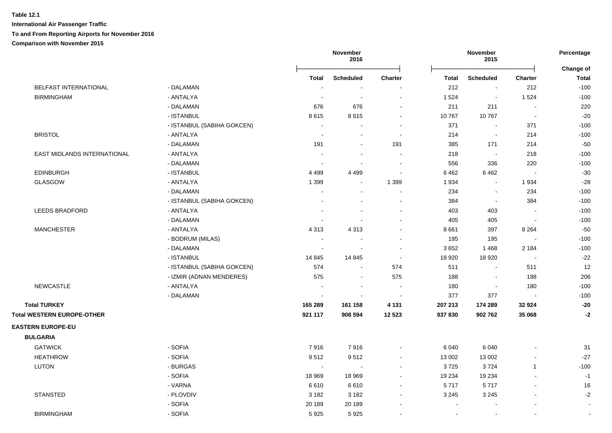|                                   |                            | November<br>2016 |                          |                          |                | November<br>2015 |                          | Percentage<br>Change of |
|-----------------------------------|----------------------------|------------------|--------------------------|--------------------------|----------------|------------------|--------------------------|-------------------------|
|                                   |                            | <b>Total</b>     | <b>Scheduled</b>         | <b>Charter</b>           | <b>Total</b>   | <b>Scheduled</b> | <b>Charter</b>           | <b>Total</b>            |
| BELFAST INTERNATIONAL             | - DALAMAN                  |                  | $\overline{\phantom{a}}$ |                          | 212            | $\sim$           | 212                      | $-100$                  |
| <b>BIRMINGHAM</b>                 | - ANTALYA                  |                  | $\sim$                   | $\blacksquare$           | 1 5 2 4        | $\sim$           | 1 5 2 4                  | $-100$                  |
|                                   | - DALAMAN                  | 676              | 676                      | $\blacksquare$           | 211            | 211              | $\blacksquare$           | 220                     |
|                                   | - ISTANBUL                 | 8615             | 8615                     |                          | 10767          | 10767            | $\sim$                   | $-20$                   |
|                                   | - ISTANBUL (SABIHA GOKCEN) | $\sim$           |                          |                          | 371            | $\blacksquare$   | 371                      | $-100$                  |
| <b>BRISTOL</b>                    | - ANTALYA                  |                  | $\overline{\phantom{a}}$ | $\sim$                   | 214            | $\blacksquare$   | 214                      | $-100$                  |
|                                   | - DALAMAN                  | 191              | $\blacksquare$           | 191                      | 385            | 171              | 214                      | $-50$                   |
| EAST MIDLANDS INTERNATIONAL       | - ANTALYA                  |                  | $\overline{\phantom{a}}$ | $\sim$                   | 218            | $\sim$           | 218                      | $-100$                  |
|                                   | - DALAMAN                  |                  | $\blacksquare$           | $\sim$                   | 556            | 336              | 220                      | $-100$                  |
| <b>EDINBURGH</b>                  | - ISTANBUL                 | 4 4 9 9          | 4 4 9 9                  | $\blacksquare$           | 6462           | 6462             | $\overline{\phantom{a}}$ | $-30$                   |
| <b>GLASGOW</b>                    | - ANTALYA                  | 1 3 9 9          | $\blacksquare$           | 1 3 9 9                  | 1 9 3 4        | $\blacksquare$   | 1934                     | $-28$                   |
|                                   | - DALAMAN                  | $\blacksquare$   | $\overline{\phantom{a}}$ | $\blacksquare$           | 234            | $\blacksquare$   | 234                      | $-100$                  |
|                                   | - ISTANBUL (SABIHA GOKCEN) | $\blacksquare$   | $\blacksquare$           | $\blacksquare$           | 384            | $\blacksquare$   | 384                      | $-100$                  |
| <b>LEEDS BRADFORD</b>             | - ANTALYA                  |                  |                          | $\blacksquare$           | 403            | 403              |                          | $-100$                  |
|                                   | - DALAMAN                  |                  |                          | $\sim$                   | 405            | 405              | $\sim$                   | $-100$                  |
| <b>MANCHESTER</b>                 | - ANTALYA                  | 4 3 1 3          | 4 3 1 3                  | $\blacksquare$           | 8661           | 397              | 8 2 6 4                  | $-50$                   |
|                                   | - BODRUM (MILAS)           |                  |                          |                          | 195            | 195              |                          | $-100$                  |
|                                   | - DALAMAN                  | $\sim$           |                          | ÷,                       | 3652           | 1468             | 2 1 8 4                  | $-100$                  |
|                                   | - ISTANBUL                 | 14 845           | 14 8 45                  | $\sim$                   | 18 9 20        | 18 9 20          | $\overline{\phantom{a}}$ | $-22$                   |
|                                   | - ISTANBUL (SABIHA GOKCEN) | 574              | $\overline{\phantom{a}}$ | 574                      | 511            | $\blacksquare$   | 511                      | 12                      |
|                                   | - IZMIR (ADNAN MENDERES)   | 575              | $\sim$                   | 575                      | 188            | $\sim$           | 188                      | 206                     |
| <b>NEWCASTLE</b>                  | - ANTALYA                  | $\sim$           | $\blacksquare$           | $\sim$                   | 180            | $\blacksquare$   | 180                      | $-100$                  |
|                                   | - DALAMAN                  | $\sim$           | $\sim$                   | $\overline{\phantom{a}}$ | 377            | 377              | $\blacksquare$           | $-100$                  |
| <b>Total TURKEY</b>               |                            | 165 289          | 161 158                  | 4 1 3 1                  | 207 213        | 174 289          | 32 924                   | $-20$                   |
| <b>Total WESTERN EUROPE-OTHER</b> |                            | 921 117          | 908 594                  | 12 5 23                  | 937 830        | 902762           | 35 068                   | $-2$                    |
| <b>EASTERN EUROPE-EU</b>          |                            |                  |                          |                          |                |                  |                          |                         |
| <b>BULGARIA</b>                   |                            |                  |                          |                          |                |                  |                          |                         |
| <b>GATWICK</b>                    | - SOFIA                    | 7916             | 7916                     | $\blacksquare$           | 6 0 4 0        | 6 0 4 0          |                          | 31                      |
| <b>HEATHROW</b>                   | - SOFIA                    | 9512             | 9512                     | $\blacksquare$           | 13 002         | 13 002           | $\blacksquare$           | $-27$                   |
| <b>LUTON</b>                      | - BURGAS                   | $\sim$           | $\sim$                   | ä,                       | 3725           | 3724             | $\mathbf{1}$             | $-100$                  |
|                                   | - SOFIA                    | 18 969           | 18 969                   |                          | 19 234         | 19 234           |                          | $-1$                    |
|                                   | - VARNA                    | 6610             | 6610                     | $\sim$                   | 5717           | 5717             | $\overline{a}$           | 16                      |
| <b>STANSTED</b>                   | - PLOVDIV                  | 3 1 8 2          | 3 1 8 2                  | $\sim$                   | 3 2 4 5        | 3 2 4 5          | $\overline{a}$           | $-2$                    |
|                                   | - SOFIA                    | 20 189           | 20 189                   | $\blacksquare$           | $\blacksquare$ |                  |                          | $\blacksquare$          |
| <b>BIRMINGHAM</b>                 | - SOFIA                    | 5925             | 5925                     |                          | $\blacksquare$ | $\blacksquare$   | $\blacksquare$           |                         |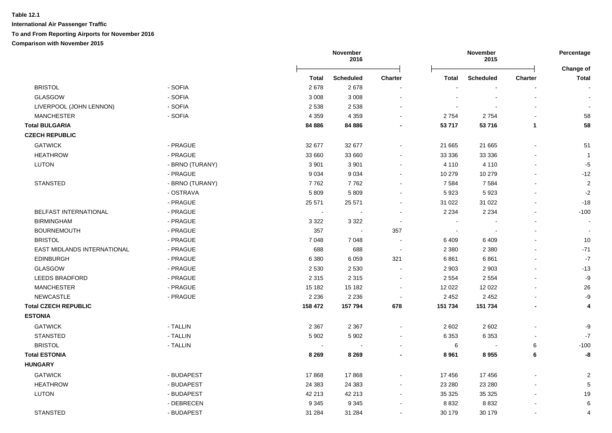|                                    |                 | November<br>2016           |                  |                          |                | November<br>2015 |              | Percentage                       |
|------------------------------------|-----------------|----------------------------|------------------|--------------------------|----------------|------------------|--------------|----------------------------------|
|                                    |                 | <b>Total</b>               | <b>Scheduled</b> | <b>Charter</b>           | <b>Total</b>   | <b>Scheduled</b> | Charter      | <b>Change of</b><br><b>Total</b> |
| <b>BRISTOL</b>                     | - SOFIA         | 2678                       | 2678             |                          |                |                  |              |                                  |
| <b>GLASGOW</b>                     | - SOFIA         | 3 0 0 8                    | 3 0 0 8          | $\blacksquare$           |                |                  |              |                                  |
| LIVERPOOL (JOHN LENNON)            | - SOFIA         | 2 5 3 8                    | 2 5 3 8          |                          |                |                  |              |                                  |
| <b>MANCHESTER</b>                  | - SOFIA         | 4 3 5 9                    | 4 3 5 9          |                          | 2754           | 2754             |              | 58                               |
| <b>Total BULGARIA</b>              |                 | 84 886                     | 84 886           |                          | 53 717         | 53 716           | $\mathbf{1}$ | 58                               |
| <b>CZECH REPUBLIC</b>              |                 |                            |                  |                          |                |                  |              |                                  |
| <b>GATWICK</b>                     | - PRAGUE        | 32 677                     | 32 677           | $\blacksquare$           | 21 665         | 21 665           |              | 51                               |
| <b>HEATHROW</b>                    | - PRAGUE        | 33 660                     | 33 660           |                          | 33 336         | 33 336           |              | $\overline{1}$                   |
| LUTON                              | - BRNO (TURANY) | 3 9 0 1                    | 3 9 0 1          | $\blacksquare$           | 4 1 1 0        | 4 1 1 0          |              | $-5$                             |
|                                    | - PRAGUE        | 9 0 3 4                    | 9034             |                          | 10 279         | 10 279           |              | $-12$                            |
| <b>STANSTED</b>                    | - BRNO (TURANY) | 7762                       | 7762             |                          | 7 5 8 4        | 7584             |              | $\overline{2}$                   |
|                                    | - OSTRAVA       | 5 8 0 9                    | 5809             |                          | 5923           | 5923             |              | $-2$                             |
|                                    | - PRAGUE        | 25 571                     | 25 571           |                          | 31 0 22        | 31 0 22          |              | $-18$                            |
| BELFAST INTERNATIONAL              | - PRAGUE        | $\mathcal{L}_{\mathbf{r}}$ | $\sim$           | $\blacksquare$           | 2 2 3 4        | 2 2 3 4          |              | $-100$                           |
| <b>BIRMINGHAM</b>                  | - PRAGUE        | 3 3 2 2                    | 3 3 2 2          | $\sim$                   | $\blacksquare$ |                  |              |                                  |
| <b>BOURNEMOUTH</b>                 | - PRAGUE        | 357                        | $\blacksquare$   | 357                      | $\blacksquare$ |                  |              |                                  |
| <b>BRISTOL</b>                     | - PRAGUE        | 7 0 48                     | 7048             | $\sim$                   | 6409           | 6409             |              | 10                               |
| <b>EAST MIDLANDS INTERNATIONAL</b> | - PRAGUE        | 688                        | 688              | $\sim$                   | 2 3 8 0        | 2 3 8 0          |              | $-71$                            |
| <b>EDINBURGH</b>                   | - PRAGUE        | 6 3 8 0                    | 6 0 5 9          | 321                      | 6861           | 6861             |              | $-7$                             |
| <b>GLASGOW</b>                     | - PRAGUE        | 2 5 3 0                    | 2 5 3 0          |                          | 2 9 0 3        | 2 9 0 3          |              | $-13$                            |
| <b>LEEDS BRADFORD</b>              | - PRAGUE        | 2 3 1 5                    | 2 3 1 5          | $\blacksquare$           | 2 5 5 4        | 2 5 5 4          |              | -9                               |
| <b>MANCHESTER</b>                  | - PRAGUE        | 15 182                     | 15 182           | $\blacksquare$           | 12 0 22        | 12 0 22          |              | 26                               |
| NEWCASTLE                          | - PRAGUE        | 2 2 3 6                    | 2 2 3 6          | $\overline{\phantom{a}}$ | 2 4 5 2        | 2 4 5 2          |              | $-9$                             |
| <b>Total CZECH REPUBLIC</b>        |                 | 158 472                    | 157 794          | 678                      | 151 734        | 151 734          |              | 4                                |
| <b>ESTONIA</b>                     |                 |                            |                  |                          |                |                  |              |                                  |
| <b>GATWICK</b>                     | - TALLIN        | 2 3 6 7                    | 2 3 6 7          | $\blacksquare$           | 2 6 0 2        | 2 6 0 2          |              | -9                               |
| <b>STANSTED</b>                    | - TALLIN        | 5 9 0 2                    | 5 9 0 2          |                          | 6 3 5 3        | 6 3 5 3          |              | $\mathbf{-7}$                    |
| <b>BRISTOL</b>                     | - TALLIN        |                            |                  |                          | $\,6\,$        |                  | 6            | $-100$                           |
| <b>Total ESTONIA</b>               |                 | 8 2 6 9                    | 8 2 6 9          |                          | 8 9 61         | 8955             | 6            | -8                               |
| <b>HUNGARY</b>                     |                 |                            |                  |                          |                |                  |              |                                  |
| <b>GATWICK</b>                     | - BUDAPEST      | 17868                      | 17868            |                          | 17 456         | 17456            |              | $\overline{2}$                   |
| <b>HEATHROW</b>                    | - BUDAPEST      | 24 3 8 3                   | 24 3 8 3         |                          | 23 280         | 23 280           |              | 5                                |
| LUTON                              | - BUDAPEST      | 42 213                     | 42 213           | $\blacksquare$           | 35 325         | 35 325           |              | 19                               |
|                                    | - DEBRECEN      | 9 3 4 5                    | 9 3 4 5          |                          | 8832           | 8832             |              | 6                                |
| <b>STANSTED</b>                    | - BUDAPEST      | 31 284                     | 31 284           |                          | 30 179         | 30 179           |              | $\overline{4}$                   |
|                                    |                 |                            |                  |                          |                |                  |              |                                  |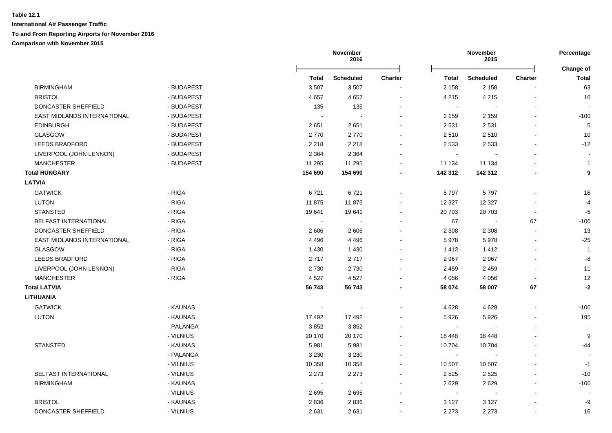|                             |            |              | November<br>2016 |                |                | November<br>2015 |                | Percentage                |
|-----------------------------|------------|--------------|------------------|----------------|----------------|------------------|----------------|---------------------------|
|                             |            | <b>Total</b> | <b>Scheduled</b> | <b>Charter</b> | <b>Total</b>   | <b>Scheduled</b> | <b>Charter</b> | Change of<br><b>Total</b> |
| <b>BIRMINGHAM</b>           | - BUDAPEST | 3507         | 3507             |                | 2 1 5 8        | 2 1 5 8          |                | 63                        |
| <b>BRISTOL</b>              | - BUDAPEST | 4657         | 4657             | $\sim$         | 4 2 1 5        | 4 2 1 5          |                | 10                        |
| DONCASTER SHEFFIELD         | - BUDAPEST | 135          | 135              |                | $\sim$         |                  |                |                           |
| EAST MIDLANDS INTERNATIONAL | - BUDAPEST |              |                  |                | 2 1 5 9        | 2 1 5 9          |                | $-100$                    |
| <b>EDINBURGH</b>            | - BUDAPEST | 2651         | 2651             |                | 2 5 3 1        | 2531             |                | $\overline{5}$            |
| <b>GLASGOW</b>              | - BUDAPEST | 2770         | 2770             |                | 2510           | 2510             |                | 10                        |
| <b>LEEDS BRADFORD</b>       | - BUDAPEST | 2 2 1 8      | 2 2 1 8          | $\blacksquare$ | 2 5 3 3        | 2 5 3 3          |                | $-12$                     |
| LIVERPOOL (JOHN LENNON)     | - BUDAPEST | 2 3 6 4      | 2 3 6 4          |                | $\blacksquare$ |                  |                |                           |
| <b>MANCHESTER</b>           | - BUDAPEST | 11 295       | 11 295           |                | 11 134         | 11 134           |                | $\mathbf{1}$              |
| <b>Total HUNGARY</b>        |            | 154 690      | 154 690          |                | 142 312        | 142 312          |                | 9                         |
| <b>LATVIA</b>               |            |              |                  |                |                |                  |                |                           |
| <b>GATWICK</b>              | - RIGA     | 6721         | 6721             |                | 5797           | 5797             |                | 16                        |
| LUTON                       | - RIGA     | 11875        | 11875            |                | 12 3 27        | 12 3 27          |                | $-4$                      |
| <b>STANSTED</b>             | - RIGA     | 19641        | 19641            |                | 20 703         | 20703            |                | $-5$                      |
| BELFAST INTERNATIONAL       | - RIGA     |              |                  |                | 67             | $\sim$           | 67             | $-100$                    |
| DONCASTER SHEFFIELD         | - RIGA     | 2606         | 2606             |                | 2 3 0 8        | 2 3 0 8          | $\sim$         | 13                        |
| EAST MIDLANDS INTERNATIONAL | - RIGA     | 4 4 9 6      | 4 4 9 6          |                | 5978           | 5978             |                | $-25$                     |
| <b>GLASGOW</b>              | - RIGA     | 1 4 3 0      | 1 4 3 0          |                | 1412           | 1 4 1 2          |                | $\overline{1}$            |
| <b>LEEDS BRADFORD</b>       | - RIGA     | 2717         | 2717             |                | 2 9 6 7        | 2967             |                | -8                        |
| LIVERPOOL (JOHN LENNON)     | - RIGA     | 2730         | 2730             |                | 2 4 5 9        | 2 4 5 9          |                | 11                        |
| <b>MANCHESTER</b>           | - RIGA     | 4527         | 4527             |                | 4 0 5 6        | 4 0 5 6          |                | 12                        |
| <b>Total LATVIA</b>         |            | 56 743       | 56 743           |                | 58 074         | 58 007           | 67             | $-2$                      |
| <b>LITHUANIA</b>            |            |              |                  |                |                |                  |                |                           |
| <b>GATWICK</b>              | - KAUNAS   |              |                  |                | 4 6 28         | 4628             |                | $-100$                    |
| <b>LUTON</b>                | - KAUNAS   | 17 492       | 17 492           |                | 5926           | 5926             |                | 195                       |
|                             | - PALANGA  | 3852         | 3852             |                | $\blacksquare$ |                  |                |                           |
|                             | - VILNIUS  | 20 170       | 20 170           | $\blacksquare$ | 18 448         | 18 4 48          |                | 9                         |
| <b>STANSTED</b>             | - KAUNAS   | 5981         | 5981             |                | 10 704         | 10704            |                | -44                       |
|                             | - PALANGA  | 3 2 3 0      | 3 2 3 0          |                | $\sim$         |                  |                |                           |
|                             | - VILNIUS  | 10 358       | 10 358           |                | 10 507         | 10 507           |                | $-1$                      |
| BELFAST INTERNATIONAL       | - VILNIUS  | 2 2 7 3      | 2 2 7 3          |                | 2 5 2 5        | 2 5 2 5          |                | $-10$                     |
| <b>BIRMINGHAM</b>           | - KAUNAS   |              | $\sim$           |                | 2629           | 2629             |                | $-100$                    |
|                             | - VILNIUS  | 2695         | 2695             |                | $\sim$         | $\sim$           |                |                           |
| <b>BRISTOL</b>              | - KAUNAS   | 2836         | 2836             |                | 3 1 2 7        | 3 1 2 7          |                | -9                        |
| DONCASTER SHEFFIELD         | - VILNIUS  | 2631         | 2631             |                | 2 2 7 3        | 2 2 7 3          |                | 16                        |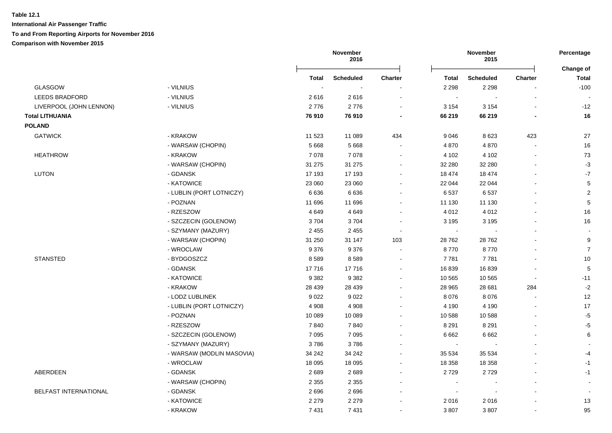|                         |                           | November<br>2016 |                  |                          | November<br>2015 |                  | Percentage     |                           |
|-------------------------|---------------------------|------------------|------------------|--------------------------|------------------|------------------|----------------|---------------------------|
|                         |                           | <b>Total</b>     | <b>Scheduled</b> | <b>Charter</b>           | Total            | <b>Scheduled</b> | <b>Charter</b> | Change of<br><b>Total</b> |
| <b>GLASGOW</b>          | - VILNIUS                 | $\sim$           |                  | $\sim$                   | 2 2 9 8          | 2 2 9 8          |                | $-100$                    |
| <b>LEEDS BRADFORD</b>   | - VILNIUS                 | 2616             | 2616             | $\sim$                   | $\sim$           |                  | $\blacksquare$ |                           |
| LIVERPOOL (JOHN LENNON) | - VILNIUS                 | 2776             | 2776             | $\blacksquare$           | 3 1 5 4          | 3 1 5 4          | ä,             | $-12$                     |
| <b>Total LITHUANIA</b>  |                           | 76910            | 76910            |                          | 66 219           | 66 219           |                | 16                        |
| <b>POLAND</b>           |                           |                  |                  |                          |                  |                  |                |                           |
| <b>GATWICK</b>          | - KRAKOW                  | 11 523           | 11 089           | 434                      | 9 0 4 6          | 8623             | 423            | 27                        |
|                         | - WARSAW (CHOPIN)         | 5 6 6 8          | 5 6 6 8          | $\sim$                   | 4 8 7 0          | 4870             | $\overline{a}$ | 16                        |
| <b>HEATHROW</b>         | - KRAKOW                  | 7078             | 7078             | $\sim$                   | 4 102            | 4 1 0 2          | $\sim$         | 73                        |
|                         | - WARSAW (CHOPIN)         | 31 275           | 31 275           | $\blacksquare$           | 32 280           | 32 280           |                | $-3$                      |
| <b>LUTON</b>            | - GDANSK                  | 17 193           | 17 193           | $\sim$                   | 18 474           | 18 474           |                | $-7$                      |
|                         | - KATOWICE                | 23 060           | 23 060           | $\overline{\phantom{a}}$ | 22 044           | 22 044           |                | $\sqrt{5}$                |
|                         | - LUBLIN (PORT LOTNICZY)  | 6636             | 6636             | $\sim$                   | 6537             | 6537             |                | $\overline{2}$            |
|                         | - POZNAN                  | 11 696           | 11 696           | $\sim$                   | 11 130           | 11 130           | $\overline{a}$ | 5                         |
|                         | - RZESZOW                 | 4 6 4 9          | 4649             | $\blacksquare$           | 4 0 1 2          | 4 0 1 2          | $\mathbf{r}$   | 16                        |
|                         | - SZCZECIN (GOLENOW)      | 3704             | 3704             | $\sim$                   | 3 1 9 5          | 3 1 9 5          |                | 16                        |
|                         | - SZYMANY (MAZURY)        | 2 4 5 5          | 2 4 5 5          | $\sim$                   |                  |                  |                | $\sim$                    |
|                         | - WARSAW (CHOPIN)         | 31 250           | 31 147           | 103                      | 28 762           | 28762            |                | 9                         |
|                         | - WROCLAW                 | 9376             | 9376             | $\sim$                   | 8770             | 8770             |                | $\overline{7}$            |
| <b>STANSTED</b>         | - BYDGOSZCZ               | 8589             | 8589             | $\sim$                   | 7781             | 7781             |                | $10$                      |
|                         | - GDANSK                  | 17716            | 17716            | $\sim$                   | 16 839           | 16839            | $\blacksquare$ | 5                         |
|                         | - KATOWICE                | 9 3 8 2          | 9 3 8 2          | $\sim$                   | 10 565           | 10 565           | $\blacksquare$ | $-11$                     |
|                         | - KRAKOW                  | 28 4 39          | 28 4 39          | $\blacksquare$           | 28 965           | 28 681           | 284            | $-2$                      |
|                         | - LODZ LUBLINEK           | 9 0 2 2          | 9 0 2 2          | $\blacksquare$           | 8 0 7 6          | 8 0 7 6          |                | 12                        |
|                         | - LUBLIN (PORT LOTNICZY)  | 4 9 0 8          | 4 9 0 8          | $\blacksquare$           | 4 1 9 0          | 4 1 9 0          | $\blacksquare$ | 17                        |
|                         | - POZNAN                  | 10 089           | 10 089           | $\sim$                   | 10 588           | 10588            |                | $-5$                      |
|                         | - RZESZOW                 | 7840             | 7840             | $\sim$                   | 8 2 9 1          | 8 2 9 1          |                | $-5$                      |
|                         | - SZCZECIN (GOLENOW)      | 7 0 9 5          | 7 0 9 5          | $\blacksquare$           | 6662             | 6662             |                | $6\phantom{1}$            |
|                         | - SZYMANY (MAZURY)        | 3786             | 3786             | $\blacksquare$           | $\blacksquare$   |                  | $\blacksquare$ |                           |
|                         | - WARSAW (MODLIN MASOVIA) | 34 242           | 34 24 2          | $\blacksquare$           | 35 534           | 35 5 34          |                | $-4$                      |
|                         | - WROCLAW                 | 18 0 95          | 18 0 95          | $\blacksquare$           | 18 3 58          | 18 3 58          |                | $-1$                      |
| ABERDEEN                | - GDANSK                  | 2689             | 2689             | $\blacksquare$           | 2729             | 2729             | $\blacksquare$ | $-1$                      |
|                         | - WARSAW (CHOPIN)         | 2 3 5 5          | 2 3 5 5          | $\sim$                   | $\sim$           |                  | $\blacksquare$ |                           |
| BELFAST INTERNATIONAL   | - GDANSK                  | 2696             | 2696             | $\blacksquare$           | $\sim$           |                  | ä,             |                           |
|                         | - KATOWICE                | 2 2 7 9          | 2 2 7 9          |                          | 2016             | 2016             |                | 13                        |
|                         | - KRAKOW                  | 7 4 31           | 7431             |                          | 3807             | 3807             |                | 95                        |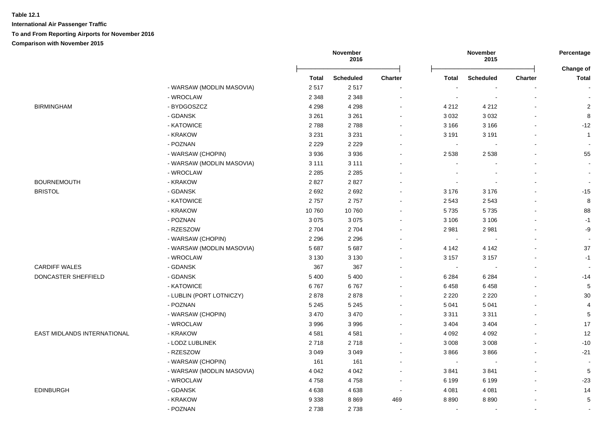|                                    |                           | November<br>2016 |                  |                          | November<br>2015 |                  |                |                           |
|------------------------------------|---------------------------|------------------|------------------|--------------------------|------------------|------------------|----------------|---------------------------|
|                                    |                           | <b>Total</b>     | <b>Scheduled</b> | <b>Charter</b>           | Total            | <b>Scheduled</b> | <b>Charter</b> | Change of<br><b>Total</b> |
|                                    | - WARSAW (MODLIN MASOVIA) | 2517             | 2517             |                          |                  |                  |                |                           |
|                                    | - WROCLAW                 | 2 3 4 8          | 2 3 4 8          | $\sim$                   | $\blacksquare$   |                  | $\blacksquare$ |                           |
| <b>BIRMINGHAM</b>                  | - BYDGOSZCZ               | 4 2 9 8          | 4 2 9 8          | $\sim$                   | 4 2 1 2          | 4 2 1 2          |                | $\overline{2}$            |
|                                    | - GDANSK                  | 3 2 6 1          | 3 2 6 1          |                          | 3 0 3 2          | 3 0 3 2          |                | 8                         |
|                                    | - KATOWICE                | 2788             | 2788             |                          | 3 1 6 6          | 3 1 6 6          |                | $-12$                     |
|                                    | - KRAKOW                  | 3 2 3 1          | 3 2 3 1          |                          | 3 1 9 1          | 3 1 9 1          |                | $\overline{1}$            |
|                                    | - POZNAN                  | 2 2 2 9          | 2 2 2 9          |                          | $\sim$           |                  |                |                           |
|                                    | - WARSAW (CHOPIN)         | 3936             | 3 9 3 6          |                          | 2 5 3 8          | 2 5 3 8          |                | 55                        |
|                                    | - WARSAW (MODLIN MASOVIA) | 3 1 1 1          | 3 1 1 1          |                          | $\blacksquare$   |                  |                | $\sim$                    |
|                                    | - WROCLAW                 | 2 2 8 5          | 2 2 8 5          |                          | $\overline{a}$   |                  |                | $\blacksquare$            |
| <b>BOURNEMOUTH</b>                 | - KRAKOW                  | 2827             | 2827             | $\overline{a}$           | $\sim$           |                  |                | $\overline{\phantom{a}}$  |
| <b>BRISTOL</b>                     | - GDANSK                  | 2692             | 2692             |                          | 3 1 7 6          | 3 1 7 6          |                | $-15$                     |
|                                    | - KATOWICE                | 2757             | 2757             |                          | 2 5 4 3          | 2 5 4 3          |                | 8                         |
|                                    | - KRAKOW                  | 10760            | 10760            | $\sim$                   | 5735             | 5735             |                | 88                        |
|                                    | - POZNAN                  | 3075             | 3075             | $\sim$                   | 3 1 0 6          | 3 1 0 6          | $\sim$         | $-1$                      |
|                                    | - RZESZOW                 | 2 7 0 4          | 2704             |                          | 2981             | 2981             |                | -9                        |
|                                    | - WARSAW (CHOPIN)         | 2 2 9 6          | 2 2 9 6          |                          | $\sim$           |                  |                |                           |
|                                    | - WARSAW (MODLIN MASOVIA) | 5 6 8 7          | 5 6 8 7          | $\sim$                   | 4 1 4 2          | 4 1 4 2          | $\sim$         | 37                        |
|                                    | - WROCLAW                 | 3 1 3 0          | 3 1 3 0          |                          | 3 1 5 7          | 3 1 5 7          |                | $-1$                      |
| <b>CARDIFF WALES</b>               | - GDANSK                  | 367              | 367              | $\overline{\phantom{a}}$ | $\blacksquare$   |                  | $\blacksquare$ |                           |
| DONCASTER SHEFFIELD                | - GDANSK                  | 5 4 0 0          | 5 4 0 0          |                          | 6 2 8 4          | 6 2 8 4          |                | $-14$                     |
|                                    | - KATOWICE                | 6767             | 6767             | $\blacksquare$           | 6458             | 6458             |                | $\sqrt{5}$                |
|                                    | - LUBLIN (PORT LOTNICZY)  | 2878             | 2878             |                          | 2 2 2 0          | 2 2 2 0          | $\sim$         | $30\,$                    |
|                                    | - POZNAN                  | 5 2 4 5          | 5 2 4 5          |                          | 5 0 4 1          | 5 0 4 1          |                | $\overline{4}$            |
|                                    | - WARSAW (CHOPIN)         | 3 4 7 0          | 3 4 7 0          |                          | 3 3 1 1          | 3 3 1 1          |                | $\,$ 5 $\,$               |
|                                    | - WROCLAW                 | 3996             | 3996             | $\overline{\phantom{a}}$ | 3 4 0 4          | 3 4 0 4          | $\sim$         | 17                        |
| <b>EAST MIDLANDS INTERNATIONAL</b> | - KRAKOW                  | 4581             | 4581             | $\sim$                   | 4 0 9 2          | 4 0 9 2          |                | 12                        |
|                                    | - LODZ LUBLINEK           | 2718             | 2718             | ÷                        | 3 0 0 8          | 3 0 0 8          | $\overline{a}$ | $-10$                     |
|                                    | - RZESZOW                 | 3 0 4 9          | 3 0 4 9          | $\sim$                   | 3866             | 3866             |                | $-21$                     |
|                                    | - WARSAW (CHOPIN)         | 161              | 161              | $\blacksquare$           | $\sim$           |                  | $\blacksquare$ | $\blacksquare$            |
|                                    | - WARSAW (MODLIN MASOVIA) | 4 0 4 2          | 4 0 4 2          | $\overline{\phantom{a}}$ | 3841             | 3841             | $\sim$         | $\sqrt{5}$                |
|                                    | - WROCLAW                 | 4758             | 4758             | $\sim$                   | 6 1 9 9          | 6 1 9 9          | $\blacksquare$ | $-23$                     |
| <b>EDINBURGH</b>                   | - GDANSK                  | 4638             | 4638             | $\sim$                   | 4 0 8 1          | 4 0 8 1          | $\sim$         | 14                        |
|                                    | - KRAKOW                  | 9 3 3 8          | 8869             | 469                      | 8890             | 8890             |                | $\sqrt{5}$                |
|                                    | - POZNAN                  | 2738             | 2738             |                          | $\blacksquare$   |                  | $\blacksquare$ |                           |
|                                    |                           |                  |                  |                          |                  |                  |                |                           |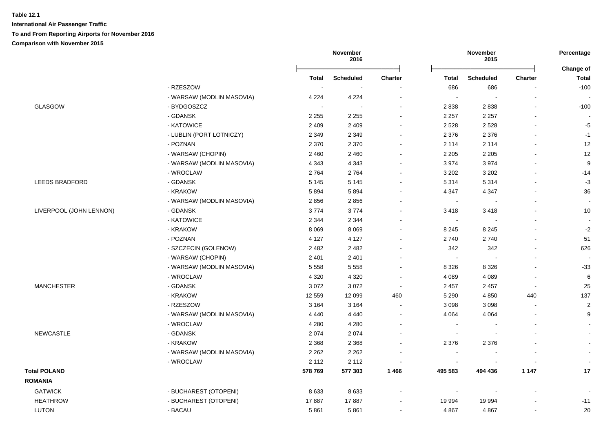|                         |                           | November<br>2016 |                  |                          | November<br>2015         |                  | Percentage     |                           |
|-------------------------|---------------------------|------------------|------------------|--------------------------|--------------------------|------------------|----------------|---------------------------|
|                         |                           | <b>Total</b>     | <b>Scheduled</b> | <b>Charter</b>           | <b>Total</b>             | <b>Scheduled</b> | <b>Charter</b> | Change of<br><b>Total</b> |
|                         | - RZESZOW                 |                  |                  |                          | 686                      | 686              |                | $-100$                    |
|                         | - WARSAW (MODLIN MASOVIA) | 4 2 2 4          | 4 2 2 4          | $\overline{\phantom{a}}$ | $\sim$                   |                  | ÷.             |                           |
| GLASGOW                 | - BYDGOSZCZ               |                  |                  |                          | 2838                     | 2838             | L,             | $-100$                    |
|                         | - GDANSK                  | 2 2 5 5          | 2 2 5 5          |                          | 2 2 5 7                  | 2 2 5 7          | L,             |                           |
|                         | - KATOWICE                | 2 4 0 9          | 2 4 0 9          |                          | 2 5 2 8                  | 2528             |                | $-5$                      |
|                         | - LUBLIN (PORT LOTNICZY)  | 2 3 4 9          | 2 3 4 9          |                          | 2 3 7 6                  | 2 3 7 6          |                | $-1$                      |
|                         | - POZNAN                  | 2 3 7 0          | 2 3 7 0          |                          | 2 1 1 4                  | 2 1 1 4          | $\overline{a}$ | 12                        |
|                         | - WARSAW (CHOPIN)         | 2 4 6 0          | 2 4 6 0          |                          | 2 2 0 5                  | 2 2 0 5          | ÷.             | 12                        |
|                         | - WARSAW (MODLIN MASOVIA) | 4 3 4 3          | 4 3 4 3          |                          | 3974                     | 3974             |                | 9                         |
|                         | - WROCLAW                 | 2764             | 2764             |                          | 3 2 0 2                  | 3 2 0 2          |                | $-14$                     |
| <b>LEEDS BRADFORD</b>   | - GDANSK                  | 5 1 4 5          | 5 1 4 5          |                          | 5 3 1 4                  | 5 3 1 4          |                | $-3$                      |
|                         | - KRAKOW                  | 5894             | 5894             |                          | 4 3 4 7                  | 4 3 4 7          | ÷.             | 36                        |
|                         | - WARSAW (MODLIN MASOVIA) | 2856             | 2856             |                          | $\sim$                   |                  |                | $\overline{\phantom{a}}$  |
| LIVERPOOL (JOHN LENNON) | - GDANSK                  | 3774             | 3774             |                          | 3418                     | 3418             |                | 10                        |
|                         | - KATOWICE                | 2 3 4 4          | 2 3 4 4          |                          | $\sim$                   |                  | $\blacksquare$ | $\sim$                    |
|                         | - KRAKOW                  | 8 0 6 9          | 8 0 6 9          |                          | 8 2 4 5                  | 8 2 4 5          | $\blacksquare$ | $-2$                      |
|                         | - POZNAN                  | 4 1 2 7          | 4 1 2 7          |                          | 2740                     | 2740             | $\blacksquare$ | 51                        |
|                         | - SZCZECIN (GOLENOW)      | 2 4 8 2          | 2 4 8 2          |                          | 342                      | 342              |                | 626                       |
|                         | - WARSAW (CHOPIN)         | 2 4 0 1          | 2 4 0 1          |                          | $\sim$                   |                  | $\blacksquare$ |                           |
|                         | - WARSAW (MODLIN MASOVIA) | 5 5 5 8          | 5 5 5 8          |                          | 8 3 2 6                  | 8 3 2 6          |                | $-33$                     |
|                         | - WROCLAW                 | 4 3 2 0          | 4 3 2 0          |                          | 4 0 8 9                  | 4 0 8 9          |                | $\,6\,$                   |
| <b>MANCHESTER</b>       | - GDANSK                  | 3 0 7 2          | 3 0 7 2          |                          | 2 4 5 7                  | 2 4 5 7          |                | 25                        |
|                         | - KRAKOW                  | 12 559           | 12 099           | 460                      | 5 2 9 0                  | 4 8 5 0          | 440            | 137                       |
|                         | - RZESZOW                 | 3 1 6 4          | 3 1 6 4          | $\overline{a}$           | 3 0 9 8                  | 3 0 9 8          | $\overline{a}$ | $\boldsymbol{2}$          |
|                         | - WARSAW (MODLIN MASOVIA) | 4 4 4 0          | 4 4 4 0          | $\sim$                   | 4 0 64                   | 4 0 64           | L,             | 9                         |
|                         | - WROCLAW                 | 4 2 8 0          | 4 2 8 0          | $\sim$                   | $\overline{\phantom{a}}$ |                  | $\blacksquare$ |                           |
| <b>NEWCASTLE</b>        | - GDANSK                  | 2 0 7 4          | 2074             |                          | $\overline{\phantom{a}}$ |                  |                |                           |
|                         | - KRAKOW                  | 2 3 6 8          | 2 3 6 8          |                          | 2 3 7 6                  | 2 3 7 6          |                |                           |
|                         | - WARSAW (MODLIN MASOVIA) | 2 2 6 2          | 2 2 6 2          |                          |                          |                  |                | $\overline{\phantom{a}}$  |
|                         | - WROCLAW                 | 2 1 1 2          | 2 1 1 2          |                          | $\overline{\phantom{a}}$ |                  |                | $\sim$                    |
| <b>Total POLAND</b>     |                           | 578769           | 577 303          | 1466                     | 495 583                  | 494 436          | 1 1 4 7        | 17                        |
| <b>ROMANIA</b>          |                           |                  |                  |                          |                          |                  |                |                           |
| <b>GATWICK</b>          | - BUCHAREST (OTOPENI)     | 8633             | 8633             |                          | $\blacksquare$           |                  |                |                           |
| <b>HEATHROW</b>         | - BUCHAREST (OTOPENI)     | 17887            | 17887            |                          | 19 994                   | 19 994           |                | $-11$                     |
| LUTON                   | - BACAU                   | 5861             | 5861             |                          | 4 8 6 7                  | 4 8 6 7          |                | 20                        |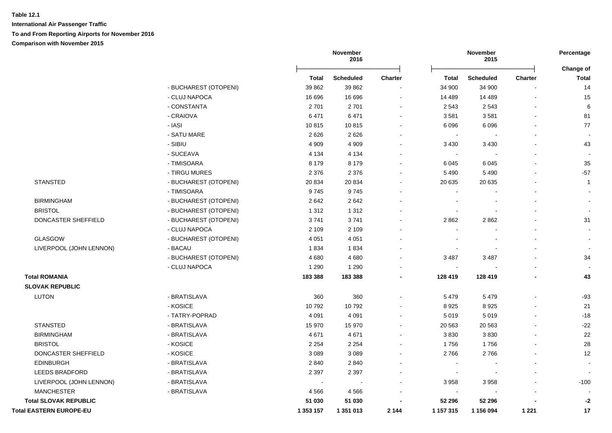|                                |                       |           | November<br>2016 |                |           | November<br>2015 |                | Percentage                       |
|--------------------------------|-----------------------|-----------|------------------|----------------|-----------|------------------|----------------|----------------------------------|
|                                |                       | Total     | <b>Scheduled</b> | <b>Charter</b> | Total     | <b>Scheduled</b> | <b>Charter</b> | <b>Change of</b><br><b>Total</b> |
|                                | - BUCHAREST (OTOPENI) | 39 862    | 39 862           |                | 34 900    | 34 900           |                | 14                               |
|                                | - CLUJ NAPOCA         | 16 696    | 16 696           | $\blacksquare$ | 14 489    | 14 4 8 9         |                | 15                               |
|                                | - CONSTANTA           | 2701      | 2701             | $\blacksquare$ | 2 5 4 3   | 2 5 4 3          |                | 6                                |
|                                | - CRAIOVA             | 6471      | 6471             | $\sim$         | 3581      | 3581             | $\blacksquare$ | 81                               |
|                                | - IASI                | 10815     | 10815            | $\blacksquare$ | 6 0 9 6   | 6096             |                | 77                               |
|                                | - SATU MARE           | 2626      | 2626             | $\blacksquare$ | $\sim$    |                  |                |                                  |
|                                | - SIBIU               | 4 9 0 9   | 4 9 0 9          | $\blacksquare$ | 3 4 3 0   | 3 4 3 0          |                | 43                               |
|                                | - SUCEAVA             | 4 1 3 4   | 4 1 3 4          |                |           |                  |                |                                  |
|                                | - TIMISOARA           | 8 1 7 9   | 8 1 7 9          |                | 6 0 45    | 6 0 4 5          |                | 35                               |
|                                | - TIRGU MURES         | 2 3 7 6   | 2 3 7 6          |                | 5 4 9 0   | 5 4 9 0          |                | $-57$                            |
| <b>STANSTED</b>                | - BUCHAREST (OTOPENI) | 20 834    | 20 834           |                | 20 635    | 20 635           |                | $\overline{1}$                   |
|                                | - TIMISOARA           | 9745      | 9745             | $\blacksquare$ |           |                  |                |                                  |
| <b>BIRMINGHAM</b>              | - BUCHAREST (OTOPENI) | 2642      | 2642             |                |           |                  |                |                                  |
| <b>BRISTOL</b>                 | - BUCHAREST (OTOPENI) | 1 3 1 2   | 1 3 1 2          |                |           |                  |                |                                  |
| DONCASTER SHEFFIELD            | - BUCHAREST (OTOPENI) | 3741      | 3741             |                | 2862      | 2862             |                | 31                               |
|                                | - CLUJ NAPOCA         | 2 1 0 9   | 2 1 0 9          |                |           |                  |                |                                  |
| GLASGOW                        | - BUCHAREST (OTOPENI) | 4 0 5 1   | 4 0 5 1          |                |           |                  |                |                                  |
| LIVERPOOL (JOHN LENNON)        | - BACAU               | 1834      | 1834             |                |           |                  |                |                                  |
|                                | - BUCHAREST (OTOPENI) | 4680      | 4680             |                | 3 4 8 7   | 3 4 8 7          |                | 34                               |
|                                | - CLUJ NAPOCA         | 1 2 9 0   | 1 2 9 0          |                |           |                  |                |                                  |
| <b>Total ROMANIA</b>           |                       | 183 388   | 183 388          | $\blacksquare$ | 128 419   | 128 419          |                | 43                               |
| <b>SLOVAK REPUBLIC</b>         |                       |           |                  |                |           |                  |                |                                  |
| <b>LUTON</b>                   | - BRATISLAVA          | 360       | 360              |                | 5479      | 5 4 7 9          |                | $-93$                            |
|                                | - KOSICE              | 10792     | 10792            |                | 8 9 2 5   | 8925             |                | 21                               |
|                                | - TATRY-POPRAD        | 4 0 9 1   | 4 0 9 1          | $\blacksquare$ | 5 0 1 9   | 5019             |                | $-18$                            |
| <b>STANSTED</b>                | - BRATISLAVA          | 15 970    | 15 970           | $\blacksquare$ | 20 5 63   | 20 5 63          |                | $-22$                            |
| <b>BIRMINGHAM</b>              | - BRATISLAVA          | 4671      | 4671             | $\blacksquare$ | 3830      | 3830             |                | 22                               |
| <b>BRISTOL</b>                 | - KOSICE              | 2 2 5 4   | 2 2 5 4          |                | 1756      | 1756             |                | 28                               |
| DONCASTER SHEFFIELD            | - KOSICE              | 3 0 8 9   | 3 0 8 9          |                | 2766      | 2766             |                | 12                               |
| <b>EDINBURGH</b>               | - BRATISLAVA          | 2 8 4 0   | 2840             |                |           |                  |                |                                  |
| <b>LEEDS BRADFORD</b>          | - BRATISLAVA          | 2 3 9 7   | 2 3 9 7          |                |           |                  |                |                                  |
| LIVERPOOL (JOHN LENNON)        | - BRATISLAVA          | $\sim$    |                  |                | 3958      | 3958             |                | $-100$                           |
| <b>MANCHESTER</b>              | - BRATISLAVA          | 4566      | 4566             |                | $\sim$    |                  |                |                                  |
| <b>Total SLOVAK REPUBLIC</b>   |                       | 51 030    | 51 030           |                | 52 296    | 52 296           |                | $-2$                             |
| <b>Total EASTERN EUROPE-EU</b> |                       | 1 353 157 | 1 351 013        | 2 1 4 4        | 1 157 315 | 1 156 094        | 1 2 2 1        | 17                               |

# **SLOVAK REPUBLIC**

| U | 1 O DN |  |
|---|--------|--|
|   |        |  |
|   |        |  |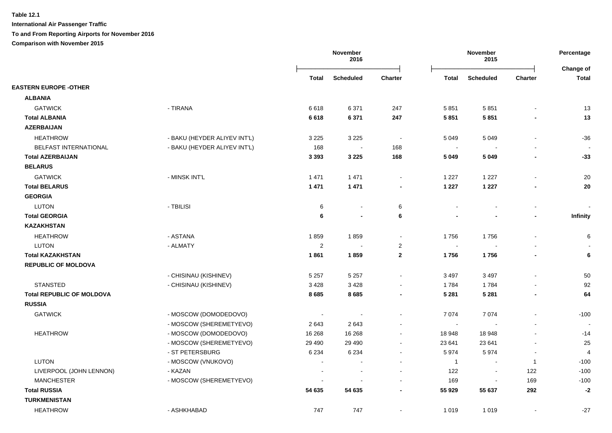**International Air Passenger Traffic**

**To and From Reporting Airports for November 2016**

**Comparison with November 2015**

|                                  |                              |                         | November<br>2016 |                |                          | November<br>2015         |                          |                           |
|----------------------------------|------------------------------|-------------------------|------------------|----------------|--------------------------|--------------------------|--------------------------|---------------------------|
|                                  |                              | <b>Total</b>            | <b>Scheduled</b> | <b>Charter</b> | <b>Total</b>             | <b>Scheduled</b>         | Charter                  | Change of<br><b>Total</b> |
| <b>EASTERN EUROPE -OTHER</b>     |                              |                         |                  |                |                          |                          |                          |                           |
| <b>ALBANIA</b>                   |                              |                         |                  |                |                          |                          |                          |                           |
| <b>GATWICK</b>                   | - TIRANA                     | 6618                    | 6 3 7 1          | 247            | 5851                     | 5851                     |                          | 13                        |
| <b>Total ALBANIA</b>             |                              | 6618                    | 6 3 7 1          | 247            | 5 8 5 1                  | 5851                     |                          | 13                        |
| <b>AZERBAIJAN</b>                |                              |                         |                  |                |                          |                          |                          |                           |
| <b>HEATHROW</b>                  | - BAKU (HEYDER ALIYEV INT'L) | 3 2 2 5                 | 3 2 2 5          | $\sim$         | 5 0 4 9                  | 5 0 4 9                  |                          | $-36$                     |
| BELFAST INTERNATIONAL            | - BAKU (HEYDER ALIYEV INT'L) | 168                     | $\sim$           | 168            | $\overline{\phantom{a}}$ |                          |                          |                           |
| <b>Total AZERBAIJAN</b>          |                              | 3 3 9 3                 | 3 2 2 5          | 168            | 5 0 4 9                  | 5 0 4 9                  |                          | $-33$                     |
| <b>BELARUS</b>                   |                              |                         |                  |                |                          |                          |                          |                           |
| <b>GATWICK</b>                   | - MINSK INT'L                | 1 4 7 1                 | 1 4 7 1          | $\blacksquare$ | 1 2 2 7                  | 1 2 2 7                  |                          | 20                        |
| <b>Total BELARUS</b>             |                              | 1 4 7 1                 | 1 4 7 1          | $\blacksquare$ | 1 2 2 7                  | 1 2 2 7                  |                          | 20                        |
| <b>GEORGIA</b>                   |                              |                         |                  |                |                          |                          |                          |                           |
| <b>LUTON</b>                     | - TBILISI                    | 6                       | $\blacksquare$   | 6              |                          |                          | $\sim$                   |                           |
| <b>Total GEORGIA</b>             |                              | 6                       | $\blacksquare$   | 6              |                          |                          | $\blacksquare$           | <b>Infinity</b>           |
| <b>KAZAKHSTAN</b>                |                              |                         |                  |                |                          |                          |                          |                           |
| <b>HEATHROW</b>                  | - ASTANA                     | 1859                    | 1859             | $\blacksquare$ | 1756                     | 1756                     | $\sim$                   | 6                         |
| LUTON                            | - ALMATY                     | $\overline{\mathbf{c}}$ | $\blacksquare$   | $\overline{2}$ | $\blacksquare$           | $\blacksquare$           |                          |                           |
| <b>Total KAZAKHSTAN</b>          |                              | 1861                    | 1859             | $\mathbf{2}$   | 1756                     | 1756                     | $\blacksquare$           | $\bf 6$                   |
| <b>REPUBLIC OF MOLDOVA</b>       |                              |                         |                  |                |                          |                          |                          |                           |
|                                  | - CHISINAU (KISHINEV)        | 5 2 5 7                 | 5 2 5 7          |                | 3 4 9 7                  | 3 4 9 7                  |                          | 50                        |
| <b>STANSTED</b>                  | - CHISINAU (KISHINEV)        | 3428                    | 3428             | $\sim$         | 1784                     | 1784                     |                          | 92                        |
| <b>Total REPUBLIC OF MOLDOVA</b> |                              | 8685                    | 8685             | $\blacksquare$ | 5 2 8 1                  | 5 2 8 1                  | $\blacksquare$           | 64                        |
| <b>RUSSIA</b>                    |                              |                         |                  |                |                          |                          |                          |                           |
| <b>GATWICK</b>                   | - MOSCOW (DOMODEDOVO)        |                         | $\blacksquare$   |                | 7 0 7 4                  | 7074                     |                          | $-100$                    |
|                                  | - MOSCOW (SHEREMETYEVO)      | 2643                    | 2643             |                | $\blacksquare$           |                          |                          |                           |
| <b>HEATHROW</b>                  | - MOSCOW (DOMODEDOVO)        | 16 268                  | 16 268           | $\blacksquare$ | 18 948                   | 18 948                   |                          | $-14$                     |
|                                  | - MOSCOW (SHEREMETYEVO)      | 29 4 9 0                | 29 4 9 0         | $\blacksquare$ | 23 641                   | 23 641                   |                          | 25                        |
|                                  | - ST PETERSBURG              | 6 2 3 4                 | 6 2 3 4          | $\sim$         | 5974                     | 5974                     | $\overline{\phantom{a}}$ | $\overline{4}$            |
| <b>LUTON</b>                     | - MOSCOW (VNUKOVO)           | $\sim$                  | $\blacksquare$   |                | $\overline{1}$           | $\sim$                   | $\overline{1}$           | $-100$                    |
| LIVERPOOL (JOHN LENNON)          | - KAZAN                      |                         |                  |                | 122                      | $\overline{\phantom{a}}$ | 122                      | $-100$                    |
| <b>MANCHESTER</b>                | - MOSCOW (SHEREMETYEVO)      |                         |                  |                | 169                      |                          | 169                      | $-100$                    |
| <b>Total RUSSIA</b>              |                              | 54 635                  | 54 635           |                | 55 929                   | 55 637                   | 292                      | $-2$                      |
| <b>TURKMENISTAN</b>              |                              |                         |                  |                |                          |                          |                          |                           |
| <b>HEATHROW</b>                  | - ASHKHABAD                  | 747                     | 747              | $\blacksquare$ | 1 0 1 9                  | 1 0 1 9                  |                          | $-27$                     |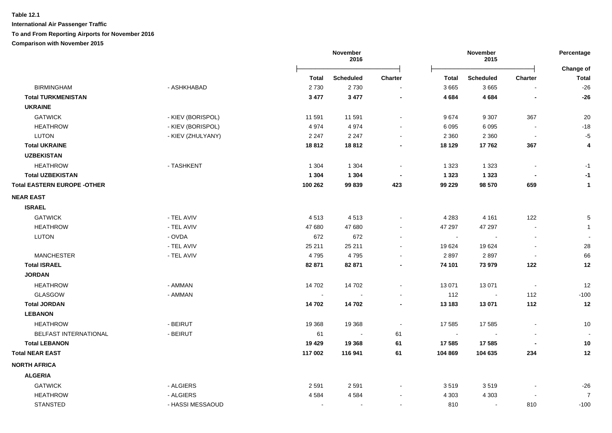**International Air Passenger Traffic**

#### **To and From Reporting Airports for November 2016**

**Comparison with November 2015**

|                                    |                   | November<br>2016         |                          | November<br>2015 |         |                  | Percentage<br>Change of  |                |
|------------------------------------|-------------------|--------------------------|--------------------------|------------------|---------|------------------|--------------------------|----------------|
|                                    |                   | Total                    | <b>Scheduled</b>         | Charter          | Total   | <b>Scheduled</b> | <b>Charter</b>           | <b>Total</b>   |
| <b>BIRMINGHAM</b>                  | - ASHKHABAD       | 2730                     | 2730                     |                  | 3 6 6 5 | 3665             |                          | $-26$          |
| <b>Total TURKMENISTAN</b>          |                   | 3 4 7 7                  | 3 4 7 7                  | $\blacksquare$   | 4 6 8 4 | 4 6 8 4          | $\blacksquare$           | $-26$          |
| <b>UKRAINE</b>                     |                   |                          |                          |                  |         |                  |                          |                |
| <b>GATWICK</b>                     | - KIEV (BORISPOL) | 11 591                   | 11 591                   |                  | 9674    | 9 3 0 7          | 367                      | 20             |
| <b>HEATHROW</b>                    | - KIEV (BORISPOL) | 4974                     | 4974                     |                  | 6 0 9 5 | 6 0 9 5          |                          | $-18$          |
| <b>LUTON</b>                       | - KIEV (ZHULYANY) | 2 2 4 7                  | 2 2 4 7                  |                  | 2 3 6 0 | 2 3 6 0          | $\overline{\phantom{a}}$ | $-5$           |
| <b>Total UKRAINE</b>               |                   | 18812                    | 18812                    |                  | 18 129  | 17762            | 367                      | 4              |
| <b>UZBEKISTAN</b>                  |                   |                          |                          |                  |         |                  |                          |                |
| <b>HEATHROW</b>                    | - TASHKENT        | 1 3 0 4                  | 1 3 0 4                  |                  | 1 3 2 3 | 1 3 2 3          |                          | $-1$           |
| <b>Total UZBEKISTAN</b>            |                   | 1 3 0 4                  | 1 3 0 4                  |                  | 1 3 2 3 | 1 3 2 3          |                          | $-1$           |
| <b>Total EASTERN EUROPE -OTHER</b> |                   | 100 262                  | 99 839                   | 423              | 99 229  | 98 570           | 659                      | $\mathbf{1}$   |
| <b>NEAR EAST</b>                   |                   |                          |                          |                  |         |                  |                          |                |
| <b>ISRAEL</b>                      |                   |                          |                          |                  |         |                  |                          |                |
| <b>GATWICK</b>                     | - TEL AVIV        | 4513                     | 4513                     |                  | 4 2 8 3 | 4 1 6 1          | 122                      | 5              |
| <b>HEATHROW</b>                    | - TEL AVIV        | 47 680                   | 47 680                   |                  | 47 297  | 47 297           | $\blacksquare$           | $\mathbf 1$    |
| <b>LUTON</b>                       | - OVDA            | 672                      | 672                      |                  | $\sim$  |                  | $\blacksquare$           |                |
|                                    | - TEL AVIV        | 25 211                   | 25 211                   |                  | 19 624  | 19624            | $\overline{a}$           | 28             |
| <b>MANCHESTER</b>                  | - TEL AVIV        | 4795                     | 4795                     |                  | 2897    | 2897             | $\blacksquare$           | 66             |
| <b>Total ISRAEL</b>                |                   | 82 871                   | 82 871                   |                  | 74 101  | 73 979           | 122                      | 12             |
| <b>JORDAN</b>                      |                   |                          |                          |                  |         |                  |                          |                |
| <b>HEATHROW</b>                    | - AMMAN           | 14 702                   | 14 702                   |                  | 13 071  | 13 071           | $\overline{\phantom{a}}$ | 12             |
| <b>GLASGOW</b>                     | - AMMAN           |                          |                          |                  | 112     |                  | 112                      | $-100$         |
| <b>Total JORDAN</b>                |                   | 14 702                   | 14 702                   |                  | 13 183  | 13 071           | 112                      | 12             |
| <b>LEBANON</b>                     |                   |                          |                          |                  |         |                  |                          |                |
| <b>HEATHROW</b>                    | - BEIRUT          | 19 3 68                  | 19 3 68                  |                  | 17 585  | 17 585           | $\overline{a}$           | 10             |
| <b>BELFAST INTERNATIONAL</b>       | - BEIRUT          | 61                       |                          | 61               | $\sim$  |                  |                          |                |
| <b>Total LEBANON</b>               |                   | 19 4 29                  | 19 3 68                  | 61               | 17 585  | 17 585           |                          | 10             |
| <b>Total NEAR EAST</b>             |                   | 117 002                  | 116 941                  | 61               | 104 869 | 104 635          | 234                      | 12             |
| <b>NORTH AFRICA</b>                |                   |                          |                          |                  |         |                  |                          |                |
| <b>ALGERIA</b>                     |                   |                          |                          |                  |         |                  |                          |                |
| <b>GATWICK</b>                     | - ALGIERS         | 2 5 9 1                  | 2 5 9 1                  |                  | 3519    | 3519             |                          | $-26$          |
| <b>HEATHROW</b>                    | - ALGIERS         | 4584                     | 4584                     |                  | 4 3 0 3 | 4 3 0 3          |                          | $\overline{7}$ |
| <b>STANSTED</b>                    | - HASSI MESSAOUD  | $\overline{\phantom{a}}$ | $\overline{\phantom{a}}$ |                  | 810     | $\sim$           | 810                      | $-100$         |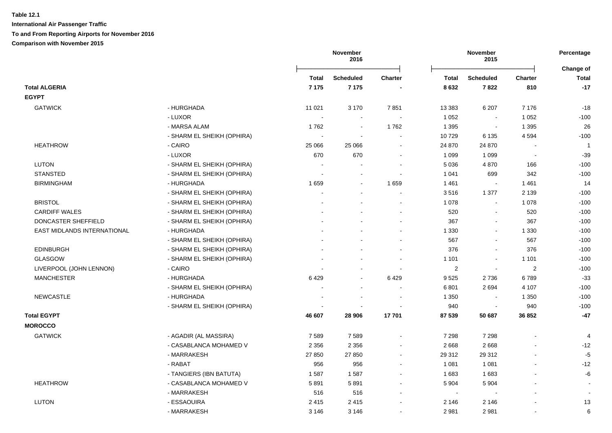|                             |                            | November<br>2016 |                  |                          | November<br>2015 |                  |                          |                           |
|-----------------------------|----------------------------|------------------|------------------|--------------------------|------------------|------------------|--------------------------|---------------------------|
|                             |                            | Total            | <b>Scheduled</b> | <b>Charter</b>           | Total            | <b>Scheduled</b> | <b>Charter</b>           | Change of<br><b>Total</b> |
| <b>Total ALGERIA</b>        |                            | 7 1 7 5          | 7 1 7 5          |                          | 8 6 3 2          | 7822             | 810                      | $-17$                     |
| <b>EGYPT</b>                |                            |                  |                  |                          |                  |                  |                          |                           |
| <b>GATWICK</b>              | - HURGHADA                 | 11 0 21          | 3 1 7 0          | 7851                     | 13 3 8 3         | 6 207            | 7 1 7 6                  | $-18$                     |
|                             | - LUXOR                    |                  | $\sim$           | $\sim$                   | 1 0 5 2          | $\sim$           | 1 0 5 2                  | $-100$                    |
|                             | - MARSA ALAM               | 1762             | $\blacksquare$   | 1762                     | 1 3 9 5          | $\Delta$         | 1 3 9 5                  | 26                        |
|                             | - SHARM EL SHEIKH (OPHIRA) |                  | $\overline{a}$   | $\blacksquare$           | 10729            | 6 1 3 5          | 4594                     | $-100$                    |
| <b>HEATHROW</b>             | - CAIRO                    | 25 066           | 25 066           | $\overline{\phantom{a}}$ | 24 870           | 24 870           |                          | $\overline{1}$            |
|                             | - LUXOR                    | 670              | 670              |                          | 1 0 9 9          | 1 0 9 9          | $\overline{\phantom{a}}$ | $-39$                     |
| LUTON                       | - SHARM EL SHEIKH (OPHIRA) |                  |                  |                          | 5 0 36           | 4 8 7 0          | 166                      | $-100$                    |
| <b>STANSTED</b>             | - SHARM EL SHEIKH (OPHIRA) |                  |                  |                          | 1 0 4 1          | 699              | 342                      | $-100$                    |
| <b>BIRMINGHAM</b>           | - HURGHADA                 | 1659             |                  | 1 6 5 9                  | 1461             | $\sim$           | 1461                     | 14                        |
|                             | - SHARM EL SHEIKH (OPHIRA) | $\overline{a}$   |                  |                          | 3516             | 1 377            | 2 1 3 9                  | $-100$                    |
| <b>BRISTOL</b>              | - SHARM EL SHEIKH (OPHIRA) |                  |                  |                          | 1 0 7 8          | $\sim$           | 1 0 7 8                  | $-100$                    |
| <b>CARDIFF WALES</b>        | - SHARM EL SHEIKH (OPHIRA) |                  |                  |                          | 520              | $\Delta$         | 520                      | $-100$                    |
| DONCASTER SHEFFIELD         | - SHARM EL SHEIKH (OPHIRA) |                  |                  | $\sim$                   | 367              | $\sim$           | 367                      | $-100$                    |
| EAST MIDLANDS INTERNATIONAL | - HURGHADA                 |                  |                  |                          | 1 3 3 0          | $\sim$           | 1 3 3 0                  | $-100$                    |
|                             | - SHARM EL SHEIKH (OPHIRA) |                  |                  |                          | 567              | $\mathbf{r}$     | 567                      | $-100$                    |
| <b>EDINBURGH</b>            | - SHARM EL SHEIKH (OPHIRA) |                  |                  |                          | 376              | $\mathbf{r}$     | 376                      | $-100$                    |
| <b>GLASGOW</b>              | - SHARM EL SHEIKH (OPHIRA) |                  |                  |                          | 1 1 0 1          | $\sim$           | 1 1 0 1                  | $-100$                    |
| LIVERPOOL (JOHN LENNON)     | - CAIRO                    |                  |                  |                          | 2                | $\sim$           | 2                        | $-100$                    |
| <b>MANCHESTER</b>           | - HURGHADA                 | 6429             | $\overline{a}$   | 6429                     | 9525             | 2736             | 6789                     | $-33$                     |
|                             | - SHARM EL SHEIKH (OPHIRA) |                  |                  |                          | 6801             | 2694             | 4 1 0 7                  | $-100$                    |
| <b>NEWCASTLE</b>            | - HURGHADA                 |                  |                  |                          | 1 3 5 0          |                  | 1 3 5 0                  | $-100$                    |
|                             | - SHARM EL SHEIKH (OPHIRA) |                  |                  |                          | 940              | $\sim$           | 940                      | $-100$                    |
| <b>Total EGYPT</b>          |                            | 46 607           | 28 906           | 17701                    | 87 539           | 50 687           | 36 852                   | $-47$                     |
| <b>MOROCCO</b>              |                            |                  |                  |                          |                  |                  |                          |                           |
| <b>GATWICK</b>              | - AGADIR (AL MASSIRA)      | 7589             | 7589             |                          | 7 2 9 8          | 7 2 9 8          |                          | $\overline{4}$            |
|                             | - CASABLANCA MOHAMED V     | 2 3 5 6          | 2 3 5 6          | $\sim$                   | 2 6 6 8          | 2668             | ÷.                       | $-12$                     |
|                             | - MARRAKESH                | 27 850           | 27 850           | $\sim$                   | 29 312           | 29 31 2          | L,                       | $-5$                      |
|                             | - RABAT                    | 956              | 956              | $\sim$                   | 1 0 8 1          | 1 0 8 1          | $\blacksquare$           | $-12$                     |
|                             | - TANGIERS (IBN BATUTA)    | 1587             | 1587             | $\sim$                   | 1683             | 1683             |                          | -6                        |
| <b>HEATHROW</b>             | - CASABLANCA MOHAMED V     | 5891             | 5891             | $\sim$                   | 5 9 0 4          | 5 9 0 4          |                          |                           |
|                             | - MARRAKESH                | 516              | 516              | $\sim$                   | $\sim$           |                  | $\blacksquare$           | $\sim$                    |
| <b>LUTON</b>                | - ESSAOUIRA                | 2415             | 2415             | $\sim$                   | 2 1 4 6          | 2 1 4 6          |                          | 13                        |
|                             | - MARRAKESH                | 3 1 4 6          | 3 1 4 6          | $\overline{\phantom{a}}$ | 2 9 8 1          | 2981             | $\overline{a}$           | 6                         |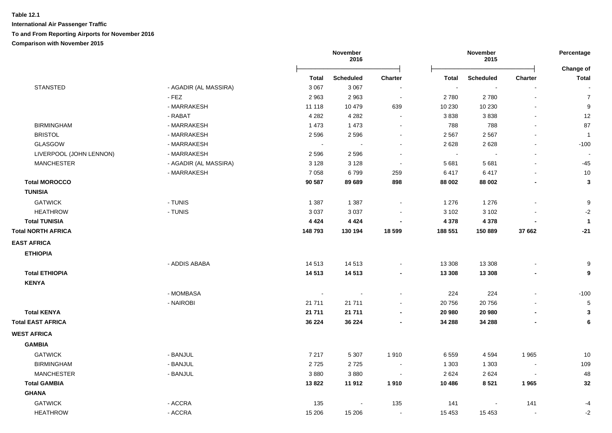|                           |                       | November<br>2016 |                  | November<br>2015         |                |                  | Percentage<br>Change of |                  |
|---------------------------|-----------------------|------------------|------------------|--------------------------|----------------|------------------|-------------------------|------------------|
|                           |                       | <b>Total</b>     | <b>Scheduled</b> | <b>Charter</b>           | <b>Total</b>   | <b>Scheduled</b> | Charter                 | <b>Total</b>     |
| <b>STANSTED</b>           | - AGADIR (AL MASSIRA) | 3 0 6 7          | 3 0 6 7          |                          | $\blacksquare$ | $\blacksquare$   | $\blacksquare$          |                  |
|                           | $-$ FEZ               | 2963             | 2963             | $\sim$                   | 2780           | 2780             | $\sim$                  | $\boldsymbol{7}$ |
|                           | - MARRAKESH           | 11 118           | 10 479           | 639                      | 10 230         | 10 230           |                         | $\boldsymbol{9}$ |
|                           | - RABAT               | 4 2 8 2          | 4 2 8 2          | $\sim$                   | 3838           | 3838             | $\blacksquare$          | $12$             |
| <b>BIRMINGHAM</b>         | - MARRAKESH           | 1 4 7 3          | 1 4 7 3          | $\blacksquare$           | 788            | 788              | $\blacksquare$          | 87               |
| <b>BRISTOL</b>            | - MARRAKESH           | 2 5 9 6          | 2596             | $\blacksquare$           | 2 5 6 7        | 2 5 6 7          |                         | -1               |
| <b>GLASGOW</b>            | - MARRAKESH           | $\sim$           | $\sim$           | $\overline{\phantom{a}}$ | 2628           | 2628             | $\blacksquare$          | $-100$           |
| LIVERPOOL (JOHN LENNON)   | - MARRAKESH           | 2 5 9 6          | 2596             |                          | $\sim$         |                  | $\blacksquare$          |                  |
| <b>MANCHESTER</b>         | - AGADIR (AL MASSIRA) | 3 1 2 8          | 3 1 2 8          |                          | 5 6 8 1        | 5681             |                         | $-45$            |
|                           | - MARRAKESH           | 7 0 5 8          | 6799             | 259                      | 6417           | 6417             |                         | 10               |
| <b>Total MOROCCO</b>      |                       | 90 587           | 89 689           | 898                      | 88 002         | 88 002           |                         | $\mathbf 3$      |
| <b>TUNISIA</b>            |                       |                  |                  |                          |                |                  |                         |                  |
| <b>GATWICK</b>            | - TUNIS               | 1 3 8 7          | 1 3 8 7          |                          | 1 2 7 6        | 1 2 7 6          |                         | $\boldsymbol{9}$ |
| <b>HEATHROW</b>           | - TUNIS               | 3 0 3 7          | 3 0 3 7          |                          | 3 1 0 2        | 3 1 0 2          |                         | $-2$             |
| <b>Total TUNISIA</b>      |                       | 4 4 2 4          | 4 4 2 4          |                          | 4 3 7 8        | 4 3 7 8          |                         | $\overline{1}$   |
| <b>Total NORTH AFRICA</b> |                       | 148793           | 130 194          | 18 599                   | 188 551        | 150 889          | 37 662                  | $-21$            |
| <b>EAST AFRICA</b>        |                       |                  |                  |                          |                |                  |                         |                  |
| <b>ETHIOPIA</b>           |                       |                  |                  |                          |                |                  |                         |                  |
|                           | - ADDIS ABABA         | 14 5 13          | 14 5 13          | $\blacksquare$           | 13 308         | 13 308           |                         | 9                |
| <b>Total ETHIOPIA</b>     |                       | 14 5 13          | 14 513           | $\overline{\phantom{a}}$ | 13 3 08        | 13 308           | $\blacksquare$          | $\boldsymbol{9}$ |
| <b>KENYA</b>              |                       |                  |                  |                          |                |                  |                         |                  |
|                           | - MOMBASA             | $\sim$           | $\sim$           |                          | 224            | 224              | $\blacksquare$          | $-100$           |
|                           | - NAIROBI             | 21 7 11          | 21 7 11          | $\blacksquare$           | 20 756         | 20756            | $\blacksquare$          | $\mathbf 5$      |
| <b>Total KENYA</b>        |                       | 21 711           | 21 711           | $\blacksquare$           | 20 980         | 20 980           | $\blacksquare$          | $\mathbf{3}$     |
| <b>Total EAST AFRICA</b>  |                       | 36 224           | 36 224           | $\blacksquare$           | 34 288         | 34 288           | $\blacksquare$          | 6                |
| <b>WEST AFRICA</b>        |                       |                  |                  |                          |                |                  |                         |                  |
| <b>GAMBIA</b>             |                       |                  |                  |                          |                |                  |                         |                  |
| <b>GATWICK</b>            | - BANJUL              | 7 2 1 7          | 5 3 0 7          | 1910                     | 6 5 5 9        | 4 5 9 4          | 1965                    | 10               |
| <b>BIRMINGHAM</b>         | - BANJUL              | 2725             | 2725             |                          | 1 3 0 3        | 1 3 0 3          |                         | 109              |
| <b>MANCHESTER</b>         | - BANJUL              | 3880             | 3880             |                          | 2 6 2 4        | 2624             |                         | 48               |
| <b>Total GAMBIA</b>       |                       | 13822            | 11 912           | 1910                     | 10 486         | 8521             | 1965                    | 32               |
| <b>GHANA</b>              |                       |                  |                  |                          |                |                  |                         |                  |
| <b>GATWICK</b>            | - ACCRA               | 135              |                  | 135                      | 141            |                  | 141                     | $-4$             |
| <b>HEATHROW</b>           | - ACCRA               | 15 206           | 15 206           |                          | 15 4 53        | 15 4 53          |                         | $-2$             |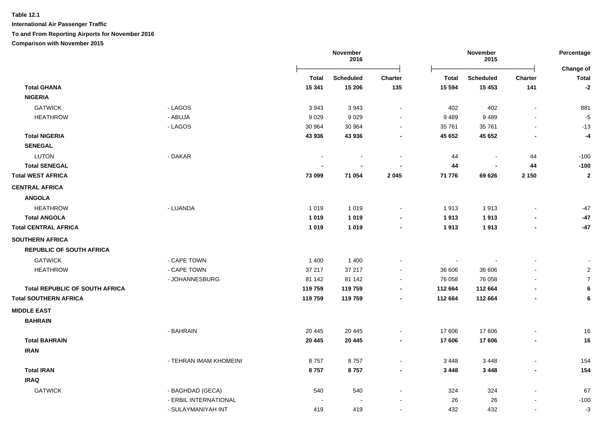**International Air Passenger Traffic**

**To and From Reporting Airports for November 2016**

**Comparison with November 2015**

|                                       |                        | November<br>2016 |                  | November<br>2015         |              |                | Percentage<br>Change of  |                         |
|---------------------------------------|------------------------|------------------|------------------|--------------------------|--------------|----------------|--------------------------|-------------------------|
|                                       |                        | <b>Total</b>     | <b>Scheduled</b> | Charter                  | <b>Total</b> | Scheduled      | <b>Charter</b>           | <b>Total</b>            |
| <b>Total GHANA</b>                    |                        | 15 341           | 15 206           | 135                      | 15 5 94      | 15 4 53        | 141                      | $-2$                    |
| <b>NIGERIA</b>                        |                        |                  |                  |                          |              |                |                          |                         |
| <b>GATWICK</b>                        | - LAGOS                | 3943             | 3943             | $\sim$                   | 402          | 402            | $\sim$                   | 881                     |
| <b>HEATHROW</b>                       | - ABUJA                | 9 0 2 9          | 9029             | $\sim$                   | 9 4 8 9      | 9489           |                          | $-5$                    |
|                                       | - LAGOS                | 30 964           | 30 964           | $\sim$                   | 35 761       | 35 761         | $\blacksquare$           | $-13$                   |
| <b>Total NIGERIA</b>                  |                        | 43 936           | 43 936           | $\overline{\phantom{0}}$ | 45 652       | 45 652         | $\blacksquare$           | -4                      |
| <b>SENEGAL</b>                        |                        |                  |                  |                          |              |                |                          |                         |
| <b>LUTON</b>                          | - DAKAR                |                  |                  |                          | 44           | $\blacksquare$ | 44                       | $-100$                  |
| <b>Total SENEGAL</b>                  |                        |                  |                  |                          | 44           | $\blacksquare$ | 44                       | $-100$                  |
| <b>Total WEST AFRICA</b>              |                        | 73 099           | 71 054           | 2 0 4 5                  | 71 776       | 69 626         | 2 1 5 0                  | $\overline{\mathbf{2}}$ |
| <b>CENTRAL AFRICA</b>                 |                        |                  |                  |                          |              |                |                          |                         |
| <b>ANGOLA</b>                         |                        |                  |                  |                          |              |                |                          |                         |
| <b>HEATHROW</b>                       | - LUANDA               | 1 0 1 9          | 1 0 1 9          | $\sim$                   | 1913         | 1913           | $\overline{\phantom{a}}$ | $-47$                   |
| <b>Total ANGOLA</b>                   |                        | 1019             | 1 0 1 9          | $\blacksquare$           | 1913         | 1913           | $\blacksquare$           | $-47$                   |
| <b>Total CENTRAL AFRICA</b>           |                        | 1019             | 1019             | $\blacksquare$           | 1913         | 1913           | $\blacksquare$           | $-47$                   |
| <b>SOUTHERN AFRICA</b>                |                        |                  |                  |                          |              |                |                          |                         |
| <b>REPUBLIC OF SOUTH AFRICA</b>       |                        |                  |                  |                          |              |                |                          |                         |
| <b>GATWICK</b>                        | - CAPE TOWN            | 1400             | 1 4 0 0          |                          | $\sim$       |                |                          |                         |
| <b>HEATHROW</b>                       | - CAPE TOWN            | 37 217           | 37 217           |                          | 36 606       | 36 606         |                          | $\overline{2}$          |
|                                       | - JOHANNESBURG         | 81 142           | 81 142           |                          | 76 058       | 76 058         |                          | $\overline{7}$          |
| <b>Total REPUBLIC OF SOUTH AFRICA</b> |                        | 119759           | 119759           | $\overline{\phantom{a}}$ | 112 664      | 112 664        |                          | $6\phantom{1}6$         |
| <b>Total SOUTHERN AFRICA</b>          |                        | 119759           | 119759           | $\blacksquare$           | 112 664      | 112 664        |                          | $\bf 6$                 |
| <b>MIDDLE EAST</b>                    |                        |                  |                  |                          |              |                |                          |                         |
| <b>BAHRAIN</b>                        |                        |                  |                  |                          |              |                |                          |                         |
|                                       | - BAHRAIN              | 20 4 45          | 20 445           | $\sim$                   | 17 606       | 17 606         |                          | $16\,$                  |
| <b>Total BAHRAIN</b>                  |                        | 20 4 45          | 20 4 45          | $\blacksquare$           | 17 606       | 17 606         | $\overline{\phantom{a}}$ | 16                      |
| <b>IRAN</b>                           |                        |                  |                  |                          |              |                |                          |                         |
|                                       | - TEHRAN IMAM KHOMEINI | 8757             | 8757             | $\sim$                   | 3 4 4 8      | 3448           | $\blacksquare$           | 154                     |
| <b>Total IRAN</b>                     |                        | 8757             | 8757             | $\blacksquare$           | 3 4 4 8      | 3 4 4 8        | $\blacksquare$           | 154                     |
| <b>IRAQ</b>                           |                        |                  |                  |                          |              |                |                          |                         |
| <b>GATWICK</b>                        | - BAGHDAD (GECA)       | 540              | 540              |                          | 324          | 324            | $\sim$                   | 67                      |
|                                       | - ERBIL INTERNATIONAL  |                  |                  |                          | 26           | 26             | $\overline{\phantom{a}}$ | $-100$                  |
|                                       | - SULAYMANIYAH INT     | 419              | 419              | $\overline{\phantom{a}}$ | 432          | 432            | $\blacksquare$           | $-3$                    |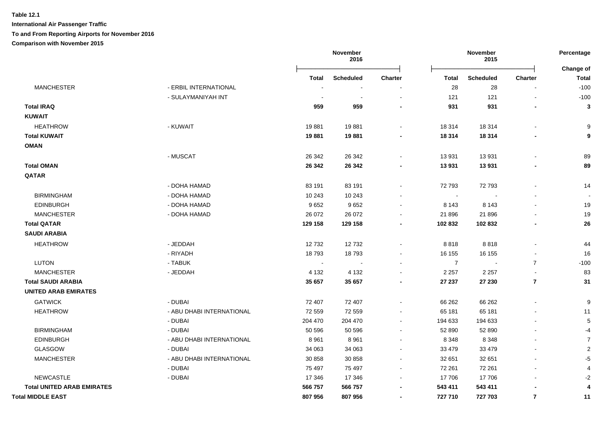|                                   |                           |         | November<br>2016 |                          | November<br>2015         |                  |                | Percentage<br><b>Change of</b> |
|-----------------------------------|---------------------------|---------|------------------|--------------------------|--------------------------|------------------|----------------|--------------------------------|
|                                   |                           | Total   | <b>Scheduled</b> | Charter                  | <b>Total</b>             | <b>Scheduled</b> | Charter        | <b>Total</b>                   |
| <b>MANCHESTER</b>                 | - ERBIL INTERNATIONAL     |         |                  |                          | 28                       | 28               |                | $-100$                         |
|                                   | - SULAYMANIYAH INT        |         |                  |                          | 121                      | 121              |                | $-100$                         |
| <b>Total IRAQ</b>                 |                           | 959     | 959              |                          | 931                      | 931              |                | 3                              |
| <b>KUWAIT</b>                     |                           |         |                  |                          |                          |                  |                |                                |
| <b>HEATHROW</b>                   | - KUWAIT                  | 19881   | 19881            |                          | 18 3 14                  | 18 3 14          |                | 9                              |
| <b>Total KUWAIT</b>               |                           | 19881   | 19881            |                          | 18 3 14                  | 18 3 14          |                | 9                              |
| <b>OMAN</b>                       |                           |         |                  |                          |                          |                  |                |                                |
|                                   | - MUSCAT                  | 26 342  | 26 342           |                          | 13 931                   | 13 931           |                | 89                             |
| <b>Total OMAN</b>                 |                           | 26 342  | 26 342           |                          | 13 931                   | 13 931           |                | 89                             |
| QATAR                             |                           |         |                  |                          |                          |                  |                |                                |
|                                   | - DOHA HAMAD              | 83 191  | 83 191           |                          | 72 793                   | 72 793           |                | 14                             |
| <b>BIRMINGHAM</b>                 | - DOHA HAMAD              | 10 243  | 10 243           |                          | $\overline{\phantom{a}}$ |                  |                |                                |
| <b>EDINBURGH</b>                  | - DOHA HAMAD              | 9652    | 9652             |                          | 8 1 4 3                  | 8 1 4 3          |                | 19                             |
| <b>MANCHESTER</b>                 | - DOHA HAMAD              | 26 072  | 26 072           |                          | 21 896                   | 21 896           |                | 19                             |
| <b>Total QATAR</b>                |                           | 129 158 | 129 158          |                          | 102 832                  | 102 832          |                | 26                             |
| <b>SAUDI ARABIA</b>               |                           |         |                  |                          |                          |                  |                |                                |
| <b>HEATHROW</b>                   | - JEDDAH                  | 12732   | 12732            |                          | 8818                     | 8818             |                | 44                             |
|                                   | - RIYADH                  | 18793   | 18793            |                          | 16 155                   | 16 155           |                | 16                             |
| <b>LUTON</b>                      | - TABUK                   |         |                  |                          | $\overline{7}$           |                  | $\overline{7}$ | $-100$                         |
| <b>MANCHESTER</b>                 | - JEDDAH                  | 4 1 3 2 | 4 1 3 2          |                          | 2 2 5 7                  | 2 2 5 7          |                | 83                             |
| <b>Total SAUDI ARABIA</b>         |                           | 35 657  | 35 657           |                          | 27 237                   | 27 230           | $\overline{7}$ | 31                             |
| <b>UNITED ARAB EMIRATES</b>       |                           |         |                  |                          |                          |                  |                |                                |
| <b>GATWICK</b>                    | - DUBAI                   | 72 407  | 72 407           |                          | 66 262                   | 66 262           |                | 9                              |
| <b>HEATHROW</b>                   | - ABU DHABI INTERNATIONAL | 72 559  | 72 559           | $\blacksquare$           | 65 181                   | 65 181           |                | 11                             |
|                                   | - DUBAI                   | 204 470 | 204 470          | $\sim$                   | 194 633                  | 194 633          |                | 5                              |
| <b>BIRMINGHAM</b>                 | - DUBAI                   | 50 596  | 50 596           | $\blacksquare$           | 52 890                   | 52 890           |                | $-4$                           |
| <b>EDINBURGH</b>                  | - ABU DHABI INTERNATIONAL | 8961    | 8 9 6 1          | $\blacksquare$           | 8 3 4 8                  | 8 3 4 8          |                | $\overline{7}$                 |
| GLASGOW                           | - DUBAI                   | 34 063  | 34 063           | $\overline{\phantom{a}}$ | 33 479                   | 33 4 79          |                | $\overline{2}$                 |
| <b>MANCHESTER</b>                 | - ABU DHABI INTERNATIONAL | 30 858  | 30 858           | $\blacksquare$           | 32 651                   | 32 651           |                | $-5$                           |
|                                   | - DUBAI                   | 75 497  | 75 497           | $\sim$                   | 72 261                   | 72 261           |                | $\overline{4}$                 |
| <b>NEWCASTLE</b>                  | - DUBAI                   | 17 346  | 17 346           |                          | 17 706                   | 17706            |                | $-2$                           |
| <b>Total UNITED ARAB EMIRATES</b> |                           | 566 757 | 566 757          |                          | 543 411                  | 543 411          |                | $\overline{\mathbf{A}}$        |
| <b>Total MIDDLE EAST</b>          |                           | 807956  | 807956           |                          | 727 710                  | 727 703          | $\overline{7}$ | 11                             |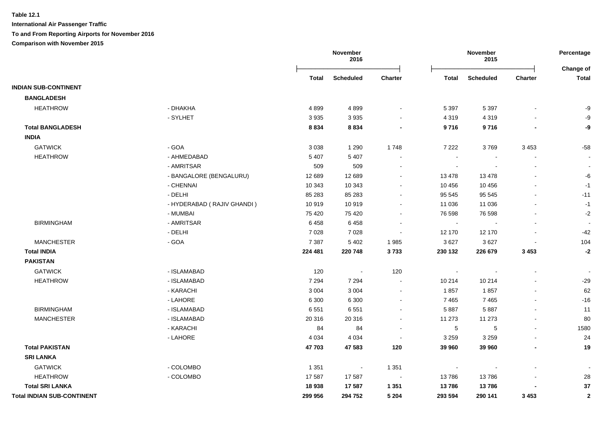**International Air Passenger Traffic To and From Reporting Airports for November 2016 Comparison with November 2015**

**November 2016 November 2015 Percentage** Ōņņņņņņņņņņņņņņņņņņņņņņņņō Ōņņņņņņņņņņņņņņņņņņņņņņņņō **Change of Total Scheduled Charter Total Scheduled Charter Total INDIAN SUB-CONTINENT BANGLADESH** HEATHROW - DHAKHA 4 899 4 899 - 5 397 5 397 - -9 HEATHROW - SYLHET 3 935 3 935 - 4 319 4 319 - -9  **Total BANGLADESH 8 834 8 834 - 9 716 9 716 - -9 INDIA** GATWICK - GOA 3 038 1 290 1 748 7 222 3 769 3 453 -58 HEATHROW - AHMEDABAD 5 407 5 407 - - - - end and the set of the set of the set of the set of the set of the set of the set of the set of the set of the set of the set of the set of the set of the set of the set of the set of the set of the set of the set of the s - BANGALORE (BENGALURU) 12 689 12 689 - 13 478 13 478 - -6 4- 10 343 - 10 343 - 10 343 - 10 343 - 10 343 - 10 456 - 10 456 - 10 456 - 10 - 10 - 10 - 10 - 10 - 1 HEATHROW - DELHI 85 283 85 283 - 95 545 95 545 - -11 HEATHROW - HYDERABAD ( RAJIV GHANDI ) 10 919 10 919 - 11 036 11 036 - -1 4- AULMBAI - مستقدم المستقدم التي يتم بن المستقدم المستقدم المستقدم المستقدم المستقدم المستقدم المستقدم المستق BIRMINGHAM - AMRITSAR 6 458 6 458 - - - - - BIRMINGHAM - DELHI 7 028 7 028 - 12 170 12 170 - -42 MANCHESTER - GOA 7 387 5 402 1 985 3 627 3 627 - 104  **Total INDIA 224 481 220 748 3 733 230 132 226 679 3 453 -2 PAKISTAN** GATWICK - ISLAMABAD 120 - 120 - - - - HEATHROW - ISLAMABAD 7 294 7 294 - 10 214 10 214 - -29 اباط المسابق المسابق المسابق المسابق المسابق المسابق المسابق المسابق المسابق المسابق المسابق المسابق المسابق ا 16- المساحد الساحد المساحد المساحد المساحد المساحد المساحد المساحد المساحد المساحد المساحد المساحد المساحد المساحد المساحد المساحد المساحد المساحد المساحد المساحد المساحد المساحد المساح BIRMINGHAM - ISLAMABAD 6 551 6 551 - 5 887 5 887 - 11 MANCHESTER - ISLAMABAD 20 316 20 316 - 11 273 11 273 - 80 MANCHESTER - KARACHI 84 84 - 5 5 - 1580 MANCHESTER - LAHORE 4 034 4 034 - 3 259 3 259 - 24  **Total PAKISTAN 47 703 47 583 120 39 960 39 960 - 19 SRI LANKA** GATWICK - COLOMBO 1 351 - 1 351 - - - - HEATHROW - COLOMBO 17 587 17 587 - 13 786 13 786 - 28  **Total SRI LANKA 18 938 17 587 1 351 13 786 13 786 - 37 Total INDIAN SUB-CONTINENT 299 956 294 752 5 204 293 594 290 141 3 453 2**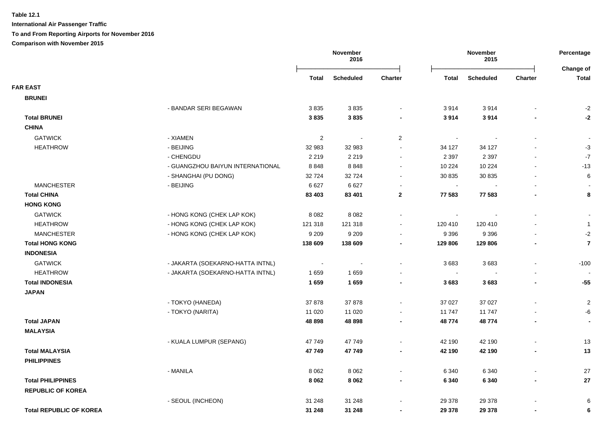**International Air Passenger Traffic To and From Reporting Airports for November 2016**

**Comparison with November 2015**

|                                |                                  |                  | November<br>2016     |                          |                          | November<br>2015         |                          |                           |
|--------------------------------|----------------------------------|------------------|----------------------|--------------------------|--------------------------|--------------------------|--------------------------|---------------------------|
|                                |                                  | <b>Total</b>     | <b>Scheduled</b>     | <b>Charter</b>           | <b>Total</b>             | <b>Scheduled</b>         | Charter                  | Change of<br><b>Total</b> |
| <b>FAR EAST</b>                |                                  |                  |                      |                          |                          |                          |                          |                           |
| <b>BRUNEI</b>                  |                                  |                  |                      |                          |                          |                          |                          |                           |
|                                | - BANDAR SERI BEGAWAN            | 3835             | 3835                 |                          | 3914                     | 3914                     |                          | $-2$                      |
| <b>Total BRUNEI</b>            |                                  | 3835             | 3835                 | $\overline{\phantom{0}}$ | 3914                     | 3914                     |                          | $-2$                      |
| <b>CHINA</b>                   |                                  |                  |                      |                          |                          |                          |                          |                           |
| <b>GATWICK</b>                 | - XIAMEN                         | $\boldsymbol{2}$ | $\ddot{\phantom{0}}$ | $\overline{2}$           | $\overline{\phantom{a}}$ |                          |                          | $\overline{\phantom{a}}$  |
| <b>HEATHROW</b>                | - BEIJING                        | 32 983           | 32 983               | $\sim$                   | 34 127                   | 34 127                   |                          | $-3$                      |
|                                | - CHENGDU                        | 2 2 1 9          | 2 2 1 9              | $\sim$                   | 2 3 9 7                  | 2 3 9 7                  |                          | $-7$                      |
|                                | - GUANGZHOU BAIYUN INTERNATIONAL | 8848             | 8848                 | $\blacksquare$           | 10 224                   | 10 224                   |                          | $-13$                     |
|                                | - SHANGHAI (PU DONG)             | 32724            | 32724                | $\blacksquare$           | 30 835                   | 30 835                   |                          | $\,6$                     |
| <b>MANCHESTER</b>              | - BEIJING                        | 6627             | 6627                 | $\blacksquare$           | $\bullet$                |                          | $\blacksquare$           | $\blacksquare$            |
| <b>Total CHINA</b>             |                                  | 83 403           | 83 401               | $\mathbf{2}$             | 77 583                   | 77 583                   | $\blacksquare$           | 8                         |
| <b>HONG KONG</b>               |                                  |                  |                      |                          |                          |                          |                          |                           |
| <b>GATWICK</b>                 | - HONG KONG (CHEK LAP KOK)       | 8 0 8 2          | 8 0 8 2              | $\blacksquare$           | $\sim$                   | $\overline{\phantom{a}}$ | $\overline{\phantom{a}}$ | $\sim$                    |
| <b>HEATHROW</b>                | - HONG KONG (CHEK LAP KOK)       | 121 318          | 121 318              | $\blacksquare$           | 120 410                  | 120 410                  |                          | $\overline{1}$            |
| <b>MANCHESTER</b>              | - HONG KONG (CHEK LAP KOK)       | 9 2 0 9          | 9 2 0 9              |                          | 9 3 9 6                  | 9 3 9 6                  |                          | $-2$                      |
| <b>Total HONG KONG</b>         |                                  | 138 609          | 138 609              | $\blacksquare$           | 129 806                  | 129 806                  |                          | $\overline{7}$            |
| <b>INDONESIA</b>               |                                  |                  |                      |                          |                          |                          |                          |                           |
| <b>GATWICK</b>                 | - JAKARTA (SOEKARNO-HATTA INTNL) | $\sim$           | $\blacksquare$       | $\blacksquare$           | 3683                     | 3683                     | $\sim$                   | $-100$                    |
| <b>HEATHROW</b>                | - JAKARTA (SOEKARNO-HATTA INTNL) | 1659             | 1659                 |                          | $\sim$                   |                          |                          |                           |
| <b>Total INDONESIA</b>         |                                  | 1659             | 1659                 | $\blacksquare$           | 3683                     | 3683                     |                          | $-55$                     |
| <b>JAPAN</b>                   |                                  |                  |                      |                          |                          |                          |                          |                           |
|                                | - TOKYO (HANEDA)                 | 37878            | 37878                |                          | 37 027                   | 37 027                   |                          | $\overline{2}$            |
|                                | - TOKYO (NARITA)                 | 11 0 20          | 11 0 20              |                          | 11 747                   | 11747                    |                          | -6                        |
| <b>Total JAPAN</b>             |                                  | 48 898           | 48 898               | $\blacksquare$           | 48774                    | 48774                    |                          | $\blacksquare$            |
| <b>MALAYSIA</b>                |                                  |                  |                      |                          |                          |                          |                          |                           |
|                                | - KUALA LUMPUR (SEPANG)          | 47749            | 47749                | $\blacksquare$           | 42 190                   | 42 190                   |                          | 13                        |
| <b>Total MALAYSIA</b>          |                                  | 47 749           | 47749                |                          | 42 190                   | 42 190                   |                          | 13                        |
| <b>PHILIPPINES</b>             |                                  |                  |                      |                          |                          |                          |                          |                           |
|                                | - MANILA                         | 8 0 6 2          | 8 0 6 2              | $\blacksquare$           | 6 3 4 0                  | 6 3 4 0                  |                          | 27                        |
| <b>Total PHILIPPINES</b>       |                                  | 8 0 6 2          | 8 0 6 2              |                          | 6 3 4 0                  | 6 3 4 0                  |                          | 27                        |
| <b>REPUBLIC OF KOREA</b>       |                                  |                  |                      |                          |                          |                          |                          |                           |
|                                | - SEOUL (INCHEON)                | 31 248           | 31 248               |                          | 29 378                   | 29 378                   |                          | 6                         |
| <b>Total REPUBLIC OF KOREA</b> |                                  | 31 248           | 31 248               |                          | 29 378                   | 29 378                   |                          | $\bf{6}$                  |
|                                |                                  |                  |                      |                          |                          |                          |                          |                           |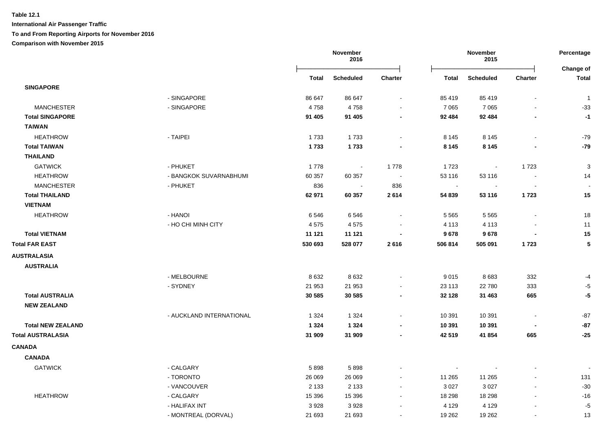|                          |                          |         | November<br>2016 |                          | November<br>2015 |                  |                          | Percentage<br>Change of |  |
|--------------------------|--------------------------|---------|------------------|--------------------------|------------------|------------------|--------------------------|-------------------------|--|
|                          |                          | Total   | <b>Scheduled</b> | Charter                  | <b>Total</b>     | <b>Scheduled</b> | <b>Charter</b>           | <b>Total</b>            |  |
| <b>SINGAPORE</b>         |                          |         |                  |                          |                  |                  |                          |                         |  |
|                          | - SINGAPORE              | 86 647  | 86 647           | $\blacksquare$           | 85 419           | 85 419           | $\blacksquare$           | $\mathbf{1}$            |  |
| <b>MANCHESTER</b>        | - SINGAPORE              | 4758    | 4758             | $\sim$                   | 7 0 6 5          | 7 0 6 5          | $\blacksquare$           | $-33$                   |  |
| <b>Total SINGAPORE</b>   |                          | 91 405  | 91 405           | $\overline{\phantom{a}}$ | 92 484           | 92 484           | $\blacksquare$           | $-1$                    |  |
| <b>TAIWAN</b>            |                          |         |                  |                          |                  |                  |                          |                         |  |
| <b>HEATHROW</b>          | - TAIPEI                 | 1733    | 1733             | $\sim$                   | 8 1 4 5          | 8 1 4 5          | $\blacksquare$           | $-79$                   |  |
| <b>Total TAIWAN</b>      |                          | 1733    | 1733             | $\blacksquare$           | 8 1 4 5          | 8 1 4 5          |                          | $-79$                   |  |
| <b>THAILAND</b>          |                          |         |                  |                          |                  |                  |                          |                         |  |
| <b>GATWICK</b>           | - PHUKET                 | 1778    | $\sim$           | 1 7 7 8                  | 1723             | $\sim$           | 1723                     | 3                       |  |
| <b>HEATHROW</b>          | - BANGKOK SUVARNABHUMI   | 60 357  | 60 357           | $\blacksquare$           | 53 116           | 53 116           | $\overline{\phantom{a}}$ | 14                      |  |
| <b>MANCHESTER</b>        | - PHUKET                 | 836     | $\blacksquare$   | 836                      | $\sim$           |                  | $\sim$                   | $\sim$                  |  |
| <b>Total THAILAND</b>    |                          | 62 971  | 60 357           | 2614                     | 54 839           | 53 116           | 1723                     | 15                      |  |
| <b>VIETNAM</b>           |                          |         |                  |                          |                  |                  |                          |                         |  |
| <b>HEATHROW</b>          | - HANOI                  | 6546    | 6546             | $\sim$                   | 5 5 6 5          | 5 5 6 5          | $\blacksquare$           | 18                      |  |
|                          | - HO CHI MINH CITY       | 4575    | 4575             |                          | 4 1 1 3          | 4 1 1 3          |                          | 11                      |  |
| <b>Total VIETNAM</b>     |                          | 11 121  | 11 121           |                          | 9678             | 9678             | $\blacksquare$           | 15                      |  |
| <b>Total FAR EAST</b>    |                          | 530 693 | 528 077          | 2616                     | 506 814          | 505 091          | 1723                     | 5                       |  |
| <b>AUSTRALASIA</b>       |                          |         |                  |                          |                  |                  |                          |                         |  |
| <b>AUSTRALIA</b>         |                          |         |                  |                          |                  |                  |                          |                         |  |
|                          | - MELBOURNE              | 8 6 3 2 | 8632             | $\blacksquare$           | 9015             | 8683             | 332                      | $-4$                    |  |
|                          | - SYDNEY                 | 21 953  | 21 953           | $\sim$                   | 23 113           | 22 780           | 333                      | $-5$                    |  |
| <b>Total AUSTRALIA</b>   |                          | 30 585  | 30 585           | $\blacksquare$           | 32 128           | 31 463           | 665                      | -5                      |  |
| <b>NEW ZEALAND</b>       |                          |         |                  |                          |                  |                  |                          |                         |  |
|                          | - AUCKLAND INTERNATIONAL | 1 3 2 4 | 1 3 2 4          | $\sim$                   | 10 391           | 10 391           | $\sim$                   | $-87$                   |  |
| <b>Total NEW ZEALAND</b> |                          | 1 3 2 4 | 1 3 2 4          | $\blacksquare$           | 10 391           | 10 391           | $\overline{\phantom{a}}$ | $-87$                   |  |
| <b>Total AUSTRALASIA</b> |                          | 31 909  | 31 909           | $\blacksquare$           | 42 519           | 41 854           | 665                      | $-25$                   |  |
| <b>CANADA</b>            |                          |         |                  |                          |                  |                  |                          |                         |  |
| <b>CANADA</b>            |                          |         |                  |                          |                  |                  |                          |                         |  |
| <b>GATWICK</b>           | - CALGARY                | 5898    | 5898             |                          | $\sim$           |                  |                          |                         |  |
|                          | - TORONTO                | 26 069  | 26 069           | $\blacksquare$           | 11 265           | 11 265           | $\ddot{\phantom{a}}$     | 131                     |  |
|                          | - VANCOUVER              | 2 1 3 3 | 2 1 3 3          | $\sim$                   | 3 0 27           | 3 0 2 7          | $\blacksquare$           | $-30$                   |  |
| <b>HEATHROW</b>          | - CALGARY                | 15 3 96 | 15 3 96          | $\sim$                   | 18 29 8          | 18 29 8          | $\blacksquare$           | $-16$                   |  |
|                          | - HALIFAX INT            | 3 9 28  | 3928             | $\blacksquare$           | 4 1 2 9          | 4 1 2 9          | $\blacksquare$           | $-5$                    |  |
|                          | - MONTREAL (DORVAL)      | 21 693  | 21 693           | $\sim$                   | 19 262           | 19 26 2          | $\blacksquare$           | 13                      |  |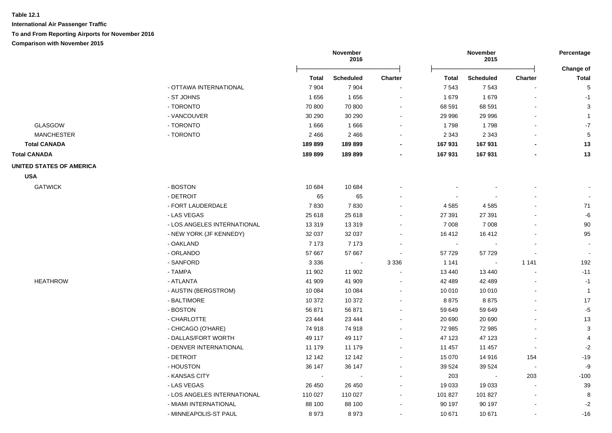|                                 |                             | November<br>2016 |                  |                | November<br>2015 |                          |                          |                           |
|---------------------------------|-----------------------------|------------------|------------------|----------------|------------------|--------------------------|--------------------------|---------------------------|
|                                 |                             | <b>Total</b>     | <b>Scheduled</b> | <b>Charter</b> | <b>Total</b>     | <b>Scheduled</b>         | <b>Charter</b>           | Change of<br><b>Total</b> |
|                                 | - OTTAWA INTERNATIONAL      | 7 9 0 4          | 7904             |                | 7 5 4 3          | 7543                     |                          | $\sqrt{5}$                |
|                                 | - ST JOHNS                  | 1656             | 1656             | $\overline{a}$ | 1679             | 1 679                    |                          | $-1$                      |
|                                 | - TORONTO                   | 70 800           | 70 800           | $\blacksquare$ | 68 591           | 68 591                   |                          | 3                         |
|                                 | - VANCOUVER                 | 30 290           | 30 290           | $\blacksquare$ | 29 996           | 29 996                   |                          | $\mathbf{1}$              |
| <b>GLASGOW</b>                  | - TORONTO                   | 1666             | 1666             |                | 1798             | 1798                     |                          | $-7$                      |
| <b>MANCHESTER</b>               | - TORONTO                   | 2466             | 2 4 6 6          |                | 2 3 4 3          | 2 3 4 3                  |                          | 5                         |
| <b>Total CANADA</b>             |                             | 189899           | 189899           |                | 167 931          | 167 931                  |                          | 13                        |
| <b>Total CANADA</b>             |                             | 189899           | 189 899          |                | 167 931          | 167 931                  |                          | 13                        |
| <b>UNITED STATES OF AMERICA</b> |                             |                  |                  |                |                  |                          |                          |                           |
| <b>USA</b>                      |                             |                  |                  |                |                  |                          |                          |                           |
| <b>GATWICK</b>                  | - BOSTON                    | 10 684           | 10 684           |                |                  |                          |                          |                           |
|                                 | - DETROIT                   | 65               | 65               |                |                  |                          |                          |                           |
|                                 | - FORT LAUDERDALE           | 7830             | 7830             |                | 4 5 8 5          | 4585                     |                          | 71                        |
|                                 | - LAS VEGAS                 | 25 618           | 25 618           |                | 27 391           | 27 391                   |                          | -6                        |
|                                 | - LOS ANGELES INTERNATIONAL | 13 3 19          | 13 3 19          |                | 7 0 0 8          | 7 0 0 8                  |                          | 90                        |
|                                 | - NEW YORK (JF KENNEDY)     | 32 037           | 32 037           |                | 16 412           | 16412                    |                          | 95                        |
|                                 | - OAKLAND                   | 7 1 7 3          | 7 1 7 3          |                | $\blacksquare$   |                          |                          |                           |
|                                 | - ORLANDO                   | 57 667           | 57 667           | $\overline{a}$ | 57 729           | 57 729                   |                          | $\sim$                    |
|                                 | - SANFORD                   | 3 3 3 6          | $\blacksquare$   | 3 3 3 6        | 1 1 4 1          | $\sim$                   | 1 1 4 1                  | 192                       |
|                                 | - TAMPA                     | 11 902           | 11 902           | ÷,             | 13 440           | 13 440                   | $\overline{\phantom{a}}$ | $-11$                     |
| <b>HEATHROW</b>                 | - ATLANTA                   | 41 909           | 41 909           | $\overline{a}$ | 42 489           | 42 489                   |                          | $-1$                      |
|                                 | - AUSTIN (BERGSTROM)        | 10 0 84          | 10 0 84          |                | 10 010           | 10 010                   |                          | $\overline{1}$            |
|                                 | - BALTIMORE                 | 10 372           | 10 372           |                | 8875             | 8875                     |                          | 17                        |
|                                 | - BOSTON                    | 56 871           | 56 871           |                | 59 649           | 59 649                   |                          | $-5$                      |
|                                 | - CHARLOTTE                 | 23 4 44          | 23 4 44          |                | 20 690           | 20 690                   |                          | 13                        |
|                                 | - CHICAGO (O'HARE)          | 74 918           | 74 918           |                | 72 985           | 72 985                   |                          | 3                         |
|                                 | - DALLAS/FORT WORTH         | 49 117           | 49 117           |                | 47 123           | 47 123                   |                          | 4                         |
|                                 | - DENVER INTERNATIONAL      | 11 179           | 11 179           | $\blacksquare$ | 11 457           | 11 457                   | $\overline{a}$           | $-2$                      |
|                                 | - DETROIT                   | 12 142           | 12 142           | $\blacksquare$ | 15 070           | 14 916                   | 154                      | $-19$                     |
|                                 | - HOUSTON                   | 36 147           | 36 147           |                | 39 5 24          | 39 5 24                  | $\blacksquare$           | -9                        |
|                                 | - KANSAS CITY               | $\blacksquare$   | $\sim$           |                | 203              | $\overline{\phantom{a}}$ | 203                      | $-100$                    |
|                                 | - LAS VEGAS                 | 26 450           | 26 450           | $\blacksquare$ | 19 033           | 19 033                   | $\blacksquare$           | 39                        |
|                                 | - LOS ANGELES INTERNATIONAL | 110 027          | 110 027          |                | 101 827          | 101 827                  | $\blacksquare$           | 8                         |
|                                 | - MIAMI INTERNATIONAL       | 88 100           | 88 100           |                | 90 197           | 90 197                   |                          | $-2$                      |
|                                 | - MINNEAPOLIS-ST PAUL       | 8973             | 8973             | $\overline{a}$ | 10 671           | 10 671                   |                          | $-16$                     |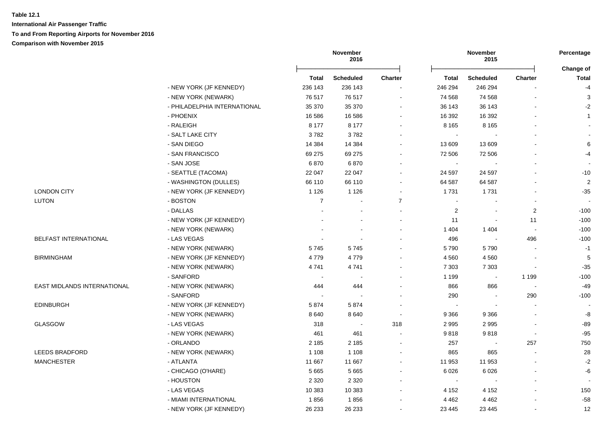**International Air Passenger Traffic To and From Reporting Airports for November 2016 Comparison with November 2015**

|                             |                              | November<br>2016 |                          | November<br>2015             |                |                          | Percentage               |                           |
|-----------------------------|------------------------------|------------------|--------------------------|------------------------------|----------------|--------------------------|--------------------------|---------------------------|
|                             |                              | <b>Total</b>     | <b>Scheduled</b>         | Charter                      | <b>Total</b>   | <b>Scheduled</b>         | <b>Charter</b>           | Change of<br><b>Total</b> |
|                             | - NEW YORK (JF KENNEDY)      | 236 143          | 236 143                  | $\sim$                       | 246 294        | 246 294                  |                          | $-4$                      |
|                             | - NEW YORK (NEWARK)          | 76 517           | 76 517                   | $\blacksquare$               | 74 568         | 74 568                   | L,                       | 3                         |
|                             | - PHILADELPHIA INTERNATIONAL | 35 370           | 35 370                   | ۰                            | 36 143         | 36 143                   | $\overline{a}$           | $-2$                      |
|                             | - PHOENIX                    | 16 586           | 16 586                   | ۰                            | 16 392         | 16 392                   | $\overline{a}$           | $\mathbf{1}$              |
|                             | - RALEIGH                    | 8 1 7 7          | 8 1 7 7                  |                              | 8 1 6 5        | 8 1 6 5                  |                          |                           |
|                             | - SALT LAKE CITY             | 3782             | 3782                     |                              | $\sim$         |                          |                          |                           |
|                             | - SAN DIEGO                  | 14 3 84          | 14 3 84                  | $\blacksquare$               | 13 609         | 13 609                   |                          | 6                         |
|                             | - SAN FRANCISCO              | 69 275           | 69 275                   | $\qquad \qquad \blacksquare$ | 72 506         | 72 506                   |                          | $-4$                      |
|                             | - SAN JOSE                   | 6870             | 6870                     |                              | $\sim$         |                          |                          |                           |
|                             | - SEATTLE (TACOMA)           | 22 047           | 22 047                   |                              | 24 597         | 24 597                   | $\blacksquare$           | $-10$                     |
|                             | - WASHINGTON (DULLES)        | 66 110           | 66 110                   |                              | 64 587         | 64 587                   |                          | 2                         |
| <b>LONDON CITY</b>          | - NEW YORK (JF KENNEDY)      | 1 1 2 6          | 1 1 2 6                  |                              | 1731           | 1731                     |                          | $-35$                     |
| <b>LUTON</b>                | - BOSTON                     | $\overline{7}$   | $\overline{\phantom{a}}$ | $\overline{7}$               | $\sim$         |                          |                          |                           |
|                             | - DALLAS                     |                  | $\sim$                   | $\sim$                       | $\overline{2}$ |                          | 2                        | $-100$                    |
|                             | - NEW YORK (JF KENNEDY)      |                  | $\sim$                   | $\blacksquare$               | 11             |                          | 11                       | $-100$                    |
|                             | - NEW YORK (NEWARK)          |                  | $\overline{\phantom{a}}$ | $\blacksquare$               | 1 4 0 4        | 1 4 0 4                  | $\overline{a}$           | $-100$                    |
| BELFAST INTERNATIONAL       | - LAS VEGAS                  |                  | $\sim$                   |                              | 496            |                          | 496                      | $-100$                    |
|                             | - NEW YORK (NEWARK)          | 5745             | 5745                     |                              | 5790           | 5790                     | $\sim$                   | $-1$                      |
| <b>BIRMINGHAM</b>           | - NEW YORK (JF KENNEDY)      | 4779             | 4779                     |                              | 4 5 6 0        | 4 5 6 0                  | $\overline{\phantom{a}}$ | 5                         |
|                             | - NEW YORK (NEWARK)          | 4741             | 4741                     |                              | 7 3 0 3        | 7 3 0 3                  | $\blacksquare$           | $-35$                     |
|                             | - SANFORD                    | $\sim$           | $\sim$                   |                              | 1 1 9 9        | $\overline{\phantom{a}}$ | 1 1 9 9                  | $-100$                    |
| EAST MIDLANDS INTERNATIONAL | - NEW YORK (NEWARK)          | 444              | 444                      |                              | 866            | 866                      | $\blacksquare$           | $-49$                     |
|                             | - SANFORD                    | $\sim$           | $\sim$                   | ۰                            | 290            |                          | 290                      | $-100$                    |
| <b>EDINBURGH</b>            | - NEW YORK (JF KENNEDY)      | 5874             | 5874                     |                              |                |                          |                          |                           |
|                             | - NEW YORK (NEWARK)          | 8640             | 8640                     | $\sim$                       | 9 3 6 6        | 9 3 6 6                  | $\overline{a}$           | -8                        |
| GLASGOW                     | - LAS VEGAS                  | 318              | $\sim$                   | 318                          | 2995           | 2995                     | $\overline{a}$           | $-89$                     |
|                             | - NEW YORK (NEWARK)          | 461              | 461                      |                              | 9818           | 9818                     | $\blacksquare$           | $-95$                     |
|                             | - ORLANDO                    | 2 1 8 5          | 2 1 8 5                  |                              | 257            |                          | 257                      | 750                       |
| <b>LEEDS BRADFORD</b>       | - NEW YORK (NEWARK)          | 1 1 0 8          | 1 1 0 8                  | $\blacksquare$               | 865            | 865                      |                          | 28                        |
| <b>MANCHESTER</b>           | - ATLANTA                    | 11 667           | 11 667                   | $\blacksquare$               | 11 953         | 11 953                   |                          | $-2$                      |
|                             | - CHICAGO (O'HARE)           | 5 6 6 5          | 5 6 6 5                  | $\blacksquare$               | 6 0 26         | 6 0 2 6                  |                          | $-6$                      |
|                             | - HOUSTON                    | 2 3 2 0          | 2 3 2 0                  | $\sim$                       | $\sim$         |                          | L.                       |                           |
|                             | - LAS VEGAS                  | 10 383           | 10 383                   |                              | 4 1 5 2        | 4 1 5 2                  |                          | 150                       |
|                             | - MIAMI INTERNATIONAL        | 1856             | 1856                     |                              | 4 4 6 2        | 4 4 6 2                  |                          | $-58$                     |
|                             | - NEW YORK (JF KENNEDY)      | 26 233           | 26 233                   |                              | 23 4 45        | 23 4 45                  | $\blacksquare$           | 12                        |
|                             |                              |                  |                          |                              |                |                          |                          |                           |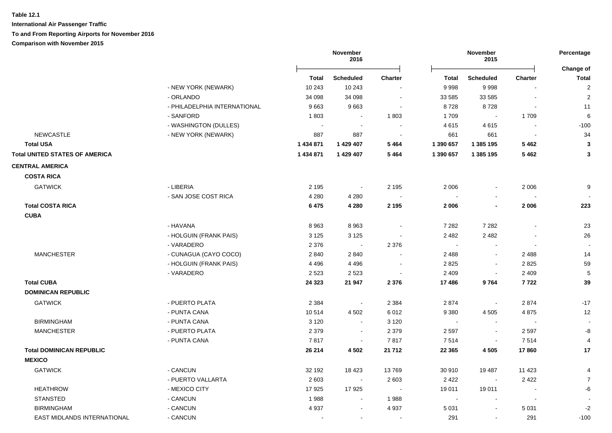|                                       |                              | November<br>2016 |                  |                | November<br>2015 |                          |                | Percentage<br>Change of |
|---------------------------------------|------------------------------|------------------|------------------|----------------|------------------|--------------------------|----------------|-------------------------|
|                                       |                              | Total            | <b>Scheduled</b> | <b>Charter</b> | <b>Total</b>     | <b>Scheduled</b>         | <b>Charter</b> | <b>Total</b>            |
|                                       | - NEW YORK (NEWARK)          | 10 243           | 10 243           |                | 9998             | 9998                     |                | $\overline{c}$          |
|                                       | - ORLANDO                    | 34 098           | 34 098           | $\sim$         | 33 585           | 33 585                   | $\sim$         | $\overline{2}$          |
|                                       | - PHILADELPHIA INTERNATIONAL | 9663             | 9663             |                | 8728             | 8728                     |                | 11                      |
|                                       | - SANFORD                    | 1803             |                  | 1803           | 1709             |                          | 1709           | $6\phantom{1}6$         |
|                                       | - WASHINGTON (DULLES)        | $\mathbf{u}$     |                  |                | 4615             | 4615                     |                | $-100$                  |
| <b>NEWCASTLE</b>                      | - NEW YORK (NEWARK)          | 887              | 887              |                | 661              | 661                      |                | 34                      |
| <b>Total USA</b>                      |                              | 1 434 871        | 1 429 407        | 5464           | 1 390 657        | 1 385 195                | 5462           | $\mathbf{3}$            |
| <b>Total UNITED STATES OF AMERICA</b> |                              | 1 434 871        | 1 429 407        | 5 4 6 4        | 1 390 657        | 1 385 195                | 5462           | $\mathbf{3}$            |
| <b>CENTRAL AMERICA</b>                |                              |                  |                  |                |                  |                          |                |                         |
| <b>COSTA RICA</b>                     |                              |                  |                  |                |                  |                          |                |                         |
| <b>GATWICK</b>                        | - LIBERIA                    | 2 1 9 5          | $\sim$           | 2 1 9 5        | 2 0 0 6          |                          | 2 0 0 6        | 9                       |
|                                       | - SAN JOSE COST RICA         | 4 2 8 0          | 4 2 8 0          |                | $\sim$           | $\sim$                   |                |                         |
| <b>Total COSTA RICA</b>               |                              | 6475             | 4 2 8 0          | 2 1 9 5        | 2 0 0 6          | $\blacksquare$           | 2 0 0 6        | 223                     |
| <b>CUBA</b>                           |                              |                  |                  |                |                  |                          |                |                         |
|                                       | - HAVANA                     | 8963             | 8963             | $\sim$         | 7 2 8 2          | 7 2 8 2                  |                | 23                      |
|                                       | - HOLGUIN (FRANK PAIS)       | 3 1 2 5          | 3 1 2 5          |                | 2 4 8 2          | 2 4 8 2                  |                | 26                      |
|                                       | - VARADERO                   | 2 3 7 6          | $\sim$           | 2 3 7 6        | $\sim$           |                          |                |                         |
| <b>MANCHESTER</b>                     | - CUNAGUA (CAYO COCO)        | 2 8 4 0          | 2840             |                | 2 4 8 8          | $\sim$                   | 2488           | 14                      |
|                                       | - HOLGUIN (FRANK PAIS)       | 4 4 9 6          | 4496             |                | 2825             |                          | 2825           | 59                      |
|                                       | - VARADERO                   | 2 5 2 3          | 2 5 2 3          |                | 2 4 0 9          |                          | 2 4 0 9        | 5                       |
| <b>Total CUBA</b>                     |                              | 24 3 23          | 21 947           | 2 3 7 6        | 17486            | 9764                     | 7722           | 39                      |
| <b>DOMINICAN REPUBLIC</b>             |                              |                  |                  |                |                  |                          |                |                         |
| <b>GATWICK</b>                        | - PUERTO PLATA               | 2 3 8 4          | $\sim$           | 2 3 8 4        | 2874             | $\overline{\phantom{a}}$ | 2874           | $-17$                   |
|                                       | - PUNTA CANA                 | 10514            | 4 5 0 2          | 6012           | 9 3 8 0          | 4 5 0 5                  | 4875           | 12                      |
| <b>BIRMINGHAM</b>                     | - PUNTA CANA                 | 3 1 2 0          | $\sim$           | 3 1 2 0        | $\blacksquare$   | $\sim$                   | $\sim$         | $\blacksquare$          |
| <b>MANCHESTER</b>                     | - PUERTO PLATA               | 2 3 7 9          | $\sim$           | 2 3 7 9        | 2 5 9 7          | $\blacksquare$           | 2 5 9 7        | -8                      |
|                                       | - PUNTA CANA                 | 7817             | $\sim$           | 7817           | 7514             | $\sim$                   | 7514           | 4                       |
| <b>Total DOMINICAN REPUBLIC</b>       |                              | 26 214           | 4 5 0 2          | 21 712         | 22 3 65          | 4 5 0 5                  | 17860          | 17                      |
| <b>MEXICO</b>                         |                              |                  |                  |                |                  |                          |                |                         |
| <b>GATWICK</b>                        | - CANCUN                     | 32 192           | 18 423           | 13769          | 30 910           | 19 487                   | 11 423         | $\overline{4}$          |
|                                       | - PUERTO VALLARTA            | 2 6 0 3          | $\bullet$        | 2 6 0 3        | 2 4 2 2          | $\bullet$                | 2422           | $\overline{7}$          |
| <b>HEATHROW</b>                       | - MEXICO CITY                | 17925            | 17925            | $\sim$         | 19 011           | 19 011                   |                | -6                      |
| <b>STANSTED</b>                       | - CANCUN                     | 1988             | $\blacksquare$   | 1988           | $\sim$           | $\sim$                   |                |                         |
| <b>BIRMINGHAM</b>                     | - CANCUN                     | 4 9 3 7          |                  | 4 9 3 7        | 5 0 31           |                          | 5 0 31         | $-2$                    |
| EAST MIDLANDS INTERNATIONAL           | - CANCUN                     |                  |                  |                | 291              |                          | 291            | $-100$                  |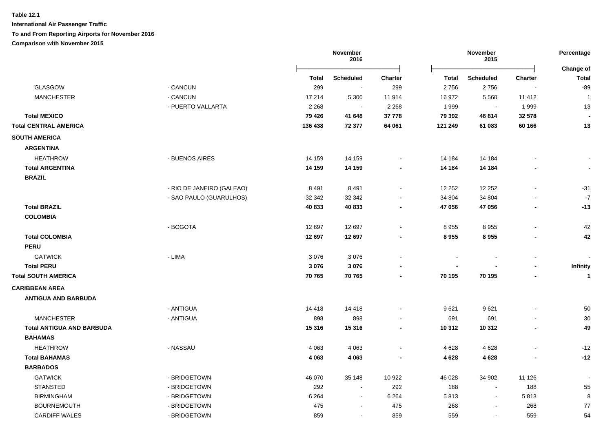**International Air Passenger Traffic To and From Reporting Airports for November 2016**

# **Comparison with November 2015**

**November 2016 November 2015** Ōņņņņņņņņņņņņņņņņņņņņņņņņō Ōņņņņņņņņņņņņņņņņņņņņņņņņō **Change of Total Scheduled Charter Total Scheduled Charter Total** GLASGOW - CANCUN 299 - 299 2 756 2 756 - -89 MANCHESTER - CANCUN 17 214 5 300 11 914 16 972 5 560 11 412 1 MANCHESTER - PUERTO VALLARTA 2 268 - 2 268 1 999 - 1 999 13  **Total MEXICO 79 426 41 648 37 778 79 392 46 814 32 578 - Total CENTRAL AMERICA 136 438 72 377 64 061 121 249 61 083 60 166 13 SOUTH AMERICA ARGENTINA** HEATHROW - BUENOS AIRES 14 159 14 159 - 14 184 14 184 - -  **Total ARGENTINA 14 159 14 159 - 14 184 14 184 - - BRAZIL** - RIO DE JANEIRO (GALEAO) 8 491 8 491 8 491 8 491 8 492 8 492 8 491 8 491 8 491 8 491 8 491 8 491 8 491 8 491 8 491 8 491 8 491 8 491 8 491 8 491 8 491 8 491 8 491 8 491 8 491 8 492 8 491 8 492 8 492 8 492 8 492 8 492 8 49 HEATHROW - SAO PAULO (GUARULHOS) 32 342 32 342 - 34 804 34 804 - -7  **Total BRAZIL 40 833 40 833 - 47 056 47 056 - -13 COLOMBIA PERU CARIBBEAN AREA ANTIGUA AND BARBUDA BAHAMAS**

 HEATHROW - BOGOTA 12 697 12 697 - 8 955 8 955 - 42  **Total COLOMBIA 12 697 12 697 - 8 955 8 955 - 42** GATWICK - LIMA 3 076 3 076 - - - - -  **Total PERU 3 076 3 076 - - - - Infinity Total SOUTH AMERICA 70 765 70 765 - 70 195 70 195 - 1** GATWICK - ANTIGUA 14 418 14 418 - 9 621 9 621 - 50 MANCHESTER - ANTIGUA 898 898 - 691 691 - 30  **Total ANTIGUA AND BARBUDA 15 316 15 316 - 10 312 10 312 - 49** HEATHROW - NASSAU 4 063 4 063 - 4 628 4 628 - -12  **Total BAHAMAS 4 063 4 063 - 4 628 4 628 - -12 BARBADOS** - GATWICK - BRIDGETOWN 46 070 35 148 10 922 46 028 34 902 11 126 STANSTED - BRIDGETOWN 292 - 292 188 - 188 55 BIRMINGHAM - BRIDGETOWN 6 264 - 6 264 5 813 - 5 813 8 BOURNEMOUTH - BRIDGETOWN 475 268 77 CARDIFF WALES - BRIDGETOWN 859 - 859 559 - 559 54

**Percentage**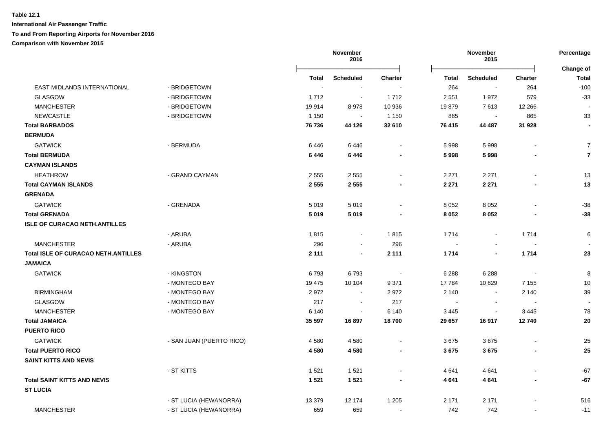|                                            |                          |          | November<br>2016 |                          |         | November<br>2015         |                          | Percentage                |
|--------------------------------------------|--------------------------|----------|------------------|--------------------------|---------|--------------------------|--------------------------|---------------------------|
|                                            |                          | Total    | <b>Scheduled</b> | <b>Charter</b>           | Total   | <b>Scheduled</b>         | <b>Charter</b>           | Change of<br><b>Total</b> |
| EAST MIDLANDS INTERNATIONAL                | - BRIDGETOWN             |          |                  |                          | 264     | $\overline{\phantom{a}}$ | 264                      | $-100$                    |
| <b>GLASGOW</b>                             | - BRIDGETOWN             | 1712     | $\sim$           | 1712                     | 2 5 5 1 | 1972                     | 579                      | $-33$                     |
| <b>MANCHESTER</b>                          | - BRIDGETOWN             | 19914    | 8978             | 10 936                   | 19879   | 7613                     | 12 2 66                  | $\overline{\phantom{a}}$  |
| <b>NEWCASTLE</b>                           | - BRIDGETOWN             | 1 1 5 0  | $\sim$           | 1 1 5 0                  | 865     | $\blacksquare$           | 865                      | 33                        |
| <b>Total BARBADOS</b>                      |                          | 76 736   | 44 126           | 32 610                   | 76 415  | 44 487                   | 31 928                   | $\blacksquare$            |
| <b>BERMUDA</b>                             |                          |          |                  |                          |         |                          |                          |                           |
| <b>GATWICK</b>                             | - BERMUDA                | 6446     | 6446             | $\sim$                   | 5998    | 5998                     | $\overline{\phantom{a}}$ | $\overline{7}$            |
| <b>Total BERMUDA</b>                       |                          | 6446     | 6446             | $\blacksquare$           | 5998    | 5998                     |                          | $\overline{7}$            |
| <b>CAYMAN ISLANDS</b>                      |                          |          |                  |                          |         |                          |                          |                           |
| <b>HEATHROW</b>                            | - GRAND CAYMAN           | 2555     | 2555             | $\blacksquare$           | 2 2 7 1 | 2 2 7 1                  |                          | 13                        |
| <b>Total CAYMAN ISLANDS</b>                |                          | 2 5 5 5  | 2 5 5 5          | $\blacksquare$           | 2 2 7 1 | 2 2 7 1                  |                          | 13                        |
| <b>GRENADA</b>                             |                          |          |                  |                          |         |                          |                          |                           |
| <b>GATWICK</b>                             | - GRENADA                | 5019     | 5019             | $\sim$                   | 8 0 5 2 | 8 0 5 2                  |                          | $-38$                     |
| <b>Total GRENADA</b>                       |                          | 5019     | 5019             | $\blacksquare$           | 8 0 5 2 | 8 0 5 2                  |                          | $-38$                     |
| <b>ISLE OF CURACAO NETH.ANTILLES</b>       |                          |          |                  |                          |         |                          |                          |                           |
|                                            | - ARUBA                  | 1815     | $\sim$           | 1815                     | 1714    | $\blacksquare$           | 1 7 1 4                  | 6                         |
| <b>MANCHESTER</b>                          | - ARUBA                  | 296      | $\sim$           | 296                      | $\sim$  | $\blacksquare$           | $\sim$                   |                           |
| <b>Total ISLE OF CURACAO NETH.ANTILLES</b> |                          | 2 1 1 1  | $\blacksquare$   | 2 1 1 1                  | 1714    | $\blacksquare$           | 1714                     | 23                        |
| <b>JAMAICA</b>                             |                          |          |                  |                          |         |                          |                          |                           |
| <b>GATWICK</b>                             | - KINGSTON               | 6793     | 6793             | $\overline{\phantom{a}}$ | 6 2 8 8 | 6 2 8 8                  | $\sim$                   | 8                         |
|                                            | - MONTEGO BAY            | 19 475   | 10 104           | 9 3 7 1                  | 17 784  | 10 629                   | 7 1 5 5                  | 10                        |
| <b>BIRMINGHAM</b>                          | - MONTEGO BAY            | 2972     | $\sim$           | 2972                     | 2 140   | $\blacksquare$           | 2 1 4 0                  | 39                        |
| GLASGOW                                    | - MONTEGO BAY            | 217      | $\sim$           | 217                      | $\sim$  | $\blacksquare$           |                          | $\blacksquare$            |
| <b>MANCHESTER</b>                          | - MONTEGO BAY            | 6 1 4 0  | $\blacksquare$   | 6 140                    | 3 4 4 5 | $\blacksquare$           | 3 4 4 5                  | 78                        |
| <b>Total JAMAICA</b>                       |                          | 35 597   | 16897            | 18700                    | 29 657  | 16917                    | 12740                    | 20                        |
| <b>PUERTO RICO</b>                         |                          |          |                  |                          |         |                          |                          |                           |
| <b>GATWICK</b>                             | - SAN JUAN (PUERTO RICO) | 4580     | 4580             | $\blacksquare$           | 3675    | 3675                     |                          | 25                        |
| <b>Total PUERTO RICO</b>                   |                          | 4580     | 4580             | $\blacksquare$           | 3675    | 3675                     | ٠                        | 25                        |
| <b>SAINT KITTS AND NEVIS</b>               |                          |          |                  |                          |         |                          |                          |                           |
|                                            | - ST KITTS               | 1521     | 1521             | $\blacksquare$           | 4 641   | 4641                     | $\blacksquare$           | $-67$                     |
| <b>Total SAINT KITTS AND NEVIS</b>         |                          | 1 5 2 1  | 1 5 2 1          | $\blacksquare$           | 4641    | 4 6 4 1                  | $\blacksquare$           | $-67$                     |
| <b>ST LUCIA</b>                            |                          |          |                  |                          |         |                          |                          |                           |
|                                            | - ST LUCIA (HEWANORRA)   | 13 3 7 9 | 12 174           | 1 2 0 5                  | 2 171   | 2 1 7 1                  |                          | 516                       |
| <b>MANCHESTER</b>                          | - ST LUCIA (HEWANORRA)   | 659      | 659              | $\blacksquare$           | 742     | 742                      | $\blacksquare$           | $-11$                     |
|                                            |                          |          |                  |                          |         |                          |                          |                           |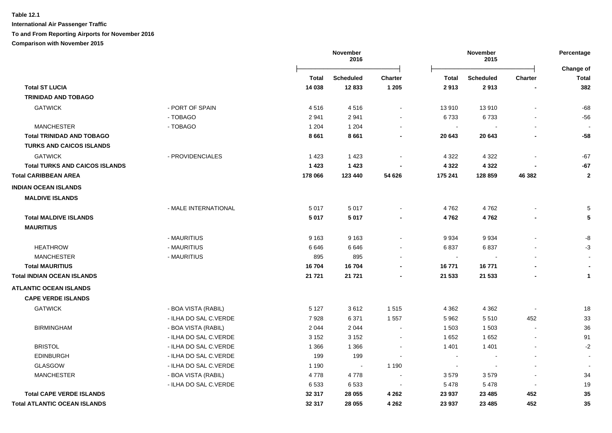**International Air Passenger Traffic To and From Reporting Airports for November 2016**

**Comparison with November 2015**

|                                       |                       | November<br>November<br>2016<br>2015 |                  |                          | Percentage<br><b>Change of</b> |                  |                          |                |
|---------------------------------------|-----------------------|--------------------------------------|------------------|--------------------------|--------------------------------|------------------|--------------------------|----------------|
|                                       |                       | Total                                | <b>Scheduled</b> | Charter                  | <b>Total</b>                   | <b>Scheduled</b> | Charter                  | <b>Total</b>   |
| <b>Total ST LUCIA</b>                 |                       | 14 038                               | 12833            | 1 2 0 5                  | 2913                           | 2913             |                          | 382            |
| <b>TRINIDAD AND TOBAGO</b>            |                       |                                      |                  |                          |                                |                  |                          |                |
| <b>GATWICK</b>                        | - PORT OF SPAIN       | 4516                                 | 4516             |                          | 13 910                         | 13910            |                          | $-68$          |
|                                       | - TOBAGO              | 2941                                 | 2941             |                          | 6733                           | 6733             |                          | $-56$          |
| <b>MANCHESTER</b>                     | - TOBAGO              | 1 204                                | 1 2 0 4          |                          | $\blacksquare$                 |                  |                          |                |
| <b>Total TRINIDAD AND TOBAGO</b>      |                       | 8661                                 | 8661             | $\blacksquare$           | 20 643                         | 20 643           | $\blacksquare$           | -58            |
| <b>TURKS AND CAICOS ISLANDS</b>       |                       |                                      |                  |                          |                                |                  |                          |                |
| <b>GATWICK</b>                        | - PROVIDENCIALES      | 1 4 2 3                              | 1423             |                          | 4 3 2 2                        | 4 3 2 2          |                          | $-67$          |
| <b>Total TURKS AND CAICOS ISLANDS</b> |                       | 1 4 2 3                              | 1 4 2 3          |                          | 4 3 2 2                        | 4 3 2 2          |                          | $-67$          |
| <b>Total CARIBBEAN AREA</b>           |                       | 178 066                              | 123 440          | 54 626                   | 175 241                        | 128 859          | 46 382                   | $\mathbf{2}$   |
| <b>INDIAN OCEAN ISLANDS</b>           |                       |                                      |                  |                          |                                |                  |                          |                |
| <b>MALDIVE ISLANDS</b>                |                       |                                      |                  |                          |                                |                  |                          |                |
|                                       | - MALE INTERNATIONAL  | 5017                                 | 5017             |                          | 4762                           | 4762             |                          | 5              |
| <b>Total MALDIVE ISLANDS</b>          |                       | 5017                                 | 5017             |                          | 4762                           | 4762             |                          | 5              |
| <b>MAURITIUS</b>                      |                       |                                      |                  |                          |                                |                  |                          |                |
|                                       | - MAURITIUS           | 9 1 6 3                              | 9 1 6 3          |                          | 9 9 3 4                        | 9934             |                          | -8             |
| <b>HEATHROW</b>                       | - MAURITIUS           | 6646                                 | 6646             |                          | 6837                           | 6837             |                          | $-3$           |
| <b>MANCHESTER</b>                     | - MAURITIUS           | 895                                  | 895              |                          | $\sim$                         |                  |                          |                |
| <b>Total MAURITIUS</b>                |                       | 16704                                | 16704            |                          | 16771                          | 16771            |                          |                |
| Total INDIAN OCEAN ISLANDS            |                       | 21 721                               | 21 7 21          |                          | 21 533                         | 21 533           |                          | 1              |
| <b>ATLANTIC OCEAN ISLANDS</b>         |                       |                                      |                  |                          |                                |                  |                          |                |
| <b>CAPE VERDE ISLANDS</b>             |                       |                                      |                  |                          |                                |                  |                          |                |
| <b>GATWICK</b>                        | - BOA VISTA (RABIL)   | 5 1 2 7                              | 3612             | 1515                     | 4 3 6 2                        | 4 3 6 2          |                          | 18             |
|                                       | - ILHA DO SAL C.VERDE | 7928                                 | 6371             | 1 5 5 7                  | 5 9 6 2                        | 5510             | 452                      | 33             |
| <b>BIRMINGHAM</b>                     | - BOA VISTA (RABIL)   | 2 0 4 4                              | 2044             | $\overline{\phantom{a}}$ | 1 503                          | 1 503            | $\blacksquare$           | 36             |
|                                       | - ILHA DO SAL C.VERDE | 3 1 5 2                              | 3 1 5 2          | $\blacksquare$           | 1652                           | 1652             | $\overline{\phantom{a}}$ | 91             |
| <b>BRISTOL</b>                        | - ILHA DO SAL C.VERDE | 1 3 6 6                              | 1 3 6 6          | $\blacksquare$           | 1 4 0 1                        | 1 4 0 1          |                          | $-2$           |
| <b>EDINBURGH</b>                      | - ILHA DO SAL C.VERDE | 199                                  | 199              |                          | $\sim$                         |                  |                          | $\blacksquare$ |
| GLASGOW                               | - ILHA DO SAL C.VERDE | 1 1 9 0                              | $\sim$           | 1 1 9 0                  | $\overline{\phantom{a}}$       |                  |                          |                |
| <b>MANCHESTER</b>                     | - BOA VISTA (RABIL)   | 4778                                 | 4778             |                          | 3579                           | 3579             |                          | 34             |
|                                       | - ILHA DO SAL C.VERDE | 6533                                 | 6533             |                          | 5 4 7 8                        | 5 4 7 8          | $\overline{\phantom{a}}$ | 19             |
| <b>Total CAPE VERDE ISLANDS</b>       |                       | 32 317                               | 28 055           | 4 2 6 2                  | 23 937                         | 23 4 8 5         | 452                      | 35             |
| Total ATLANTIC OCEAN ISLANDS          |                       | 32 317                               | 28 055           | 4 2 6 2                  | 23 937                         | 23 4 8 5         | 452                      | 35             |